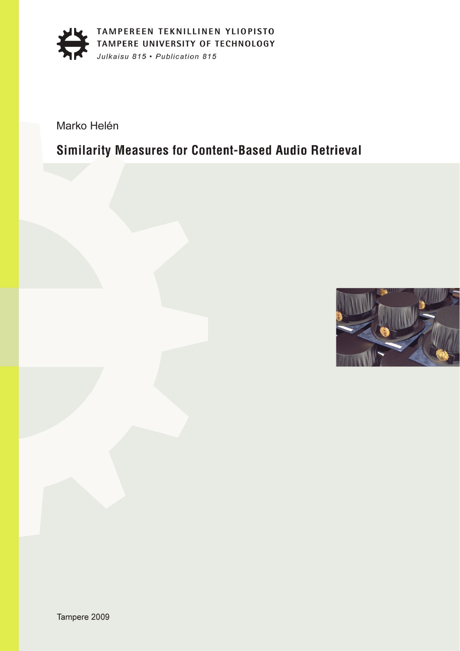

Marko Helén

### Similarity Measures for Content-Based Audio Retrieval

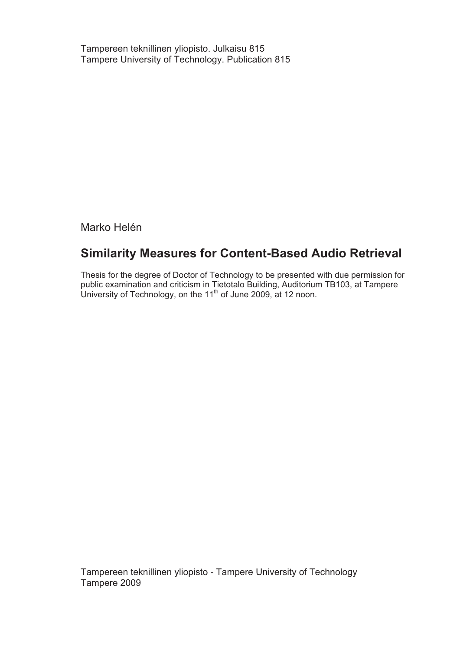Tampereen teknillinen yliopisto. Julkaisu 815 Tampere University of Technology. Publication 815

Marko Helén

#### **Similarity Measures for Content-Based Audio Retrieval**

Thesis for the degree of Doctor of Technology to be presented with due permission for public examination and criticism in Tietotalo Building, Auditorium TB103, at Tampere University of Technology, on the 11<sup>th</sup> of June 2009, at 12 noon.

Tampereen teknillinen yliopisto - Tampere University of Technology Tampere 2009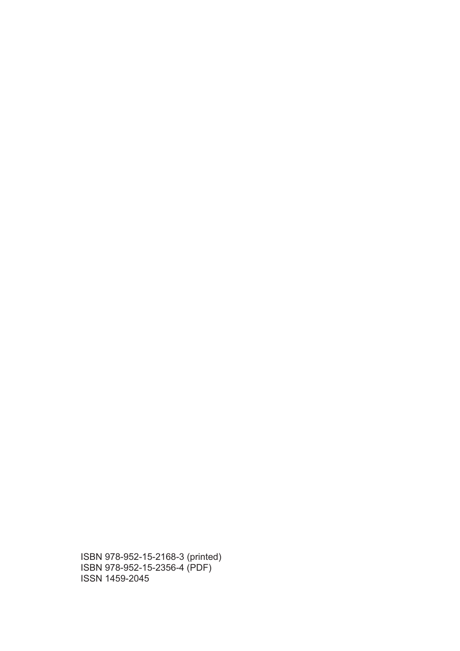ISBN 978-952-15-2168-3 (printed) ISBN 978-952-15-2356-4 (PDF) ISSN 1459-2045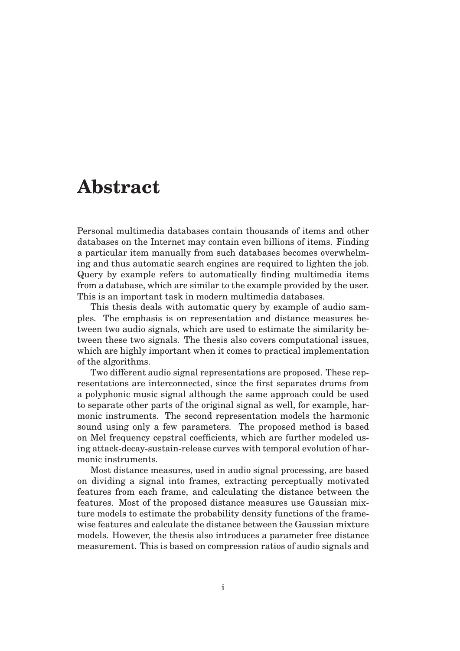### **Abstract**

Personal multimedia databases contain thousands of items and other databases on the Internet may contain even billions of items. Finding a particular item manually from such databases becomes overwhelming and thus automatic search engines are required to lighten the job. Query by example refers to automatically finding multimedia items from a database, which are similar to the example provided by the user. This is an important task in modern multimedia databases.

This thesis deals with automatic query by example of audio samples. The emphasis is on representation and distance measures between two audio signals, which are used to estimate the similarity between these two signals. The thesis also covers computational issues, which are highly important when it comes to practical implementation of the algorithms.

Two different audio signal representations are proposed. These representations are interconnected, since the first separates drums from a polyphonic music signal although the same approach could be used to separate other parts of the original signal as well, for example, harmonic instruments. The second representation models the harmonic sound using only a few parameters. The proposed method is based on Mel frequency cepstral coefficients, which are further modeled using attack-decay-sustain-release curves with temporal evolution of harmonic instruments.

Most distance measures, used in audio signal processing, are based on dividing a signal into frames, extracting perceptually motivated features from each frame, and calculating the distance between the features. Most of the proposed distance measures use Gaussian mixture models to estimate the probability density functions of the framewise features and calculate the distance between the Gaussian mixture models. However, the thesis also introduces a parameter free distance measurement. This is based on compression ratios of audio signals and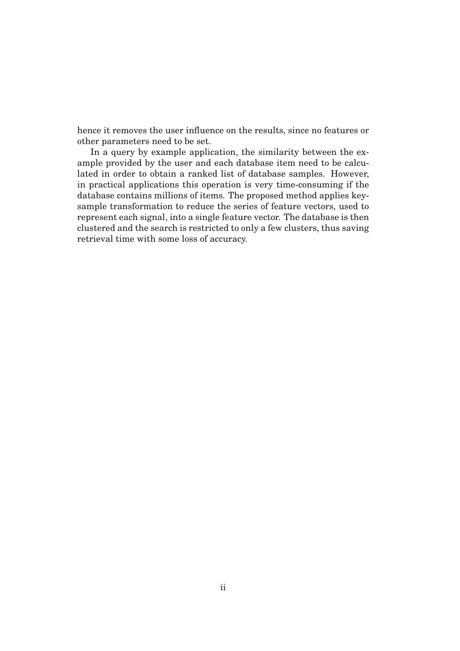hence it removes the user influence on the results, since no features or other parameters need to be set.

In a query by example application, the similarity between the example provided by the user and each database item need to be calculated in order to obtain a ranked list of database samples. However, in practical applications this operation is very time-consuming if the database contains millions of items. The proposed method applies keysample transformation to reduce the series of feature vectors, used to represent each signal, into a single feature vector. The database is then clustered and the search is restricted to only a few clusters, thus saving retrieval time with some loss of accuracy.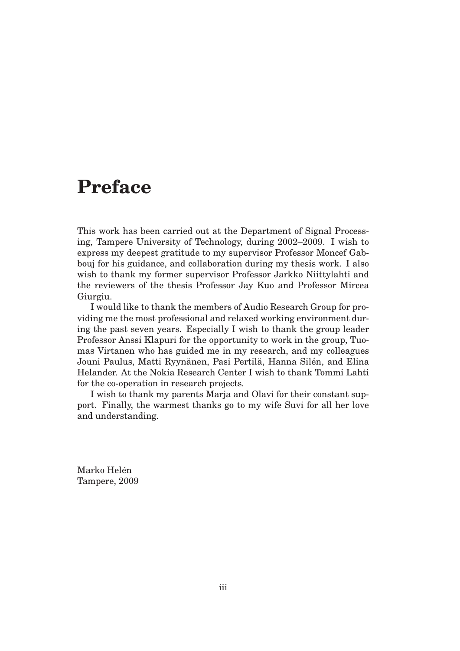### **Preface**

This work has been carried out at the Department of Signal Processing, Tampere University of Technology, during 2002–2009. I wish to express my deepest gratitude to my supervisor Professor Moncef Gabbouj for his guidance, and collaboration during my thesis work. I also wish to thank my former supervisor Professor Jarkko Niittylahti and the reviewers of the thesis Professor Jay Kuo and Professor Mircea Giurgiu.

I would like to thank the members of Audio Research Group for providing me the most professional and relaxed working environment during the past seven years. Especially I wish to thank the group leader Professor Anssi Klapuri for the opportunity to work in the group, Tuomas Virtanen who has guided me in my research, and my colleagues Jouni Paulus, Matti Ryynänen, Pasi Pertilä, Hanna Silén, and Elina Helander. At the Nokia Research Center I wish to thank Tommi Lahti for the co-operation in research projects.

I wish to thank my parents Marja and Olavi for their constant support. Finally, the warmest thanks go to my wife Suvi for all her love and understanding.

Marko Helén Tampere, 2009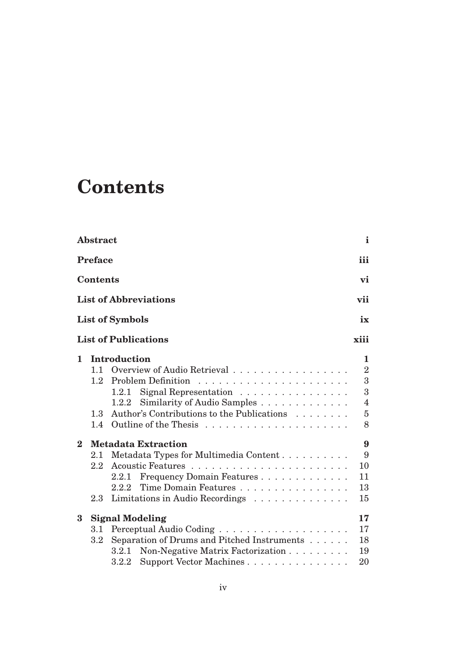## **Contents**

|          | Abstract                                  |                                                                                                                                                                               | $\mathbf{i}$                                                                     |
|----------|-------------------------------------------|-------------------------------------------------------------------------------------------------------------------------------------------------------------------------------|----------------------------------------------------------------------------------|
|          | <b>Preface</b>                            |                                                                                                                                                                               | iii                                                                              |
|          | <b>Contents</b>                           |                                                                                                                                                                               | vi                                                                               |
|          |                                           | <b>List of Abbreviations</b>                                                                                                                                                  | vii                                                                              |
|          |                                           | <b>List of Symbols</b>                                                                                                                                                        | ix                                                                               |
|          |                                           | <b>List of Publications</b>                                                                                                                                                   | xiii                                                                             |
| 1        | $1.1 -$<br>1.2<br>1.3 <sup>°</sup><br>1.4 | <b>Introduction</b><br>Overview of Audio Retrieval<br>Signal Representation<br>1.2.1<br>Similarity of Audio Samples<br>1.2.2<br>Author's Contributions to the Publications    | 1.<br>$\overline{2}$<br>3<br>3<br>$\overline{\mathbf{4}}$<br>$\overline{5}$<br>8 |
| $\bf{2}$ | 2.1<br>$2.2\phantom{0}$<br>2.3            | <b>Metadata Extraction</b><br>Metadata Types for Multimedia Content<br>Frequency Domain Features<br>2.2.1<br>Time Domain Features<br>2.2.2<br>Limitations in Audio Recordings | 9<br>9<br>10<br>11<br>13<br>15                                                   |
| $\bf{3}$ | 3.1<br>3.2                                | <b>Signal Modeling</b><br>Separation of Drums and Pitched Instruments<br>Non-Negative Matrix Factorization<br>3.2.1<br>Support Vector Machines<br>$3.2.2\,$                   | 17<br>17<br>18<br>19<br>20                                                       |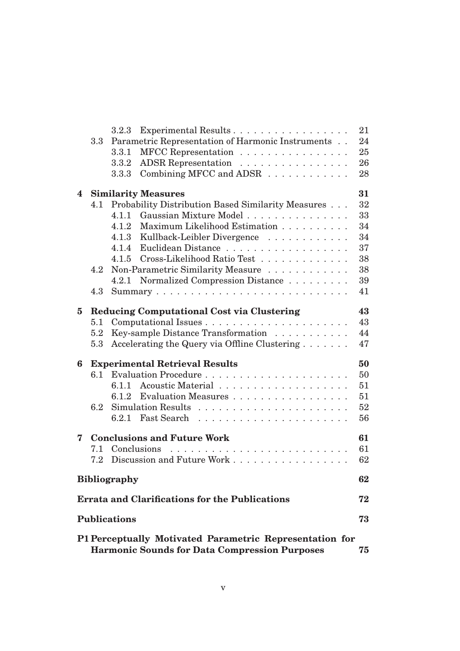|   |     | Experimental Results<br>3.2.3                                                                                   | 21 |
|---|-----|-----------------------------------------------------------------------------------------------------------------|----|
|   | 3.3 | Parametric Representation of Harmonic Instruments                                                               | 24 |
|   |     | MFCC Representation<br>3.3.1                                                                                    | 25 |
|   |     | ADSR Representation<br>3.3.2                                                                                    | 26 |
|   |     | Combining MFCC and ADSR<br>3.3.3                                                                                | 28 |
| 4 |     | <b>Similarity Measures</b>                                                                                      | 31 |
|   | 4.1 | Probability Distribution Based Similarity Measures                                                              | 32 |
|   |     | Gaussian Mixture Model<br>4.1.1                                                                                 | 33 |
|   |     | 4.1.2 Maximum Likelihood Estimation                                                                             | 34 |
|   |     | 4.1.3 Kullback-Leibler Divergence                                                                               | 34 |
|   |     | 4.1.4<br>Euclidean Distance                                                                                     | 37 |
|   |     | 4.1.5 Cross-Likelihood Ratio Test                                                                               | 38 |
|   | 4.2 | Non-Parametric Similarity Measure                                                                               | 38 |
|   |     | 4.2.1 Normalized Compression Distance                                                                           | 39 |
|   | 4.3 |                                                                                                                 | 41 |
| 5 |     | <b>Reducing Computational Cost via Clustering</b>                                                               | 43 |
|   | 5.1 |                                                                                                                 | 43 |
|   | 5.2 | Key-sample Distance Transformation                                                                              | 44 |
|   | 5.3 | Accelerating the Query via Offline Clustering                                                                   | 47 |
| 6 |     | <b>Experimental Retrieval Results</b>                                                                           | 50 |
|   | 6.1 |                                                                                                                 | 50 |
|   |     | 6.1.1                                                                                                           | 51 |
|   |     | Evaluation Measures<br>6.1.2                                                                                    | 51 |
|   | 6.2 |                                                                                                                 | 52 |
|   |     |                                                                                                                 | 56 |
| 7 |     | <b>Conclusions and Future Work</b>                                                                              | 61 |
|   | 7.1 | Conclusions                                                                                                     | 61 |
|   | 7.2 | Discussion and Future Work                                                                                      | 62 |
|   |     | <b>Bibliography</b>                                                                                             | 62 |
|   |     | <b>Errata and Clarifications for the Publications</b>                                                           | 72 |
|   |     | <b>Publications</b>                                                                                             | 73 |
|   |     | P1 Perceptually Motivated Parametric Representation for<br><b>Harmonic Sounds for Data Compression Purposes</b> | 75 |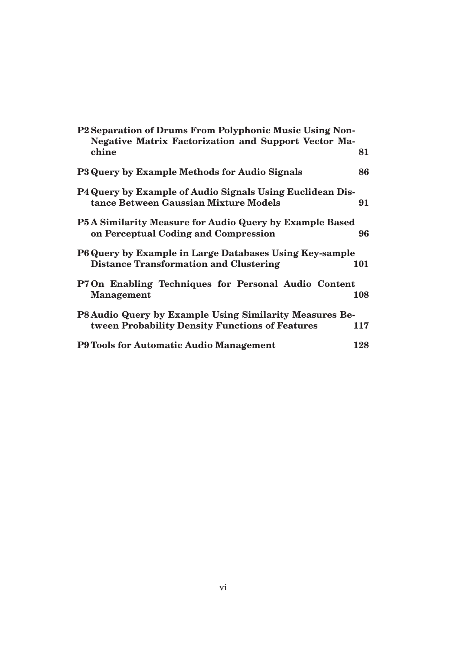| P2 Separation of Drums From Polyphonic Music Using Non-<br><b>Negative Matrix Factorization and Support Vector Ma-</b> |     |
|------------------------------------------------------------------------------------------------------------------------|-----|
| chine                                                                                                                  | 81  |
| P3 Query by Example Methods for Audio Signals                                                                          | 86  |
| <b>P4 Query by Example of Audio Signals Using Euclidean Dis-</b><br>tance Between Gaussian Mixture Models              | 91  |
| P5A Similarity Measure for Audio Query by Example Based<br>on Perceptual Coding and Compression                        | 96  |
| P6 Query by Example in Large Databases Using Key-sample<br><b>Distance Transformation and Clustering</b>               | 101 |
| P7 On Enabling Techniques for Personal Audio Content<br><b>Management</b>                                              | 108 |
| P8 Audio Query by Example Using Similarity Measures Be-                                                                |     |
| tween Probability Density Functions of Features                                                                        | 117 |
| <b>P9 Tools for Automatic Audio Management</b>                                                                         | 128 |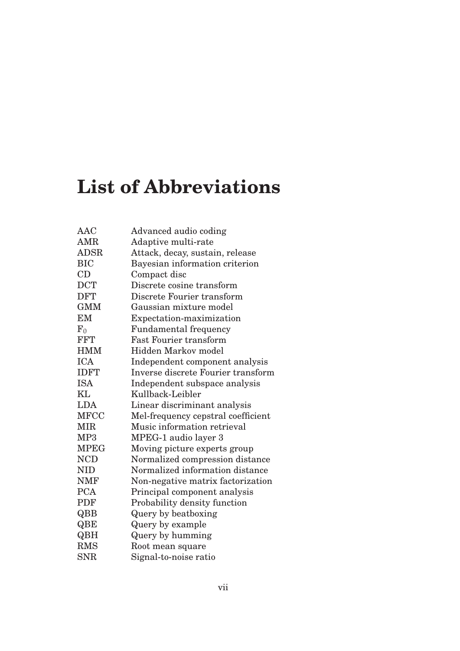# **List of Abbreviations**

| Advanced audio coding              |
|------------------------------------|
| Adaptive multi-rate                |
| Attack, decay, sustain, release    |
| Bayesian information criterion     |
| Compact disc                       |
| Discrete cosine transform          |
| Discrete Fourier transform         |
| Gaussian mixture model             |
| Expectation-maximization           |
| <b>Fundamental frequency</b>       |
| <b>Fast Fourier transform</b>      |
| <b>Hidden Markov model</b>         |
| Independent component analysis     |
| Inverse discrete Fourier transform |
| Independent subspace analysis      |
| Kullback-Leibler                   |
| Linear discriminant analysis       |
| Mel-frequency cepstral coefficient |
| Music information retrieval        |
| MPEG-1 audio layer 3               |
| Moving picture experts group       |
| Normalized compression distance    |
| Normalized information distance    |
| Non-negative matrix factorization  |
| Principal component analysis       |
| Probability density function       |
| Query by beatboxing                |
| Query by example                   |
| Query by humming                   |
| Root mean square                   |
| Signal-to-noise ratio              |
|                                    |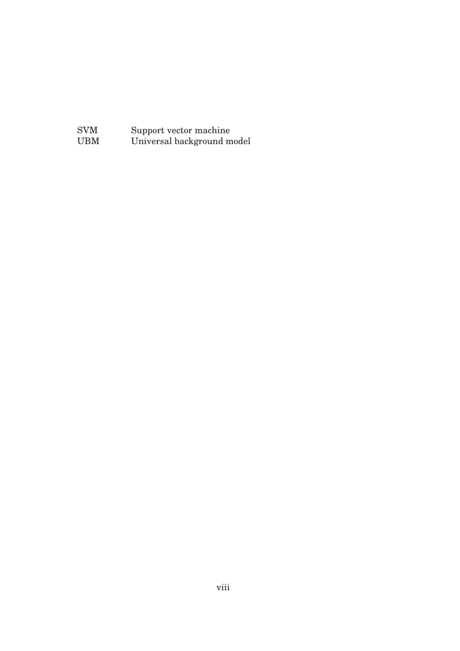SVM Support vector machine UBM Universal background model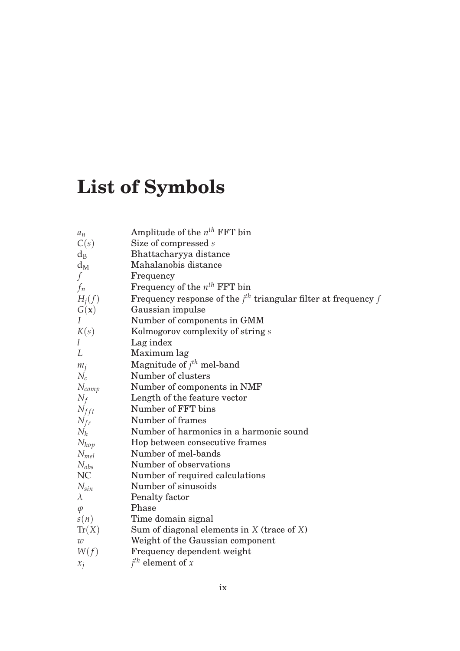# **List of Symbols**

| Amplitude of the $n^{th}$ FFT bin                                |
|------------------------------------------------------------------|
| Size of compressed s                                             |
| Bhattacharyya distance                                           |
| Mahalanobis distance                                             |
| Frequency                                                        |
| Frequency of the $n^{th}$ FFT bin                                |
| Frequency response of the $jth$ triangular filter at frequency f |
| Gaussian impulse                                                 |
| Number of components in GMM                                      |
| Kolmogorov complexity of string s                                |
| Lag index                                                        |
| Maximum lag                                                      |
| Magnitude of $jth$ mel-band                                      |
| Number of clusters                                               |
| Number of components in NMF                                      |
| Length of the feature vector                                     |
| Number of FFT bins                                               |
| Number of frames                                                 |
| Number of harmonics in a harmonic sound                          |
| Hop between consecutive frames                                   |
| Number of mel-bands                                              |
| Number of observations                                           |
| Number of required calculations                                  |
| Number of sinusoids                                              |
| Penalty factor                                                   |
| Phase                                                            |
| Time domain signal                                               |
| Sum of diagonal elements in $X$ (trace of $X$ )                  |
| Weight of the Gaussian component                                 |
| Frequency dependent weight                                       |
| $j^{th}$ element of x                                            |
|                                                                  |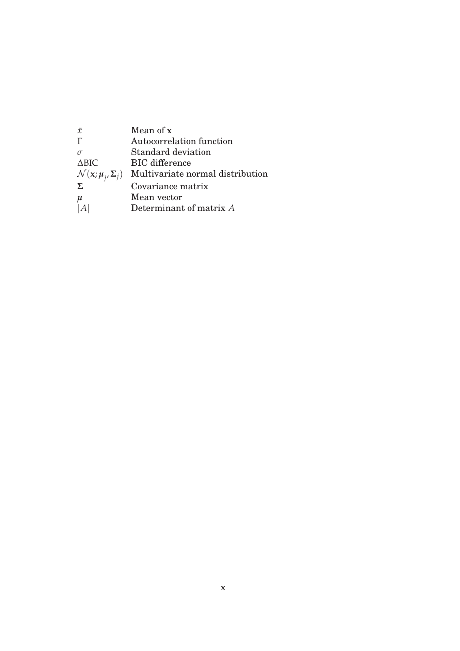| $\bar{x}$                                  | Mean of x                        |
|--------------------------------------------|----------------------------------|
|                                            | Autocorrelation function         |
|                                            | Standard deviation               |
| $\triangle BIC$                            | <b>BIC</b> difference            |
| $\mathcal{N}(\mathbf{x}; \mu_j, \Sigma_j)$ | Multivariate normal distribution |
| Σ                                          | Covariance matrix                |
| $\mu$                                      | Mean vector                      |
|                                            | Determinant of matrix A          |
|                                            |                                  |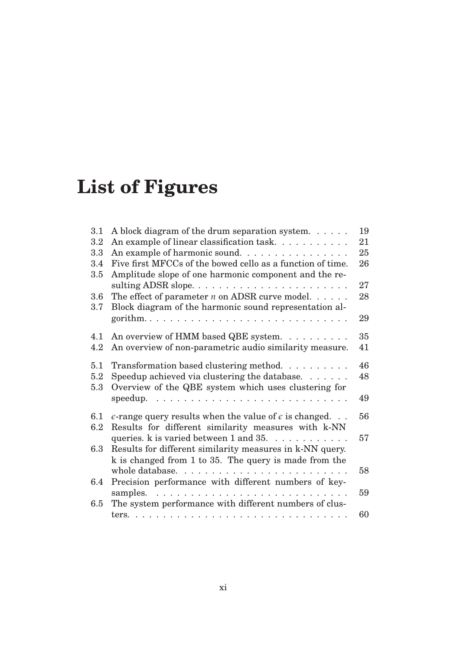# **List of Figures**

| 3.1        | A block diagram of the drum separation system. $\dots$ .                                                            | 19 |
|------------|---------------------------------------------------------------------------------------------------------------------|----|
| 3.2        | An example of linear classification task                                                                            | 21 |
| 3.3        | An example of harmonic sound.                                                                                       | 25 |
| 3.4        | Five first MFCCs of the bowed cello as a function of time.                                                          | 26 |
| $3.5\,$    | Amplitude slope of one harmonic component and the re-                                                               |    |
|            | sulting ADSR slope                                                                                                  | 27 |
| 3.6        | The effect of parameter $n$ on ADSR curve model. $\dots$ .                                                          | 28 |
| 3.7        | Block diagram of the harmonic sound representation al-                                                              |    |
|            |                                                                                                                     | 29 |
| 4.1        | An overview of HMM based QBE system.                                                                                | 35 |
| 4.2        | An overview of non-parametric audio similarity measure.                                                             | 41 |
|            |                                                                                                                     |    |
| 5.1        | Transformation based clustering method. $\ldots \ldots \ldots$                                                      | 46 |
| 5.2<br>5.3 | Speedup achieved via clustering the database. $\dots \dots$<br>Overview of the QBE system which uses clustering for | 48 |
|            |                                                                                                                     | 49 |
| 6.1        | $\epsilon$ -range query results when the value of $\epsilon$ is changed.                                            | 56 |
| 6.2        | Results for different similarity measures with k-NN                                                                 |    |
|            | queries. $k$ is varied between 1 and 35.                                                                            | 57 |
| 6.3        | Results for different similarity measures in k-NN query.                                                            |    |
|            | k is changed from 1 to 35. The query is made from the                                                               |    |
|            |                                                                                                                     | 58 |
| $6.4\,$    | Precision performance with different numbers of key-                                                                |    |
|            |                                                                                                                     | 59 |
| $6.5\,$    | The system performance with different numbers of clus-                                                              |    |
|            |                                                                                                                     | 60 |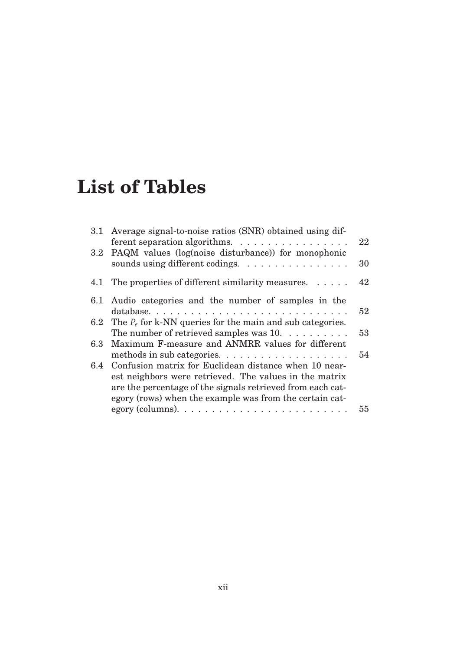### **List of Tables**

|     | 3.1 Average signal-to-noise ratios (SNR) obtained using dif-<br>ferent separation algorithms. | 22 |
|-----|-----------------------------------------------------------------------------------------------|----|
|     | 3.2 PAQM values (log(noise disturbance)) for monophonic                                       |    |
|     | sounds using different codings.                                                               | 30 |
|     | 4.1 The properties of different similarity measures.                                          | 42 |
|     | 6.1 Audio categories and the number of samples in the                                         |    |
|     |                                                                                               | 52 |
| 6.2 | The $P_e$ for k-NN queries for the main and sub categories.                                   |    |
|     | The number of retrieved samples was $10. \ldots \ldots \ldots$                                | 53 |
| 6.3 | Maximum F-measure and ANMRR values for different                                              |    |
|     |                                                                                               | 54 |
| 6.4 | Confusion matrix for Euclidean distance when 10 near-                                         |    |
|     | est neighbors were retrieved. The values in the matrix                                        |    |
|     | are the percentage of the signals retrieved from each cat-                                    |    |
|     | egory (rows) when the example was from the certain cat-                                       |    |
|     |                                                                                               | 55 |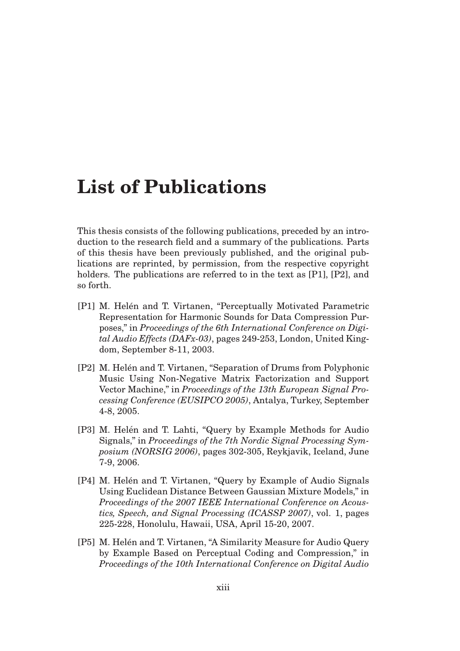### **List of Publications**

This thesis consists of the following publications, preceded by an introduction to the research field and a summary of the publications. Parts of this thesis have been previously published, and the original publications are reprinted, by permission, from the respective copyright holders. The publications are referred to in the text as [P1], [P2], and so forth.

- [P1] M. Helén and T. Virtanen, "Perceptually Motivated Parametric Representation for Harmonic Sounds for Data Compression Purposes," in *Proceedings of the 6th International Conference on Digital Audio Effects (DAFx-03)*, pages 249-253, London, United Kingdom, September 8-11, 2003.
- [P2] M. Helén and T. Virtanen, "Separation of Drums from Polyphonic Music Using Non-Negative Matrix Factorization and Support Vector Machine," in *Proceedings of the 13th European Signal Processing Conference (EUSIPCO 2005)*, Antalya, Turkey, September 4-8, 2005.
- [P3] M. Helén and T. Lahti, "Query by Example Methods for Audio Signals," in *Proceedings of the 7th Nordic Signal Processing Symposium (NORSIG 2006)*, pages 302-305, Reykjavik, Iceland, June 7-9, 2006.
- [P4] M. Helén and T. Virtanen, "Query by Example of Audio Signals" Using Euclidean Distance Between Gaussian Mixture Models," in *Proceedings of the 2007 IEEE International Conference on Acoustics, Speech, and Signal Processing (ICASSP 2007)*, vol. 1, pages 225-228, Honolulu, Hawaii, USA, April 15-20, 2007.
- [P5] M. Helén and T. Virtanen, "A Similarity Measure for Audio Query by Example Based on Perceptual Coding and Compression," in *Proceedings of the 10th International Conference on Digital Audio*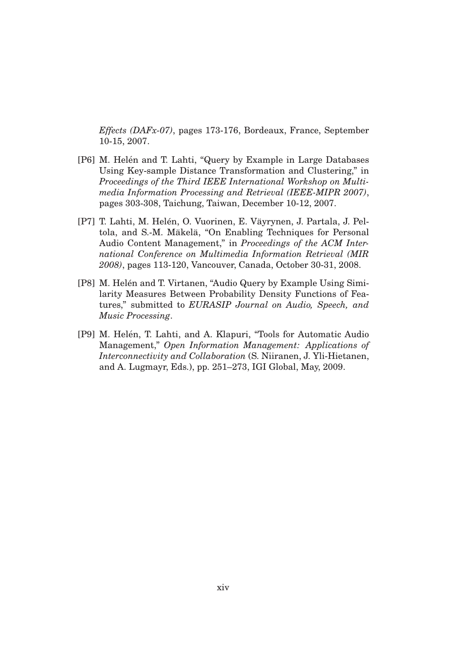*Effects (DAFx-07)*, pages 173-176, Bordeaux, France, September 10-15, 2007.

- [P6] M. Helén and T. Lahti, "Query by Example in Large Databases Using Key-sample Distance Transformation and Clustering," in *Proceedings of the Third IEEE International Workshop on Multimedia Information Processing and Retrieval (IEEE-MIPR 2007)*, pages 303-308, Taichung, Taiwan, December 10-12, 2007.
- [P7] T. Lahti, M. Helén, O. Vuorinen, E. Väyrynen, J. Partala, J. Peltola, and S.-M. Mäkelä, "On Enabling Techniques for Personal Audio Content Management," in *Proceedings of the ACM International Conference on Multimedia Information Retrieval (MIR 2008)*, pages 113-120, Vancouver, Canada, October 30-31, 2008.
- [P8] M. Helén and T. Virtanen, "Audio Query by Example Using Similarity Measures Between Probability Density Functions of Features," submitted to *EURASIP Journal on Audio, Speech, and Music Processing*.
- [P9] M. Helén, T. Lahti, and A. Klapuri, "Tools for Automatic Audio Management," *Open Information Management: Applications of Interconnectivity and Collaboration* (S. Niiranen, J. Yli-Hietanen, and A. Lugmayr, Eds.), pp. 251–273, IGI Global, May, 2009.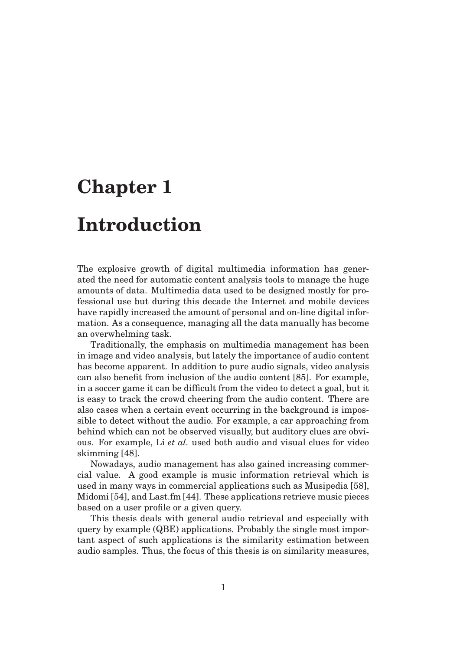### **Chapter 1**

### **Introduction**

The explosive growth of digital multimedia information has generated the need for automatic content analysis tools to manage the huge amounts of data. Multimedia data used to be designed mostly for professional use but during this decade the Internet and mobile devices have rapidly increased the amount of personal and on-line digital information. As a consequence, managing all the data manually has become an overwhelming task.

Traditionally, the emphasis on multimedia management has been in image and video analysis, but lately the importance of audio content has become apparent. In addition to pure audio signals, video analysis can also benefit from inclusion of the audio content [85]. For example, in a soccer game it can be difficult from the video to detect a goal, but it is easy to track the crowd cheering from the audio content. There are also cases when a certain event occurring in the background is impossible to detect without the audio. For example, a car approaching from behind which can not be observed visually, but auditory clues are obvious. For example, Li *et al.* used both audio and visual clues for video skimming [48].

Nowadays, audio management has also gained increasing commercial value. A good example is music information retrieval which is used in many ways in commercial applications such as Musipedia [58], Midomi [54], and Last.fm [44]. These applications retrieve music pieces based on a user profile or a given query.

This thesis deals with general audio retrieval and especially with query by example (QBE) applications. Probably the single most important aspect of such applications is the similarity estimation between audio samples. Thus, the focus of this thesis is on similarity measures,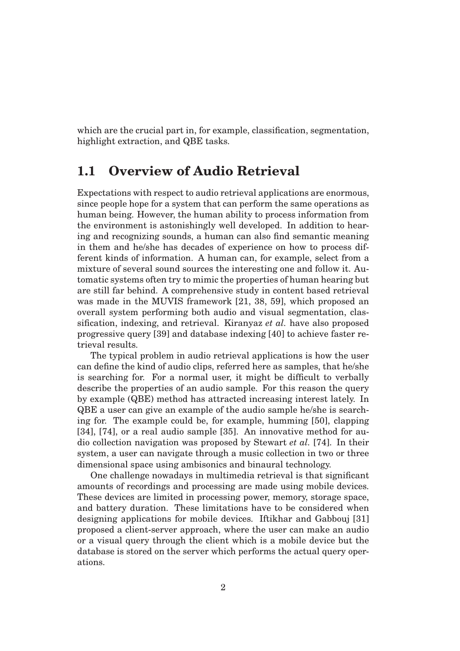which are the crucial part in, for example, classification, segmentation, highlight extraction, and QBE tasks.

#### **1.1 Overview of Audio Retrieval**

Expectations with respect to audio retrieval applications are enormous, since people hope for a system that can perform the same operations as human being. However, the human ability to process information from the environment is astonishingly well developed. In addition to hearing and recognizing sounds, a human can also find semantic meaning in them and he/she has decades of experience on how to process different kinds of information. A human can, for example, select from a mixture of several sound sources the interesting one and follow it. Automatic systems often try to mimic the properties of human hearing but are still far behind. A comprehensive study in content based retrieval was made in the MUVIS framework [21, 38, 59], which proposed an overall system performing both audio and visual segmentation, classification, indexing, and retrieval. Kiranyaz *et al.* have also proposed progressive query [39] and database indexing [40] to achieve faster retrieval results.

The typical problem in audio retrieval applications is how the user can define the kind of audio clips, referred here as samples, that he/she is searching for. For a normal user, it might be difficult to verbally describe the properties of an audio sample. For this reason the query by example (QBE) method has attracted increasing interest lately. In QBE a user can give an example of the audio sample he/she is searching for. The example could be, for example, humming [50], clapping [34], [74], or a real audio sample [35]. An innovative method for audio collection navigation was proposed by Stewart *et al.* [74]. In their system, a user can navigate through a music collection in two or three dimensional space using ambisonics and binaural technology.

One challenge nowadays in multimedia retrieval is that significant amounts of recordings and processing are made using mobile devices. These devices are limited in processing power, memory, storage space, and battery duration. These limitations have to be considered when designing applications for mobile devices. Iftikhar and Gabbouj [31] proposed a client-server approach, where the user can make an audio or a visual query through the client which is a mobile device but the database is stored on the server which performs the actual query operations.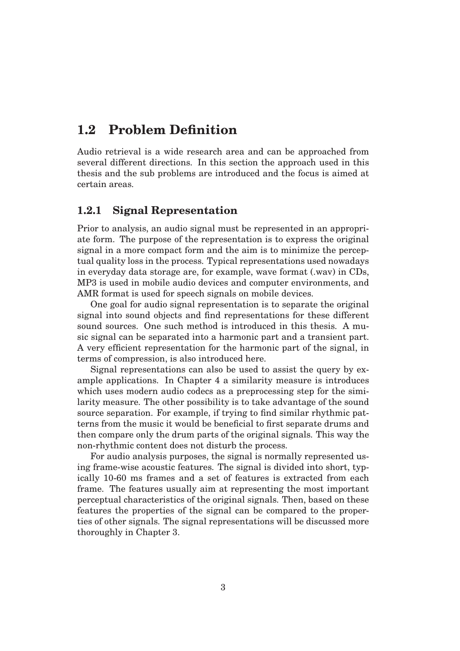#### **1.2 Problem Definition**

Audio retrieval is a wide research area and can be approached from several different directions. In this section the approach used in this thesis and the sub problems are introduced and the focus is aimed at certain areas.

#### **1.2.1 Signal Representation**

Prior to analysis, an audio signal must be represented in an appropriate form. The purpose of the representation is to express the original signal in a more compact form and the aim is to minimize the perceptual quality loss in the process. Typical representations used nowadays in everyday data storage are, for example, wave format (.wav) in CDs, MP3 is used in mobile audio devices and computer environments, and AMR format is used for speech signals on mobile devices.

One goal for audio signal representation is to separate the original signal into sound objects and find representations for these different sound sources. One such method is introduced in this thesis. A music signal can be separated into a harmonic part and a transient part. A very efficient representation for the harmonic part of the signal, in terms of compression, is also introduced here.

Signal representations can also be used to assist the query by example applications. In Chapter 4 a similarity measure is introduces which uses modern audio codecs as a preprocessing step for the similarity measure. The other possibility is to take advantage of the sound source separation. For example, if trying to find similar rhythmic patterns from the music it would be beneficial to first separate drums and then compare only the drum parts of the original signals. This way the non-rhythmic content does not disturb the process.

For audio analysis purposes, the signal is normally represented using frame-wise acoustic features. The signal is divided into short, typically 10-60 ms frames and a set of features is extracted from each frame. The features usually aim at representing the most important perceptual characteristics of the original signals. Then, based on these features the properties of the signal can be compared to the properties of other signals. The signal representations will be discussed more thoroughly in Chapter 3.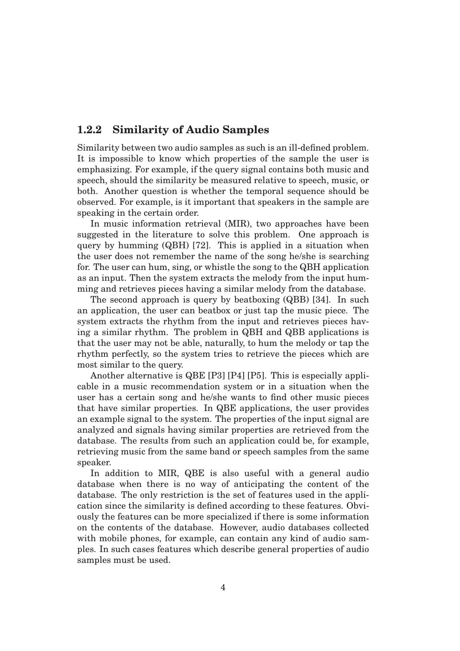#### **1.2.2 Similarity of Audio Samples**

Similarity between two audio samples as such is an ill-defined problem. It is impossible to know which properties of the sample the user is emphasizing. For example, if the query signal contains both music and speech, should the similarity be measured relative to speech, music, or both. Another question is whether the temporal sequence should be observed. For example, is it important that speakers in the sample are speaking in the certain order.

In music information retrieval (MIR), two approaches have been suggested in the literature to solve this problem. One approach is query by humming (QBH) [72]. This is applied in a situation when the user does not remember the name of the song he/she is searching for. The user can hum, sing, or whistle the song to the QBH application as an input. Then the system extracts the melody from the input humming and retrieves pieces having a similar melody from the database.

The second approach is query by beatboxing (QBB) [34]. In such an application, the user can beatbox or just tap the music piece. The system extracts the rhythm from the input and retrieves pieces having a similar rhythm. The problem in QBH and QBB applications is that the user may not be able, naturally, to hum the melody or tap the rhythm perfectly, so the system tries to retrieve the pieces which are most similar to the query.

Another alternative is QBE [P3] [P4] [P5]. This is especially applicable in a music recommendation system or in a situation when the user has a certain song and he/she wants to find other music pieces that have similar properties. In QBE applications, the user provides an example signal to the system. The properties of the input signal are analyzed and signals having similar properties are retrieved from the database. The results from such an application could be, for example, retrieving music from the same band or speech samples from the same speaker.

In addition to MIR, QBE is also useful with a general audio database when there is no way of anticipating the content of the database. The only restriction is the set of features used in the application since the similarity is defined according to these features. Obviously the features can be more specialized if there is some information on the contents of the database. However, audio databases collected with mobile phones, for example, can contain any kind of audio samples. In such cases features which describe general properties of audio samples must be used.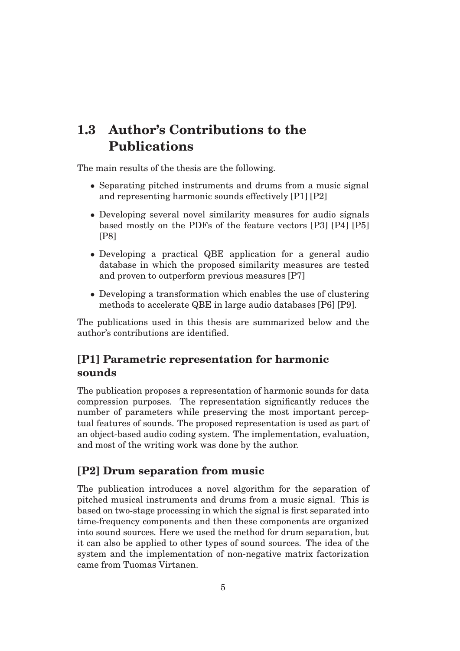#### **1.3 Author's Contributions to the Publications**

The main results of the thesis are the following.

- Separating pitched instruments and drums from a music signal and representing harmonic sounds effectively [P1] [P2]
- Developing several novel similarity measures for audio signals based mostly on the PDFs of the feature vectors [P3] [P4] [P5] [P8]
- Developing a practical QBE application for a general audio database in which the proposed similarity measures are tested and proven to outperform previous measures [P7]
- Developing a transformation which enables the use of clustering methods to accelerate QBE in large audio databases [P6] [P9].

The publications used in this thesis are summarized below and the author's contributions are identified.

#### **[P1] Parametric representation for harmonic sounds**

The publication proposes a representation of harmonic sounds for data compression purposes. The representation significantly reduces the number of parameters while preserving the most important perceptual features of sounds. The proposed representation is used as part of an object-based audio coding system. The implementation, evaluation, and most of the writing work was done by the author.

#### **[P2] Drum separation from music**

The publication introduces a novel algorithm for the separation of pitched musical instruments and drums from a music signal. This is based on two-stage processing in which the signal is first separated into time-frequency components and then these components are organized into sound sources. Here we used the method for drum separation, but it can also be applied to other types of sound sources. The idea of the system and the implementation of non-negative matrix factorization came from Tuomas Virtanen.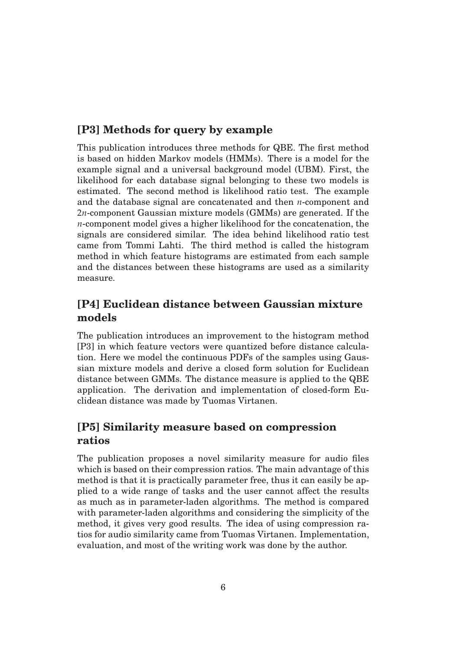#### **[P3] Methods for query by example**

This publication introduces three methods for QBE. The first method is based on hidden Markov models (HMMs). There is a model for the example signal and a universal background model (UBM). First, the likelihood for each database signal belonging to these two models is estimated. The second method is likelihood ratio test. The example and the database signal are concatenated and then *n*-component and 2*n*-component Gaussian mixture models (GMMs) are generated. If the *n*-component model gives a higher likelihood for the concatenation, the signals are considered similar. The idea behind likelihood ratio test came from Tommi Lahti. The third method is called the histogram method in which feature histograms are estimated from each sample and the distances between these histograms are used as a similarity measure.

#### **[P4] Euclidean distance between Gaussian mixture models**

The publication introduces an improvement to the histogram method [P3] in which feature vectors were quantized before distance calculation. Here we model the continuous PDFs of the samples using Gaussian mixture models and derive a closed form solution for Euclidean distance between GMMs. The distance measure is applied to the QBE application. The derivation and implementation of closed-form Euclidean distance was made by Tuomas Virtanen.

#### **[P5] Similarity measure based on compression ratios**

The publication proposes a novel similarity measure for audio files which is based on their compression ratios. The main advantage of this method is that it is practically parameter free, thus it can easily be applied to a wide range of tasks and the user cannot affect the results as much as in parameter-laden algorithms. The method is compared with parameter-laden algorithms and considering the simplicity of the method, it gives very good results. The idea of using compression ratios for audio similarity came from Tuomas Virtanen. Implementation, evaluation, and most of the writing work was done by the author.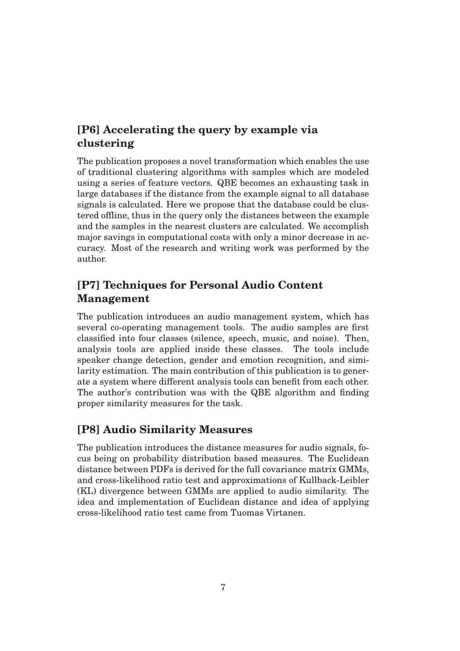#### **[P6] Accelerating the query by example via clustering**

The publication proposes a novel transformation which enables the use of traditional clustering algorithms with samples which are modeled using a series of feature vectors. QBE becomes an exhausting task in large databases if the distance from the example signal to all database signals is calculated. Here we propose that the database could be clustered offline, thus in the query only the distances between the example and the samples in the nearest clusters are calculated. We accomplish major savings in computational costs with only a minor decrease in accuracy. Most of the research and writing work was performed by the author.

#### **[P7] Techniques for Personal Audio Content Management**

The publication introduces an audio management system, which has several co-operating management tools. The audio samples are first classified into four classes (silence, speech, music, and noise). Then, analysis tools are applied inside these classes. The tools include speaker change detection, gender and emotion recognition, and similarity estimation. The main contribution of this publication is to generate a system where different analysis tools can benefit from each other. The author's contribution was with the QBE algorithm and finding proper similarity measures for the task.

#### **[P8] Audio Similarity Measures**

The publication introduces the distance measures for audio signals, focus being on probability distribution based measures. The Euclidean distance between PDFs is derived for the full covariance matrix GMMs, and cross-likelihood ratio test and approximations of Kullback-Leibler (KL) divergence between GMMs are applied to audio similarity. The idea and implementation of Euclidean distance and idea of applying cross-likelihood ratio test came from Tuomas Virtanen.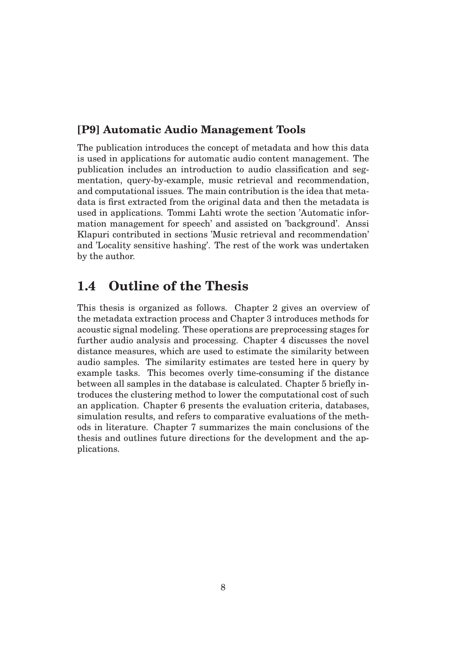#### **[P9] Automatic Audio Management Tools**

The publication introduces the concept of metadata and how this data is used in applications for automatic audio content management. The publication includes an introduction to audio classification and segmentation, query-by-example, music retrieval and recommendation, and computational issues. The main contribution is the idea that metadata is first extracted from the original data and then the metadata is used in applications. Tommi Lahti wrote the section 'Automatic information management for speech' and assisted on 'background'. Anssi Klapuri contributed in sections 'Music retrieval and recommendation' and 'Locality sensitive hashing'. The rest of the work was undertaken by the author.

#### **1.4 Outline of the Thesis**

This thesis is organized as follows. Chapter 2 gives an overview of the metadata extraction process and Chapter 3 introduces methods for acoustic signal modeling. These operations are preprocessing stages for further audio analysis and processing. Chapter 4 discusses the novel distance measures, which are used to estimate the similarity between audio samples. The similarity estimates are tested here in query by example tasks. This becomes overly time-consuming if the distance between all samples in the database is calculated. Chapter 5 briefly introduces the clustering method to lower the computational cost of such an application. Chapter 6 presents the evaluation criteria, databases, simulation results, and refers to comparative evaluations of the methods in literature. Chapter 7 summarizes the main conclusions of the thesis and outlines future directions for the development and the applications.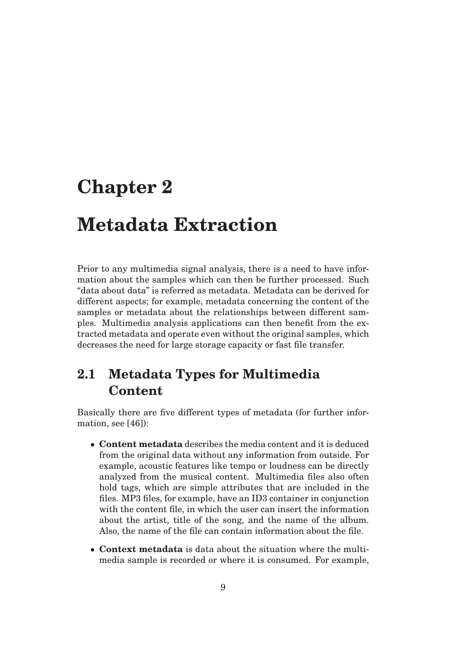### **Chapter 2**

### **Metadata Extraction**

Prior to any multimedia signal analysis, there is a need to have information about the samples which can then be further processed. Such "data about data" is referred as metadata. Metadata can be derived for different aspects; for example, metadata concerning the content of the samples or metadata about the relationships between different samples. Multimedia analysis applications can then benefit from the extracted metadata and operate even without the original samples, which decreases the need for large storage capacity or fast file transfer.

#### **2.1 Metadata Types for Multimedia Content**

Basically there are five different types of metadata (for further information, see [46]):

- **Content metadata** describes the media content and it is deduced from the original data without any information from outside. For example, acoustic features like tempo or loudness can be directly analyzed from the musical content. Multimedia files also often hold tags, which are simple attributes that are included in the files. MP3 files, for example, have an ID3 container in conjunction with the content file, in which the user can insert the information about the artist, title of the song, and the name of the album. Also, the name of the file can contain information about the file.
- **Context metadata** is data about the situation where the multimedia sample is recorded or where it is consumed. For example,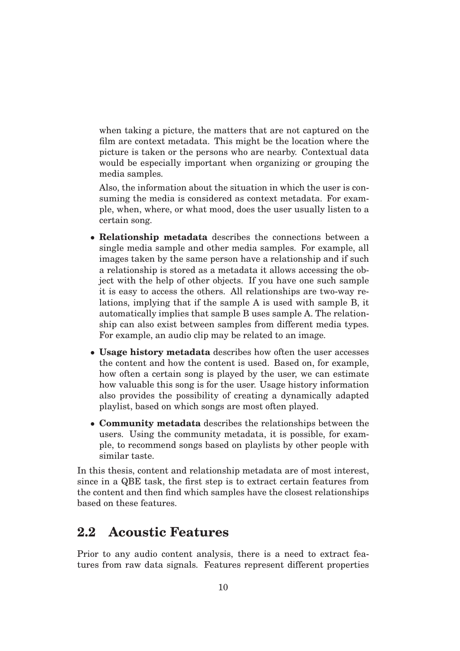when taking a picture, the matters that are not captured on the film are context metadata. This might be the location where the picture is taken or the persons who are nearby. Contextual data would be especially important when organizing or grouping the media samples.

Also, the information about the situation in which the user is consuming the media is considered as context metadata. For example, when, where, or what mood, does the user usually listen to a certain song.

- **Relationship metadata** describes the connections between a single media sample and other media samples. For example, all images taken by the same person have a relationship and if such a relationship is stored as a metadata it allows accessing the object with the help of other objects. If you have one such sample it is easy to access the others. All relationships are two-way relations, implying that if the sample A is used with sample B, it automatically implies that sample B uses sample A. The relationship can also exist between samples from different media types. For example, an audio clip may be related to an image.
- **Usage history metadata** describes how often the user accesses the content and how the content is used. Based on, for example, how often a certain song is played by the user, we can estimate how valuable this song is for the user. Usage history information also provides the possibility of creating a dynamically adapted playlist, based on which songs are most often played.
- **Community metadata** describes the relationships between the users. Using the community metadata, it is possible, for example, to recommend songs based on playlists by other people with similar taste.

In this thesis, content and relationship metadata are of most interest, since in a QBE task, the first step is to extract certain features from the content and then find which samples have the closest relationships based on these features.

#### **2.2 Acoustic Features**

Prior to any audio content analysis, there is a need to extract features from raw data signals. Features represent different properties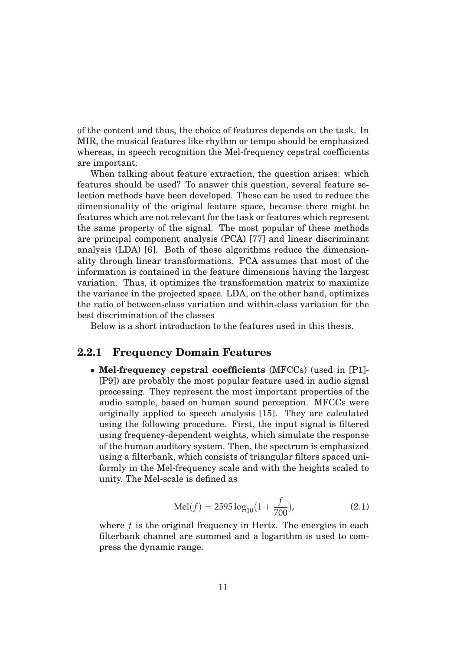of the content and thus, the choice of features depends on the task. In MIR, the musical features like rhythm or tempo should be emphasized whereas, in speech recognition the Mel-frequency cepstral coefficients are important.

When talking about feature extraction, the question arises: which features should be used? To answer this question, several feature selection methods have been developed. These can be used to reduce the dimensionality of the original feature space, because there might be features which are not relevant for the task or features which represent the same property of the signal. The most popular of these methods are principal component analysis (PCA) [77] and linear discriminant analysis (LDA) [6]. Both of these algorithms reduce the dimensionality through linear transformations. PCA assumes that most of the information is contained in the feature dimensions having the largest variation. Thus, it optimizes the transformation matrix to maximize the variance in the projected space. LDA, on the other hand, optimizes the ratio of between-class variation and within-class variation for the best discrimination of the classes

Below is a short introduction to the features used in this thesis.

#### **2.2.1 Frequency Domain Features**

• **Mel-frequency cepstral coefficients** (MFCCs) (used in [P1]- [P9]) are probably the most popular feature used in audio signal processing. They represent the most important properties of the audio sample, based on human sound perception. MFCCs were originally applied to speech analysis [15]. They are calculated using the following procedure. First, the input signal is filtered using frequency-dependent weights, which simulate the response of the human auditory system. Then, the spectrum is emphasized using a filterbank, which consists of triangular filters spaced uniformly in the Mel-frequency scale and with the heights scaled to unity. The Mel-scale is defined as

$$
Mel(f) = 2595 \log_{10}(1 + \frac{f}{700}),
$$
\n(2.1)

where *f* is the original frequency in Hertz. The energies in each filterbank channel are summed and a logarithm is used to compress the dynamic range.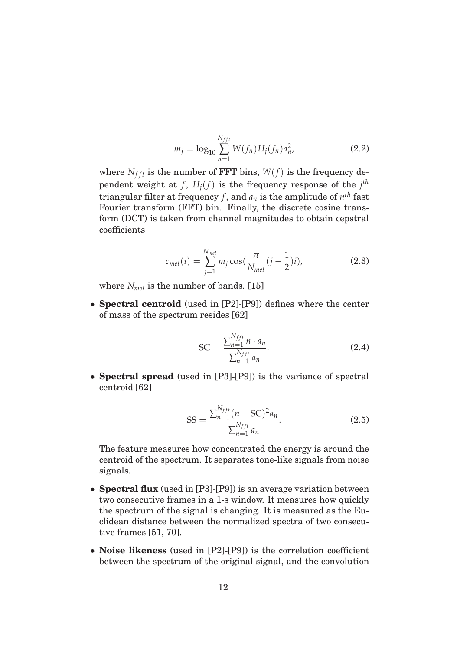$$
m_j = \log_{10} \sum_{n=1}^{N_{fft}} W(f_n) H_j(f_n) a_n^2,
$$
\n(2.2)

where  $N_{fft}$  is the number of FFT bins,  $W(f)$  is the frequency dependent weight at  $f$ ,  $H_j(f)$  is the frequency response of the  $j<sup>th</sup>$ triangular filter at frequency *f*, and  $a_n$  is the amplitude of  $n^{th}$  fast Fourier transform (FFT) bin. Finally, the discrete cosine transform (DCT) is taken from channel magnitudes to obtain cepstral coefficients

$$
c_{mel}(i) = \sum_{j=1}^{N_{mel}} m_j \cos(\frac{\pi}{N_{mel}}(j-\frac{1}{2})i),
$$
 (2.3)

where *Nmel* is the number of bands. [15]

• **Spectral centroid** (used in [P2]-[P9]) defines where the center of mass of the spectrum resides [62]

$$
SC = \frac{\sum_{n=1}^{N_{ff}} n \cdot a_n}{\sum_{n=1}^{N_{ff}} a_n}.
$$
 (2.4)

• **Spectral spread** (used in [P3]-[P9]) is the variance of spectral centroid [62]

$$
SS = \frac{\sum_{n=1}^{N_{fft}} (n - SC)^2 a_n}{\sum_{n=1}^{N_{fft}} a_n}.
$$
 (2.5)

The feature measures how concentrated the energy is around the centroid of the spectrum. It separates tone-like signals from noise signals.

- **Spectral flux** (used in [P3]-[P9]) is an average variation between two consecutive frames in a 1-s window. It measures how quickly the spectrum of the signal is changing. It is measured as the Euclidean distance between the normalized spectra of two consecutive frames [51, 70].
- **Noise likeness** (used in [P2]-[P9]) is the correlation coefficient between the spectrum of the original signal, and the convolution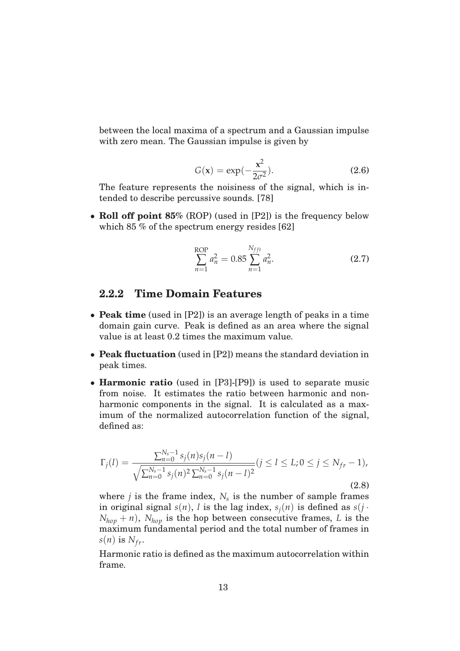between the local maxima of a spectrum and a Gaussian impulse with zero mean. The Gaussian impulse is given by

$$
G(x) = \exp(-\frac{x^2}{2\sigma^2}).
$$
 (2.6)

The feature represents the noisiness of the signal, which is intended to describe percussive sounds. [78]

• **Roll off point 85%** (ROP) (used in [P2]) is the frequency below which 85 % of the spectrum energy resides [62]

ROP  
\n
$$
\sum_{n=1}^{ROP} a_n^2 = 0.85 \sum_{n=1}^{N_{fft}} a_n^2.
$$
\n(2.7)

#### **2.2.2 Time Domain Features**

- **Peak time** (used in [P2]) is an average length of peaks in a time domain gain curve. Peak is defined as an area where the signal value is at least 0.2 times the maximum value.
- **Peak fluctuation** (used in [P2]) means the standard deviation in peak times.
- **Harmonic ratio** (used in [P3]-[P9]) is used to separate music from noise. It estimates the ratio between harmonic and nonharmonic components in the signal. It is calculated as a maximum of the normalized autocorrelation function of the signal, defined as:

$$
\Gamma_j(l) = \frac{\sum_{n=0}^{N_s-1} s_j(n) s_j(n-l)}{\sqrt{\sum_{n=0}^{N_s-1} s_j(n)^2 \sum_{n=0}^{N_s-1} s_j(n-l)^2}} (j \le l \le L; 0 \le j \le N_{fr} - 1),
$$
\n(2.8)

where  $j$  is the frame index,  $N_s$  is the number of sample frames in original signal  $s(n)$ , *l* is the lag index,  $s<sub>i</sub>(n)$  is defined as  $s(j \cdot$  $N_{hop} + n$ ,  $N_{hop}$  is the hop between consecutive frames, *L* is the maximum fundamental period and the total number of frames in  $s(n)$  is  $N_{fr}$ .

Harmonic ratio is defined as the maximum autocorrelation within frame.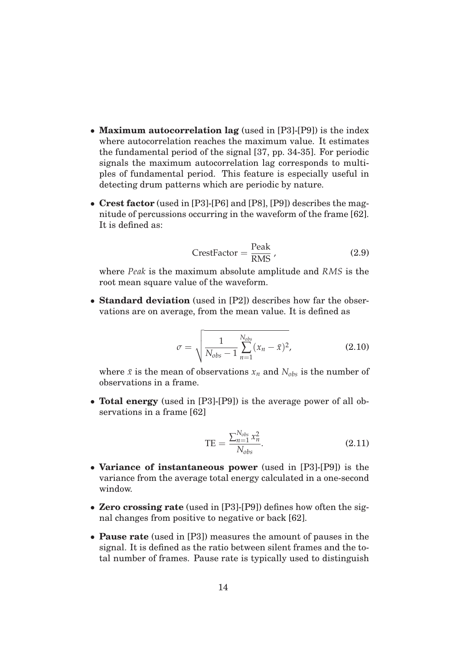- **Maximum autocorrelation lag** (used in [P3]-[P9]) is the index where autocorrelation reaches the maximum value. It estimates the fundamental period of the signal [37, pp. 34-35]. For periodic signals the maximum autocorrelation lag corresponds to multiples of fundamental period. This feature is especially useful in detecting drum patterns which are periodic by nature.
- **Crest factor** (used in [P3]-[P6] and [P8], [P9]) describes the magnitude of percussions occurring in the waveform of the frame [62]. It is defined as:

$$
CrestFactor = \frac{Peak}{RMS}, \qquad (2.9)
$$

where *Peak* is the maximum absolute amplitude and *RMS* is the root mean square value of the waveform.

• **Standard deviation** (used in [P2]) describes how far the observations are on average, from the mean value. It is defined as

$$
\sigma = \sqrt{\frac{1}{N_{obs} - 1} \sum_{n=1}^{N_{obs}} (x_n - \bar{x})^2},
$$
\n(2.10)

where  $\bar{x}$  is the mean of observations  $x_n$  and  $N_{obs}$  is the number of observations in a frame.

• **Total energy** (used in [P3]-[P9]) is the average power of all observations in a frame [62]

$$
TE = \frac{\sum_{n=1}^{N_{obs}} x_n^2}{N_{obs}}.
$$
 (2.11)

- **Variance of instantaneous power** (used in [P3]-[P9]) is the variance from the average total energy calculated in a one-second window.
- **Zero crossing rate** (used in [P3]-[P9]) defines how often the signal changes from positive to negative or back [62].
- **Pause rate** (used in [P3]) measures the amount of pauses in the signal. It is defined as the ratio between silent frames and the total number of frames. Pause rate is typically used to distinguish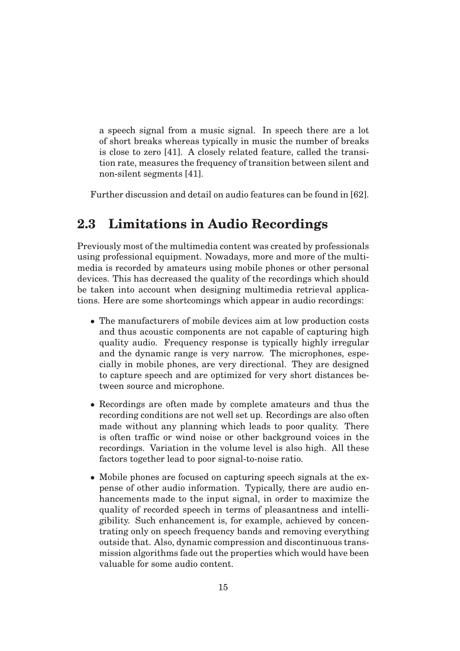a speech signal from a music signal. In speech there are a lot of short breaks whereas typically in music the number of breaks is close to zero [41]. A closely related feature, called the transition rate, measures the frequency of transition between silent and non-silent segments [41].

Further discussion and detail on audio features can be found in [62].

#### **2.3 Limitations in Audio Recordings**

Previously most of the multimedia content was created by professionals using professional equipment. Nowadays, more and more of the multimedia is recorded by amateurs using mobile phones or other personal devices. This has decreased the quality of the recordings which should be taken into account when designing multimedia retrieval applications. Here are some shortcomings which appear in audio recordings:

- The manufacturers of mobile devices aim at low production costs and thus acoustic components are not capable of capturing high quality audio. Frequency response is typically highly irregular and the dynamic range is very narrow. The microphones, especially in mobile phones, are very directional. They are designed to capture speech and are optimized for very short distances between source and microphone.
- Recordings are often made by complete amateurs and thus the recording conditions are not well set up. Recordings are also often made without any planning which leads to poor quality. There is often traffic or wind noise or other background voices in the recordings. Variation in the volume level is also high. All these factors together lead to poor signal-to-noise ratio.
- Mobile phones are focused on capturing speech signals at the expense of other audio information. Typically, there are audio enhancements made to the input signal, in order to maximize the quality of recorded speech in terms of pleasantness and intelligibility. Such enhancement is, for example, achieved by concentrating only on speech frequency bands and removing everything outside that. Also, dynamic compression and discontinuous transmission algorithms fade out the properties which would have been valuable for some audio content.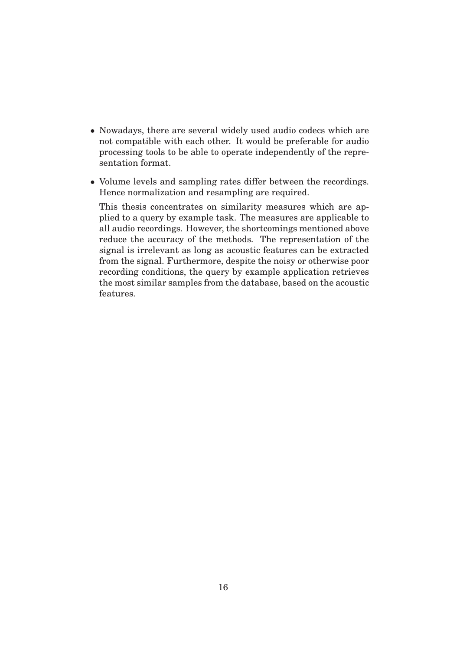- Nowadays, there are several widely used audio codecs which are not compatible with each other. It would be preferable for audio processing tools to be able to operate independently of the representation format.
- Volume levels and sampling rates differ between the recordings. Hence normalization and resampling are required.

This thesis concentrates on similarity measures which are applied to a query by example task. The measures are applicable to all audio recordings. However, the shortcomings mentioned above reduce the accuracy of the methods. The representation of the signal is irrelevant as long as acoustic features can be extracted from the signal. Furthermore, despite the noisy or otherwise poor recording conditions, the query by example application retrieves the most similar samples from the database, based on the acoustic features.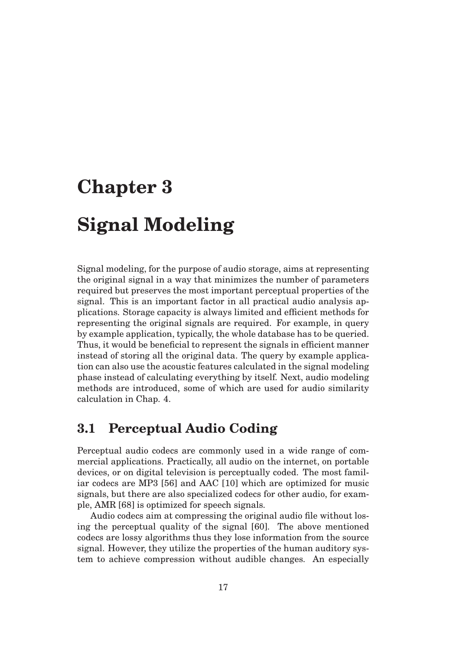# **Chapter 3**

### **Signal Modeling**

Signal modeling, for the purpose of audio storage, aims at representing the original signal in a way that minimizes the number of parameters required but preserves the most important perceptual properties of the signal. This is an important factor in all practical audio analysis applications. Storage capacity is always limited and efficient methods for representing the original signals are required. For example, in query by example application, typically, the whole database has to be queried. Thus, it would be beneficial to represent the signals in efficient manner instead of storing all the original data. The query by example application can also use the acoustic features calculated in the signal modeling phase instead of calculating everything by itself. Next, audio modeling methods are introduced, some of which are used for audio similarity calculation in Chap. 4.

#### **3.1 Perceptual Audio Coding**

Perceptual audio codecs are commonly used in a wide range of commercial applications. Practically, all audio on the internet, on portable devices, or on digital television is perceptually coded. The most familiar codecs are MP3 [56] and AAC [10] which are optimized for music signals, but there are also specialized codecs for other audio, for example, AMR [68] is optimized for speech signals.

Audio codecs aim at compressing the original audio file without losing the perceptual quality of the signal [60]. The above mentioned codecs are lossy algorithms thus they lose information from the source signal. However, they utilize the properties of the human auditory system to achieve compression without audible changes. An especially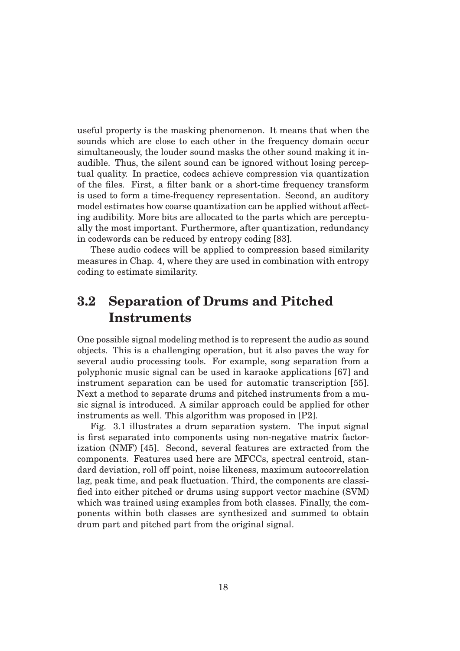useful property is the masking phenomenon. It means that when the sounds which are close to each other in the frequency domain occur simultaneously, the louder sound masks the other sound making it inaudible. Thus, the silent sound can be ignored without losing perceptual quality. In practice, codecs achieve compression via quantization of the files. First, a filter bank or a short-time frequency transform is used to form a time-frequency representation. Second, an auditory model estimates how coarse quantization can be applied without affecting audibility. More bits are allocated to the parts which are perceptually the most important. Furthermore, after quantization, redundancy in codewords can be reduced by entropy coding [83].

These audio codecs will be applied to compression based similarity measures in Chap. 4, where they are used in combination with entropy coding to estimate similarity.

#### **3.2 Separation of Drums and Pitched Instruments**

One possible signal modeling method is to represent the audio as sound objects. This is a challenging operation, but it also paves the way for several audio processing tools. For example, song separation from a polyphonic music signal can be used in karaoke applications [67] and instrument separation can be used for automatic transcription [55]. Next a method to separate drums and pitched instruments from a music signal is introduced. A similar approach could be applied for other instruments as well. This algorithm was proposed in [P2].

Fig. 3.1 illustrates a drum separation system. The input signal is first separated into components using non-negative matrix factorization (NMF) [45]. Second, several features are extracted from the components. Features used here are MFCCs, spectral centroid, standard deviation, roll off point, noise likeness, maximum autocorrelation lag, peak time, and peak fluctuation. Third, the components are classified into either pitched or drums using support vector machine (SVM) which was trained using examples from both classes. Finally, the components within both classes are synthesized and summed to obtain drum part and pitched part from the original signal.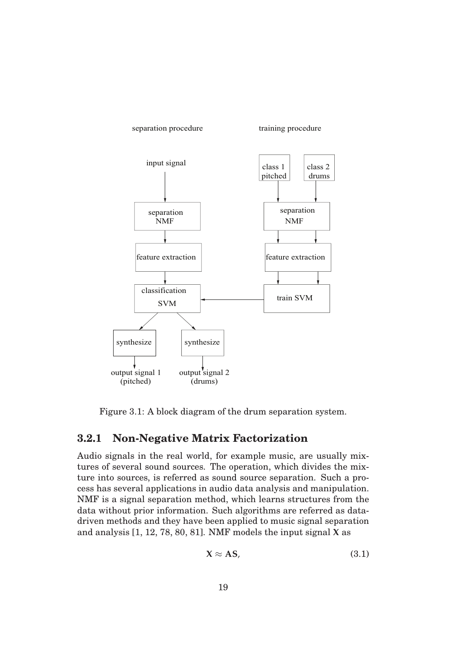

Figure 3.1: A block diagram of the drum separation system.

#### **3.2.1 Non-Negative Matrix Factorization**

Audio signals in the real world, for example music, are usually mixtures of several sound sources. The operation, which divides the mixture into sources, is referred as sound source separation. Such a process has several applications in audio data analysis and manipulation. NMF is a signal separation method, which learns structures from the data without prior information. Such algorithms are referred as datadriven methods and they have been applied to music signal separation and analysis [1, 12, 78, 80, 81]. NMF models the input signal **X** as

$$
X \approx AS,\tag{3.1}
$$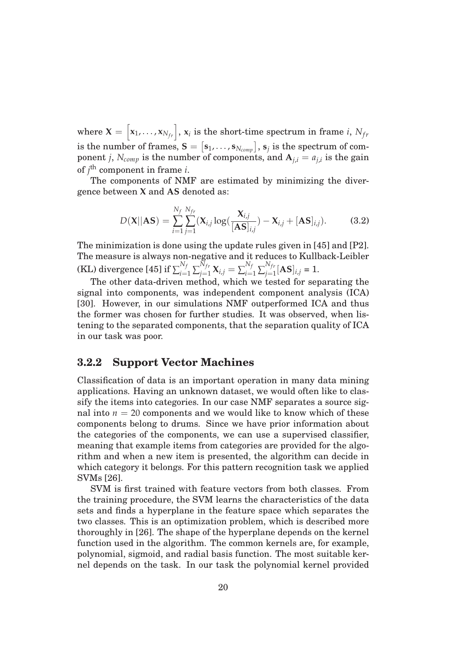where  $\mathbf{X} = \begin{bmatrix} \mathbf{x}_1, \dots, \mathbf{x}_{N_{fr}} \end{bmatrix}$ ,  $\mathbf{x}_i$  is the short-time spectrum in frame  $i$ ,  $N_{fr}$ is the number of frames,  $\mathbf{S} = [\mathbf{s}_1, \dots, \mathbf{s}_{N_{comp}}], \mathbf{s}_j$  is the spectrum of component *j*,  $N_{comp}$  is the number of components, and  $A_{j,i} = a_{j,i}$  is the gain of *j* th component in frame *i*.

The components of NMF are estimated by minimizing the divergence between **X** and **AS** denoted as:

$$
D(\mathbf{X}||\mathbf{AS}) = \sum_{i=1}^{N_f} \sum_{j=1}^{N_{fr}} (\mathbf{X}_{i,j} \log(\frac{\mathbf{X}_{i,j}}{[\mathbf{AS}]_{i,j}}) - \mathbf{X}_{i,j} + [\mathbf{AS}]_{i,j}).
$$
 (3.2)

The minimization is done using the update rules given in [45] and [P2]. The measure is always non-negative and it reduces to Kullback-Leibler  $\sum_{i=1}^{N_f}\sum_{j=1}^{N_{fr}}\mathbf{X}_{i,j} = \sum_{i=1}^{N_f}\sum_{j=1}^{N_{fr}}[\mathbf{AS}]_{i,j} = 1.$ 

The other data-driven method, which we tested for separating the signal into components, was independent component analysis (ICA) [30]. However, in our simulations NMF outperformed ICA and thus the former was chosen for further studies. It was observed, when listening to the separated components, that the separation quality of ICA in our task was poor.

#### **3.2.2 Support Vector Machines**

Classification of data is an important operation in many data mining applications. Having an unknown dataset, we would often like to classify the items into categories. In our case NMF separates a source signal into  $n = 20$  components and we would like to know which of these components belong to drums. Since we have prior information about the categories of the components, we can use a supervised classifier, meaning that example items from categories are provided for the algorithm and when a new item is presented, the algorithm can decide in which category it belongs. For this pattern recognition task we applied SVMs [26].

SVM is first trained with feature vectors from both classes. From the training procedure, the SVM learns the characteristics of the data sets and finds a hyperplane in the feature space which separates the two classes. This is an optimization problem, which is described more thoroughly in [26]. The shape of the hyperplane depends on the kernel function used in the algorithm. The common kernels are, for example, polynomial, sigmoid, and radial basis function. The most suitable kernel depends on the task. In our task the polynomial kernel provided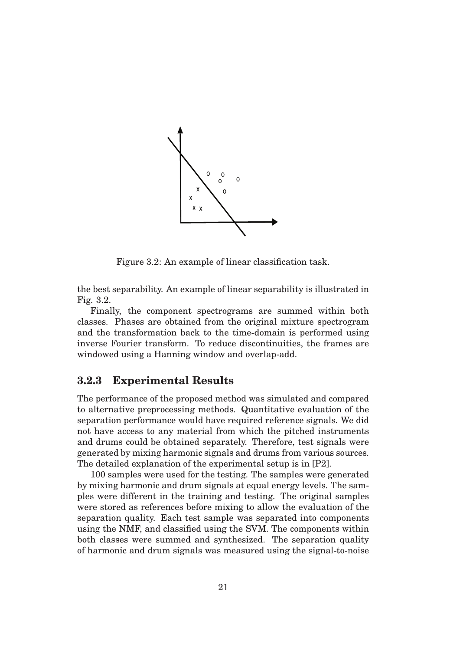

Figure 3.2: An example of linear classification task.

the best separability. An example of linear separability is illustrated in Fig. 3.2.

Finally, the component spectrograms are summed within both classes. Phases are obtained from the original mixture spectrogram and the transformation back to the time-domain is performed using inverse Fourier transform. To reduce discontinuities, the frames are windowed using a Hanning window and overlap-add.

#### **3.2.3 Experimental Results**

The performance of the proposed method was simulated and compared to alternative preprocessing methods. Quantitative evaluation of the separation performance would have required reference signals. We did not have access to any material from which the pitched instruments and drums could be obtained separately. Therefore, test signals were generated by mixing harmonic signals and drums from various sources. The detailed explanation of the experimental setup is in [P2].

100 samples were used for the testing. The samples were generated by mixing harmonic and drum signals at equal energy levels. The samples were different in the training and testing. The original samples were stored as references before mixing to allow the evaluation of the separation quality. Each test sample was separated into components using the NMF, and classified using the SVM. The components within both classes were summed and synthesized. The separation quality of harmonic and drum signals was measured using the signal-to-noise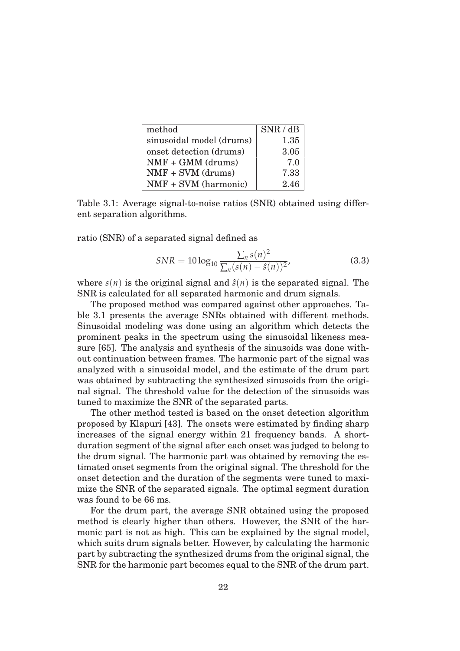| method                   | SNR / dB |
|--------------------------|----------|
| sinusoidal model (drums) | 1.35     |
| onset detection (drums)  | 3.05     |
| $NMF + GMM$ (drums)      | 7.0      |
| $NMF + SVM$ (drums)      | 7.33     |
| NMF + SVM (harmonic)     | 2.46     |

Table 3.1: Average signal-to-noise ratios (SNR) obtained using different separation algorithms.

ratio (SNR) of a separated signal defined as

$$
SNR = 10 \log_{10} \frac{\sum_{n} s(n)^2}{\sum_{n} (s(n) - \hat{s}(n))^2},
$$
\n(3.3)

where  $s(n)$  is the original signal and  $\hat{s}(n)$  is the separated signal. The SNR is calculated for all separated harmonic and drum signals.

The proposed method was compared against other approaches. Table 3.1 presents the average SNRs obtained with different methods. Sinusoidal modeling was done using an algorithm which detects the prominent peaks in the spectrum using the sinusoidal likeness measure [65]. The analysis and synthesis of the sinusoids was done without continuation between frames. The harmonic part of the signal was analyzed with a sinusoidal model, and the estimate of the drum part was obtained by subtracting the synthesized sinusoids from the original signal. The threshold value for the detection of the sinusoids was tuned to maximize the SNR of the separated parts.

The other method tested is based on the onset detection algorithm proposed by Klapuri [43]. The onsets were estimated by finding sharp increases of the signal energy within 21 frequency bands. A shortduration segment of the signal after each onset was judged to belong to the drum signal. The harmonic part was obtained by removing the estimated onset segments from the original signal. The threshold for the onset detection and the duration of the segments were tuned to maximize the SNR of the separated signals. The optimal segment duration was found to be 66 ms.

For the drum part, the average SNR obtained using the proposed method is clearly higher than others. However, the SNR of the harmonic part is not as high. This can be explained by the signal model, which suits drum signals better. However, by calculating the harmonic part by subtracting the synthesized drums from the original signal, the SNR for the harmonic part becomes equal to the SNR of the drum part.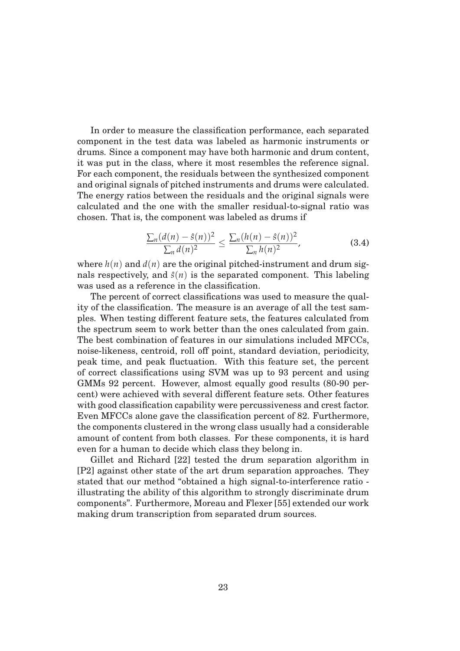In order to measure the classification performance, each separated component in the test data was labeled as harmonic instruments or drums. Since a component may have both harmonic and drum content, it was put in the class, where it most resembles the reference signal. For each component, the residuals between the synthesized component and original signals of pitched instruments and drums were calculated. The energy ratios between the residuals and the original signals were calculated and the one with the smaller residual-to-signal ratio was chosen. That is, the component was labeled as drums if

$$
\frac{\sum_{n} (d(n) - \hat{s}(n))^2}{\sum_{n} d(n)^2} \le \frac{\sum_{n} (h(n) - \hat{s}(n))^2}{\sum_{n} h(n)^2},
$$
\n(3.4)

where  $h(n)$  and  $d(n)$  are the original pitched-instrument and drum signals respectively, and  $\hat{s}(n)$  is the separated component. This labeling was used as a reference in the classification.

The percent of correct classifications was used to measure the quality of the classification. The measure is an average of all the test samples. When testing different feature sets, the features calculated from the spectrum seem to work better than the ones calculated from gain. The best combination of features in our simulations included MFCCs, noise-likeness, centroid, roll off point, standard deviation, periodicity, peak time, and peak fluctuation. With this feature set, the percent of correct classifications using SVM was up to 93 percent and using GMMs 92 percent. However, almost equally good results (80-90 percent) were achieved with several different feature sets. Other features with good classification capability were percussiveness and crest factor. Even MFCCs alone gave the classification percent of 82. Furthermore, the components clustered in the wrong class usually had a considerable amount of content from both classes. For these components, it is hard even for a human to decide which class they belong in.

Gillet and Richard [22] tested the drum separation algorithm in [P2] against other state of the art drum separation approaches. They stated that our method "obtained a high signal-to-interference ratio illustrating the ability of this algorithm to strongly discriminate drum components". Furthermore, Moreau and Flexer [55] extended our work making drum transcription from separated drum sources.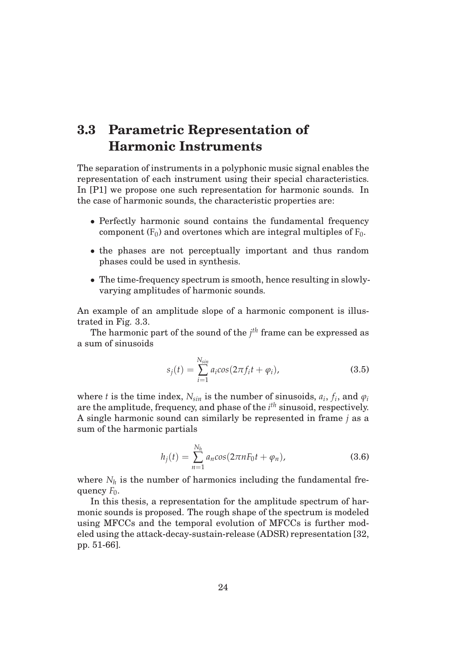## **3.3 Parametric Representation of Harmonic Instruments**

The separation of instruments in a polyphonic music signal enables the representation of each instrument using their special characteristics. In [P1] we propose one such representation for harmonic sounds. In the case of harmonic sounds, the characteristic properties are:

- Perfectly harmonic sound contains the fundamental frequency component  $(F_0)$  and overtones which are integral multiples of  $F_0$ .
- the phases are not perceptually important and thus random phases could be used in synthesis.
- The time-frequency spectrum is smooth, hence resulting in slowlyvarying amplitudes of harmonic sounds.

An example of an amplitude slope of a harmonic component is illustrated in Fig. 3.3.

The harmonic part of the sound of the *j th* frame can be expressed as a sum of sinusoids

$$
s_j(t) = \sum_{i=1}^{N_{sin}} a_i \cos(2\pi f_i t + \varphi_i),
$$
 (3.5)

where *t* is the time index,  $N_{sin}$  is the number of sinusoids,  $a_i$ ,  $f_i$ , and  $\varphi_i$ are the amplitude, frequency, and phase of the *i th* sinusoid, respectively. A single harmonic sound can similarly be represented in frame *j* as a sum of the harmonic partials

$$
h_j(t) = \sum_{n=1}^{N_h} a_n \cos(2\pi n F_0 t + \varphi_n), \qquad (3.6)
$$

where  $N_h$  is the number of harmonics including the fundamental frequency *F*<sub>0</sub>.

In this thesis, a representation for the amplitude spectrum of harmonic sounds is proposed. The rough shape of the spectrum is modeled using MFCCs and the temporal evolution of MFCCs is further modeled using the attack-decay-sustain-release (ADSR) representation [32, pp. 51-66].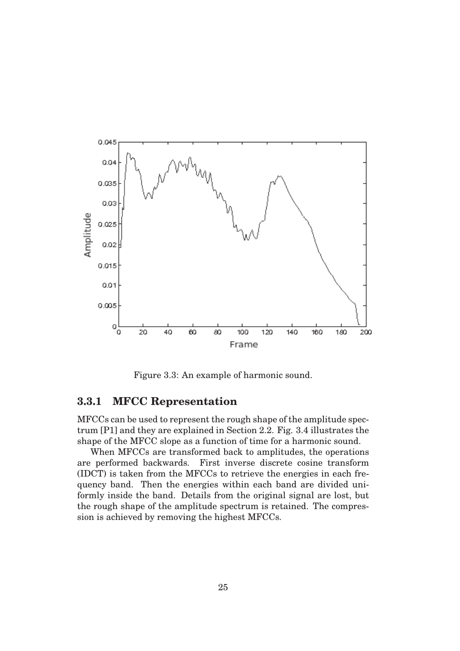

Figure 3.3: An example of harmonic sound.

#### **3.3.1 MFCC Representation**

MFCCs can be used to represent the rough shape of the amplitude spectrum [P1] and they are explained in Section 2.2. Fig. 3.4 illustrates the shape of the MFCC slope as a function of time for a harmonic sound.

When MFCCs are transformed back to amplitudes, the operations are performed backwards. First inverse discrete cosine transform (IDCT) is taken from the MFCCs to retrieve the energies in each frequency band. Then the energies within each band are divided uniformly inside the band. Details from the original signal are lost, but the rough shape of the amplitude spectrum is retained. The compression is achieved by removing the highest MFCCs.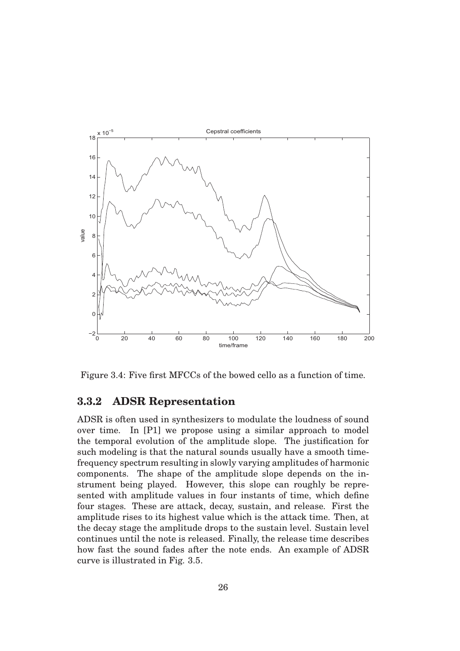

Figure 3.4: Five first MFCCs of the bowed cello as a function of time.

#### **3.3.2 ADSR Representation**

ADSR is often used in synthesizers to modulate the loudness of sound over time. In [P1] we propose using a similar approach to model the temporal evolution of the amplitude slope. The justification for such modeling is that the natural sounds usually have a smooth timefrequency spectrum resulting in slowly varying amplitudes of harmonic components. The shape of the amplitude slope depends on the instrument being played. However, this slope can roughly be represented with amplitude values in four instants of time, which define four stages. These are attack, decay, sustain, and release. First the amplitude rises to its highest value which is the attack time. Then, at the decay stage the amplitude drops to the sustain level. Sustain level continues until the note is released. Finally, the release time describes how fast the sound fades after the note ends. An example of ADSR curve is illustrated in Fig. 3.5.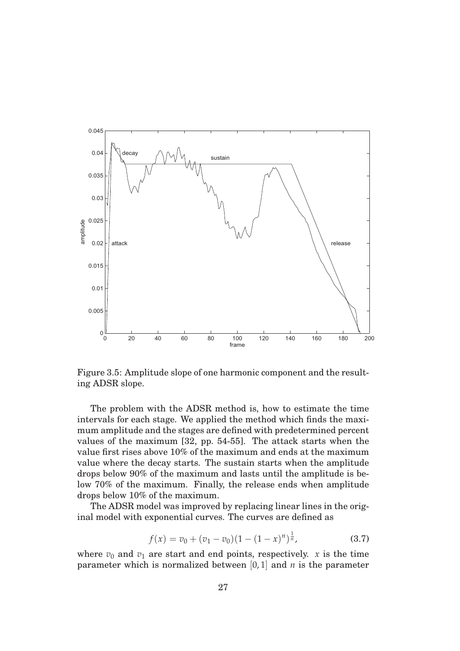

Figure 3.5: Amplitude slope of one harmonic component and the resulting ADSR slope.

The problem with the ADSR method is, how to estimate the time intervals for each stage. We applied the method which finds the maximum amplitude and the stages are defined with predetermined percent values of the maximum [32, pp. 54-55]. The attack starts when the value first rises above 10% of the maximum and ends at the maximum value where the decay starts. The sustain starts when the amplitude drops below 90% of the maximum and lasts until the amplitude is below 70% of the maximum. Finally, the release ends when amplitude drops below 10% of the maximum.

The ADSR model was improved by replacing linear lines in the original model with exponential curves. The curves are defined as

$$
f(x) = v_0 + (v_1 - v_0)(1 - (1 - x)^n)^{\frac{1}{n}},
$$
\n(3.7)

where  $v_0$  and  $v_1$  are start and end points, respectively. *x* is the time parameter which is normalized between [0, 1] and *n* is the parameter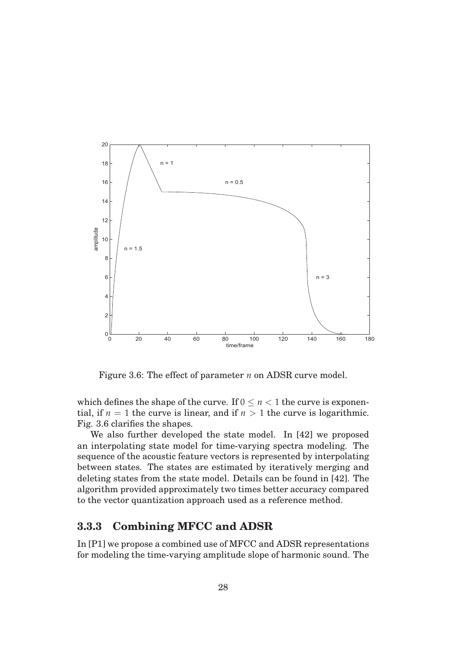

Figure 3.6: The effect of parameter *n* on ADSR curve model.

which defines the shape of the curve. If  $0 \le n < 1$  the curve is exponential, if  $n = 1$  the curve is linear, and if  $n > 1$  the curve is logarithmic. Fig. 3.6 clarifies the shapes.

We also further developed the state model. In [42] we proposed an interpolating state model for time-varying spectra modeling. The sequence of the acoustic feature vectors is represented by interpolating between states. The states are estimated by iteratively merging and deleting states from the state model. Details can be found in [42]. The algorithm provided approximately two times better accuracy compared to the vector quantization approach used as a reference method.

### **3.3.3 Combining MFCC and ADSR**

In [P1] we propose a combined use of MFCC and ADSR representations for modeling the time-varying amplitude slope of harmonic sound. The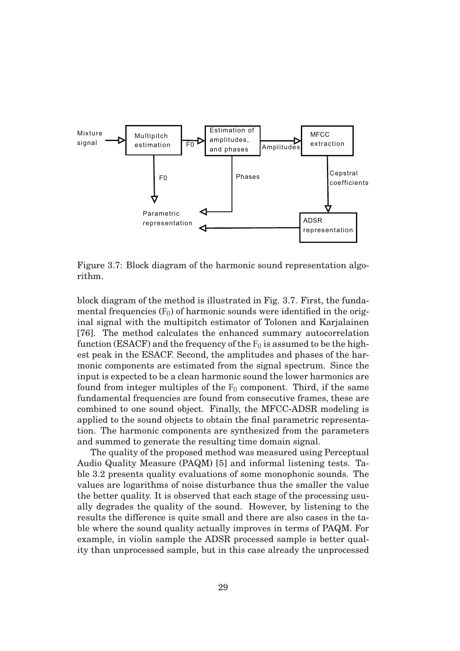

Figure 3.7: Block diagram of the harmonic sound representation algorithm.

block diagram of the method is illustrated in Fig. 3.7. First, the fundamental frequencies  $(F_0)$  of harmonic sounds were identified in the original signal with the multipitch estimator of Tolonen and Karjalainen [76]. The method calculates the enhanced summary autocorrelation function (ESACF) and the frequency of the  $F_0$  is assumed to be the highest peak in the ESACF. Second, the amplitudes and phases of the harmonic components are estimated from the signal spectrum. Since the input is expected to be a clean harmonic sound the lower harmonics are found from integer multiples of the  $F_0$  component. Third, if the same fundamental frequencies are found from consecutive frames, these are combined to one sound object. Finally, the MFCC-ADSR modeling is applied to the sound objects to obtain the final parametric representation. The harmonic components are synthesized from the parameters and summed to generate the resulting time domain signal.

The quality of the proposed method was measured using Perceptual Audio Quality Measure (PAQM) [5] and informal listening tests. Table 3.2 presents quality evaluations of some monophonic sounds. The values are logarithms of noise disturbance thus the smaller the value the better quality. It is observed that each stage of the processing usually degrades the quality of the sound. However, by listening to the results the difference is quite small and there are also cases in the table where the sound quality actually improves in terms of PAQM. For example, in violin sample the ADSR processed sample is better quality than unprocessed sample, but in this case already the unprocessed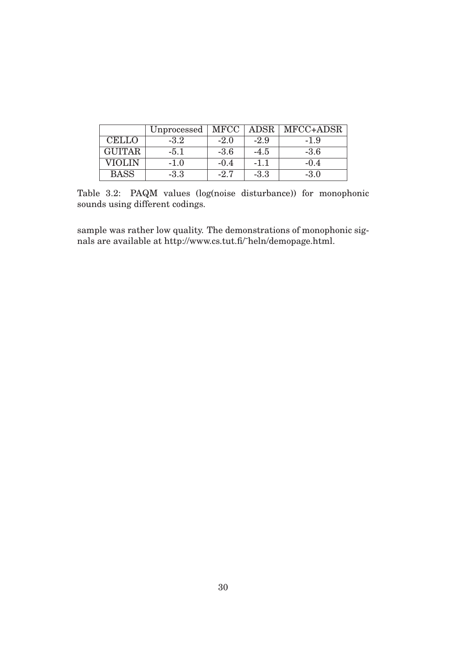|               | Unprocessed | MFCC     | ADSR   | MFCC+ADSR |
|---------------|-------------|----------|--------|-----------|
| <b>CELLO</b>  | $-3.2$      | $-2.0$   | $-2.9$ | $-1.9$    |
| <b>GUITAR</b> | $-5.1$      | $-3.6$   | $-4.5$ | $-3.6$    |
| VIOLIN        | $-1.0$      | $-()$ .4 | $-1.1$ | $-()A$    |
| <b>BASS</b>   | $-3.3$      | $-2.7$   | $-3.3$ | $-3.0$    |

Table 3.2: PAQM values (log(noise disturbance)) for monophonic sounds using different codings.

sample was rather low quality. The demonstrations of monophonic signals are available at http://www.cs.tut.fi/˜heln/demopage.html.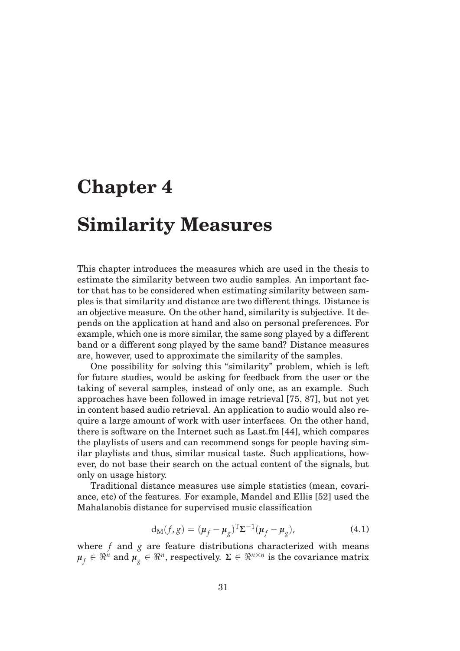## **Chapter 4**

## **Similarity Measures**

This chapter introduces the measures which are used in the thesis to estimate the similarity between two audio samples. An important factor that has to be considered when estimating similarity between samples is that similarity and distance are two different things. Distance is an objective measure. On the other hand, similarity is subjective. It depends on the application at hand and also on personal preferences. For example, which one is more similar, the same song played by a different band or a different song played by the same band? Distance measures are, however, used to approximate the similarity of the samples.

One possibility for solving this "similarity" problem, which is left for future studies, would be asking for feedback from the user or the taking of several samples, instead of only one, as an example. Such approaches have been followed in image retrieval [75, 87], but not yet in content based audio retrieval. An application to audio would also require a large amount of work with user interfaces. On the other hand, there is software on the Internet such as Last.fm [44], which compares the playlists of users and can recommend songs for people having similar playlists and thus, similar musical taste. Such applications, however, do not base their search on the actual content of the signals, but only on usage history.

Traditional distance measures use simple statistics (mean, covariance, etc) of the features. For example, Mandel and Ellis [52] used the Mahalanobis distance for supervised music classification

$$
\mathbf{d}_{\mathbf{M}}(f,g) = (\boldsymbol{\mu}_f - \boldsymbol{\mu}_g)^{\mathrm{T}} \boldsymbol{\Sigma}^{-1} (\boldsymbol{\mu}_f - \boldsymbol{\mu}_g), \tag{4.1}
$$

where *f* and *g* are feature distributions characterized with means  $\mu_f \in \mathbb{R}^n$  and  $\mu_g \in \mathbb{R}^n$ , respectively.  $\Sigma \in \mathbb{R}^{n \times n}$  is the covariance matrix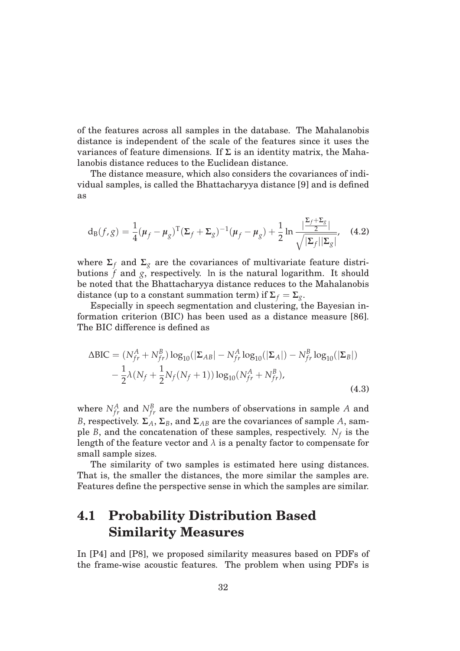of the features across all samples in the database. The Mahalanobis distance is independent of the scale of the features since it uses the variances of feature dimensions. If **Σ** is an identity matrix, the Mahalanobis distance reduces to the Euclidean distance.

The distance measure, which also considers the covariances of individual samples, is called the Bhattacharyya distance [9] and is defined as

$$
d_{B}(f,g) = \frac{1}{4}(\mu_f - \mu_g)^{T}(\Sigma_f + \Sigma_g)^{-1}(\mu_f - \mu_g) + \frac{1}{2}\ln\frac{|\frac{\Sigma_f + \Sigma_g}{2}|}{\sqrt{|\Sigma_f||\Sigma_g|}},
$$
 (4.2)

where  $\Sigma_f$  and  $\Sigma_g$  are the covariances of multivariate feature distributions  $f$  and  $g$ , respectively. In is the natural logarithm. It should be noted that the Bhattacharyya distance reduces to the Mahalanobis distance (up to a constant summation term) if  $\Sigma_f = \Sigma_g$ .

Especially in speech segmentation and clustering, the Bayesian information criterion (BIC) has been used as a distance measure [86]. The BIC difference is defined as

$$
\Delta BIC = (N_{fr}^{A} + N_{fr}^{B}) \log_{10}(|\Sigma_{AB}| - N_{fr}^{A} \log_{10}(|\Sigma_{A}|) - N_{fr}^{B} \log_{10}(|\Sigma_{B}|) - \frac{1}{2} \lambda (N_{f} + \frac{1}{2} N_{f}(N_{f} + 1)) \log_{10}(N_{fr}^{A} + N_{fr}^{B}),
$$
\n(4.3)

where  $N_{fr}^A$  and  $N_{fr}^B$  are the numbers of observations in sample *A* and *B*, respectively.  $\Sigma_A$ ,  $\Sigma_B$ , and  $\Sigma_{AB}$  are the covariances of sample *A*, sample *B*, and the concatenation of these samples, respectively.  $N_f$  is the length of the feature vector and  $\lambda$  is a penalty factor to compensate for small sample sizes.

The similarity of two samples is estimated here using distances. That is, the smaller the distances, the more similar the samples are. Features define the perspective sense in which the samples are similar.

## **4.1 Probability Distribution Based Similarity Measures**

In [P4] and [P8], we proposed similarity measures based on PDFs of the frame-wise acoustic features. The problem when using PDFs is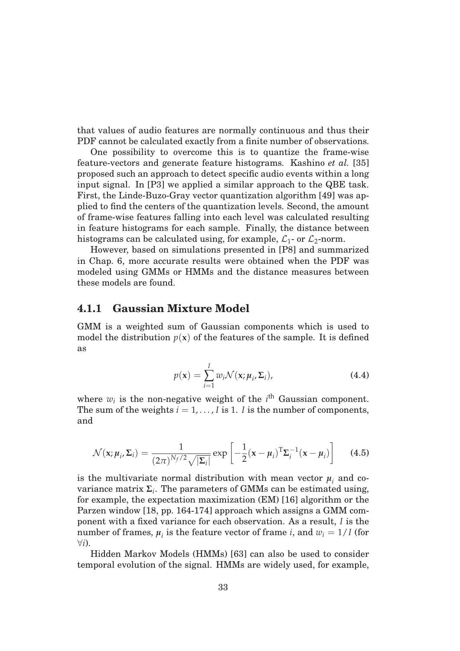that values of audio features are normally continuous and thus their PDF cannot be calculated exactly from a finite number of observations.

One possibility to overcome this is to quantize the frame-wise feature-vectors and generate feature histograms. Kashino *et al.* [35] proposed such an approach to detect specific audio events within a long input signal. In [P3] we applied a similar approach to the QBE task. First, the Linde-Buzo-Gray vector quantization algorithm [49] was applied to find the centers of the quantization levels. Second, the amount of frame-wise features falling into each level was calculated resulting in feature histograms for each sample. Finally, the distance between histograms can be calculated using, for example,  $\mathcal{L}_1$ - or  $\mathcal{L}_2$ -norm.

However, based on simulations presented in [P8] and summarized in Chap. 6, more accurate results were obtained when the PDF was modeled using GMMs or HMMs and the distance measures between these models are found.

#### **4.1.1 Gaussian Mixture Model**

GMM is a weighted sum of Gaussian components which is used to model the distribution  $p(x)$  of the features of the sample. It is defined as

$$
p(\mathbf{x}) = \sum_{i=1}^{I} w_i \mathcal{N}(\mathbf{x}; \boldsymbol{\mu}_i, \boldsymbol{\Sigma}_i),
$$
 (4.4)

where  $w_i$  is the non-negative weight of the  $i^{\text{th}}$  Gaussian component. The sum of the weights  $i = 1, \ldots, I$  is 1. *I* is the number of components, and

$$
\mathcal{N}(\mathbf{x}; \boldsymbol{\mu}_i, \boldsymbol{\Sigma}_i) = \frac{1}{(2\pi)^{N_f/2} \sqrt{|\boldsymbol{\Sigma}_i|}} \exp\left[-\frac{1}{2}(\mathbf{x} - \boldsymbol{\mu}_i)^{\mathrm{T}} \boldsymbol{\Sigma}_i^{-1}(\mathbf{x} - \boldsymbol{\mu}_i)\right]
$$
(4.5)

is the multivariate normal distribution with mean vector  $\mu_i$  and covariance matrix  $\Sigma_i$ . The parameters of GMMs can be estimated using, for example, the expectation maximization (EM) [16] algorithm or the Parzen window [18, pp. 164-174] approach which assigns a GMM component with a fixed variance for each observation. As a result, *I* is the number of frames,  $\mu_i$  is the feature vector of frame *i*, and  $w_i = 1/I$  (for ∀*i*).

Hidden Markov Models (HMMs) [63] can also be used to consider temporal evolution of the signal. HMMs are widely used, for example,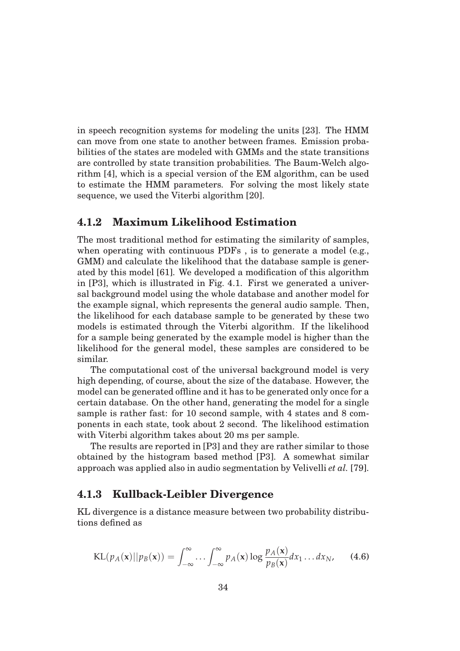in speech recognition systems for modeling the units [23]. The HMM can move from one state to another between frames. Emission probabilities of the states are modeled with GMMs and the state transitions are controlled by state transition probabilities. The Baum-Welch algorithm [4], which is a special version of the EM algorithm, can be used to estimate the HMM parameters. For solving the most likely state sequence, we used the Viterbi algorithm [20].

#### **4.1.2 Maximum Likelihood Estimation**

The most traditional method for estimating the similarity of samples, when operating with continuous PDFs , is to generate a model (e.g., GMM) and calculate the likelihood that the database sample is generated by this model [61]. We developed a modification of this algorithm in [P3], which is illustrated in Fig. 4.1. First we generated a universal background model using the whole database and another model for the example signal, which represents the general audio sample. Then, the likelihood for each database sample to be generated by these two models is estimated through the Viterbi algorithm. If the likelihood for a sample being generated by the example model is higher than the likelihood for the general model, these samples are considered to be similar.

The computational cost of the universal background model is very high depending, of course, about the size of the database. However, the model can be generated offline and it has to be generated only once for a certain database. On the other hand, generating the model for a single sample is rather fast: for 10 second sample, with 4 states and 8 components in each state, took about 2 second. The likelihood estimation with Viterbi algorithm takes about 20 ms per sample.

The results are reported in [P3] and they are rather similar to those obtained by the histogram based method [P3]. A somewhat similar approach was applied also in audio segmentation by Velivelli *et al.* [79].

#### **4.1.3 Kullback-Leibler Divergence**

KL divergence is a distance measure between two probability distributions defined as

$$
KL(p_A(\mathbf{x})||p_B(\mathbf{x})) = \int_{-\infty}^{\infty} \dots \int_{-\infty}^{\infty} p_A(\mathbf{x}) \log \frac{p_A(\mathbf{x})}{p_B(\mathbf{x})} dx_1 \dots dx_N,
$$
 (4.6)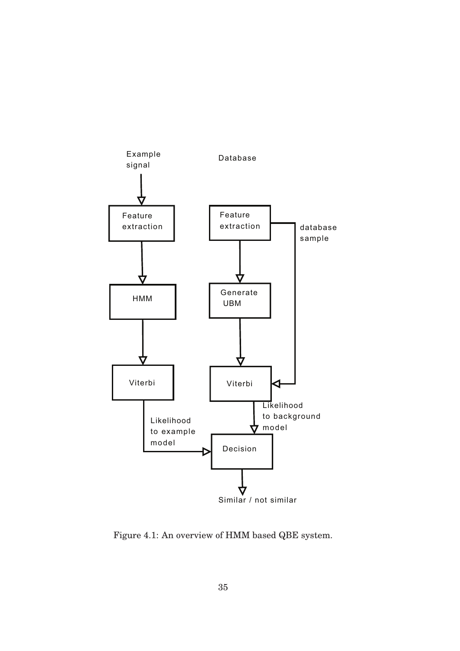

Figure 4.1: An overview of HMM based QBE system.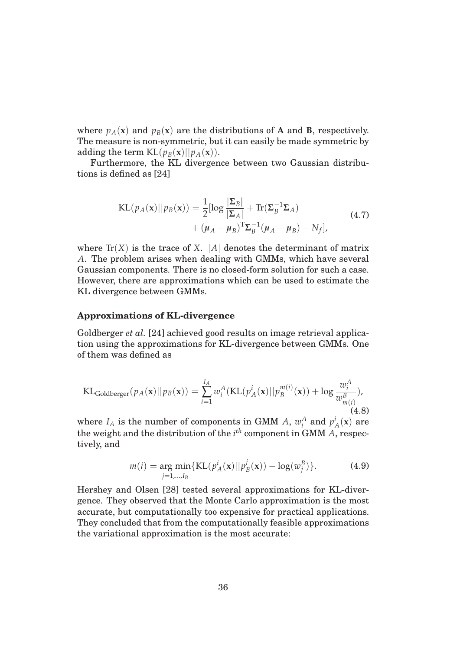where  $p_A(x)$  and  $p_B(x)$  are the distributions of **A** and **B**, respectively. The measure is non-symmetric, but it can easily be made symmetric by adding the term  $KL(p_B(x)||p_A(x))$ .

Furthermore, the KL divergence between two Gaussian distributions is defined as [24]

$$
KL(p_A(\mathbf{x})||p_B(\mathbf{x})) = \frac{1}{2}[\log \frac{|\Sigma_B|}{|\Sigma_A|} + \text{Tr}(\Sigma_B^{-1}\Sigma_A) + (\mu_A - \mu_B)^T \Sigma_B^{-1}(\mu_A - \mu_B) - N_f],
$$
\n(4.7)

where  $Tr(X)$  is the trace of *X*. |*A*| denotes the determinant of matrix *A*. The problem arises when dealing with GMMs, which have several Gaussian components. There is no closed-form solution for such a case. However, there are approximations which can be used to estimate the KL divergence between GMMs.

#### **Approximations of KL-divergence**

Goldberger *et al.* [24] achieved good results on image retrieval application using the approximations for KL-divergence between GMMs. One of them was defined as

$$
\text{KL}_{\text{Goldberger}}(p_A(\mathbf{x})||p_B(\mathbf{x})) = \sum_{i=1}^{I_A} w_i^A(\text{KL}(p_A^i(\mathbf{x})||p_B^{m(i)}(\mathbf{x})) + \log \frac{w_i^A}{w_{m(i)}^B}),
$$
\n(4.8)

where  $I_A$  is the number of components in GMM *A*,  $w_i^A$  and  $p_A^i(\mathbf{x})$  are the weight and the distribution of the *i th* component in GMM *A*, respectively, and

$$
m(i) = \underset{j=1,\dots,I_B}{\arg \min} \{ \text{KL}(p_A^i(\mathbf{x}) || p_B^j(\mathbf{x})) - \log(w_j^B) \}.
$$
 (4.9)

Hershey and Olsen [28] tested several approximations for KL-divergence. They observed that the Monte Carlo approximation is the most accurate, but computationally too expensive for practical applications. They concluded that from the computationally feasible approximations the variational approximation is the most accurate: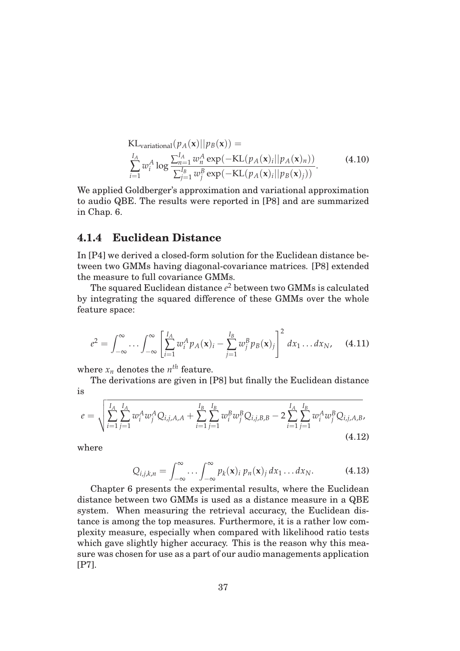$$
\begin{array}{ll}\n\text{KL}_{\text{variational}}(p_A(\mathbf{x})||p_B(\mathbf{x})) = \\
\sum_{i=1}^{I_A} w_i^A \log \frac{\sum_{n=1}^{I_A} w_n^A \exp(-\text{KL}(p_A(\mathbf{x})_i||p_A(\mathbf{x})_n))}{\sum_{j=1}^{I_B} w_j^B \exp(-\text{KL}(p_A(\mathbf{x})_i||p_B(\mathbf{x})_j))}.\n\end{array} \tag{4.10}
$$

We applied Goldberger's approximation and variational approximation to audio QBE. The results were reported in [P8] and are summarized in Chap. 6.

#### **4.1.4 Euclidean Distance**

In [P4] we derived a closed-form solution for the Euclidean distance between two GMMs having diagonal-covariance matrices. [P8] extended the measure to full covariance GMMs.

The squared Euclidean distance  $e^2$  between two GMMs is calculated by integrating the squared difference of these GMMs over the whole feature space:

$$
e^{2} = \int_{-\infty}^{\infty} \cdots \int_{-\infty}^{\infty} \left[ \sum_{i=1}^{I_{A}} w_{i}^{A} p_{A}(\mathbf{x})_{i} - \sum_{j=1}^{I_{B}} w_{j}^{B} p_{B}(\mathbf{x})_{j} \right]^{2} dx_{1} \dots dx_{N}, \quad (4.11)
$$

where  $x_n$  denotes the  $n^{th}$  feature.

The derivations are given in [P8] but finally the Euclidean distance is

$$
e = \sqrt{\sum_{i=1}^{I_A} \sum_{j=1}^{I_A} w_i^A w_j^A Q_{i,j,A,A} + \sum_{i=1}^{I_B} \sum_{j=1}^{I_B} w_i^B w_j^B Q_{i,j,B,B} - 2 \sum_{i=1}^{I_A} \sum_{j=1}^{I_B} w_i^A w_j^B Q_{i,j,A,B}},
$$
\n(4.12)

where

$$
Q_{i,j,k,n} = \int_{-\infty}^{\infty} \dots \int_{-\infty}^{\infty} p_k(\mathbf{x})_i p_n(\mathbf{x})_j dx_1 \dots dx_N.
$$
 (4.13)

Chapter 6 presents the experimental results, where the Euclidean distance between two GMMs is used as a distance measure in a QBE system. When measuring the retrieval accuracy, the Euclidean distance is among the top measures. Furthermore, it is a rather low complexity measure, especially when compared with likelihood ratio tests which gave slightly higher accuracy. This is the reason why this measure was chosen for use as a part of our audio managements application [P7].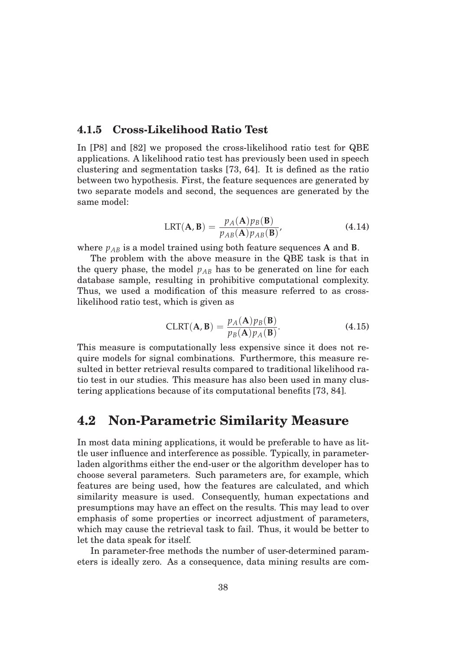#### **4.1.5 Cross-Likelihood Ratio Test**

In [P8] and [82] we proposed the cross-likelihood ratio test for QBE applications. A likelihood ratio test has previously been used in speech clustering and segmentation tasks [73, 64]. It is defined as the ratio between two hypothesis. First, the feature sequences are generated by two separate models and second, the sequences are generated by the same model:

$$
LRT(\mathbf{A}, \mathbf{B}) = \frac{p_A(\mathbf{A})p_B(\mathbf{B})}{p_{AB}(\mathbf{A})p_{AB}(\mathbf{B})},
$$
(4.14)

where  $p_{AB}$  is a model trained using both feature sequences **A** and **B**.

The problem with the above measure in the QBE task is that in the query phase, the model  $p_{AB}$  has to be generated on line for each database sample, resulting in prohibitive computational complexity. Thus, we used a modification of this measure referred to as crosslikelihood ratio test, which is given as

$$
CLRT(\mathbf{A}, \mathbf{B}) = \frac{p_A(\mathbf{A})p_B(\mathbf{B})}{p_B(\mathbf{A})p_A(\mathbf{B})}.
$$
 (4.15)

This measure is computationally less expensive since it does not require models for signal combinations. Furthermore, this measure resulted in better retrieval results compared to traditional likelihood ratio test in our studies. This measure has also been used in many clustering applications because of its computational benefits [73, 84].

### **4.2 Non-Parametric Similarity Measure**

In most data mining applications, it would be preferable to have as little user influence and interference as possible. Typically, in parameterladen algorithms either the end-user or the algorithm developer has to choose several parameters. Such parameters are, for example, which features are being used, how the features are calculated, and which similarity measure is used. Consequently, human expectations and presumptions may have an effect on the results. This may lead to over emphasis of some properties or incorrect adjustment of parameters, which may cause the retrieval task to fail. Thus, it would be better to let the data speak for itself.

In parameter-free methods the number of user-determined parameters is ideally zero. As a consequence, data mining results are com-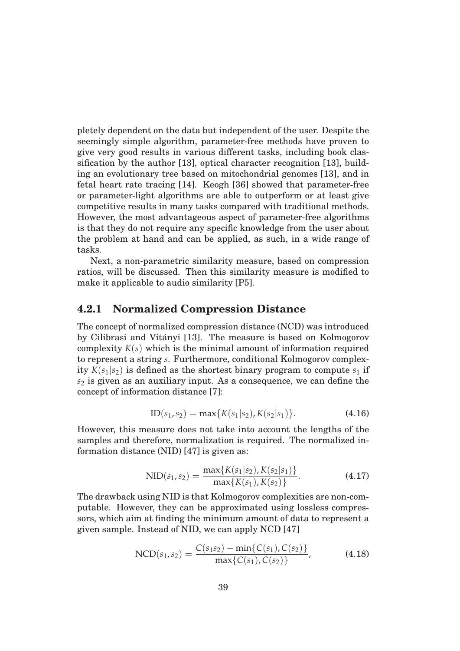pletely dependent on the data but independent of the user. Despite the seemingly simple algorithm, parameter-free methods have proven to give very good results in various different tasks, including book classification by the author [13], optical character recognition [13], building an evolutionary tree based on mitochondrial genomes [13], and in fetal heart rate tracing [14]. Keogh [36] showed that parameter-free or parameter-light algorithms are able to outperform or at least give competitive results in many tasks compared with traditional methods. However, the most advantageous aspect of parameter-free algorithms is that they do not require any specific knowledge from the user about the problem at hand and can be applied, as such, in a wide range of tasks.

Next, a non-parametric similarity measure, based on compression ratios, will be discussed. Then this similarity measure is modified to make it applicable to audio similarity [P5].

### **4.2.1 Normalized Compression Distance**

The concept of normalized compression distance (NCD) was introduced by Cilibrasi and Vitányi [13]. The measure is based on Kolmogorov complexity  $K(s)$  which is the minimal amount of information required to represent a string *s*. Furthermore, conditional Kolmogorov complexity  $K(s_1|s_2)$  is defined as the shortest binary program to compute  $s_1$  if *s*<sup>2</sup> is given as an auxiliary input. As a consequence, we can define the concept of information distance [7]:

$$
ID(s_1, s_2) = \max\{K(s_1|s_2), K(s_2|s_1)\}.
$$
 (4.16)

However, this measure does not take into account the lengths of the samples and therefore, normalization is required. The normalized information distance (NID) [47] is given as:

$$
NID(s_1, s_2) = \frac{\max\{K(s_1|s_2), K(s_2|s_1)\}}{\max\{K(s_1), K(s_2)\}}.
$$
\n(4.17)

The drawback using NID is that Kolmogorov complexities are non-computable. However, they can be approximated using lossless compressors, which aim at finding the minimum amount of data to represent a given sample. Instead of NID, we can apply NCD [47]

NCD(s<sub>1</sub>, s<sub>2</sub>) = 
$$
\frac{C(s_1 s_2) - \min\{C(s_1), C(s_2)\}}{\max\{C(s_1), C(s_2)\}},
$$
(4.18)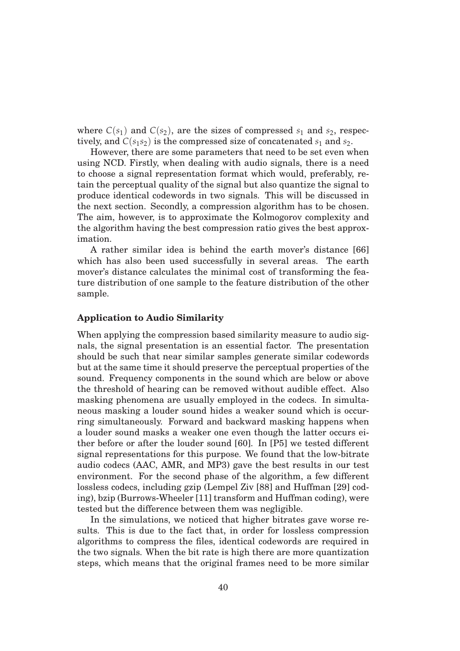where  $C(s_1)$  and  $C(s_2)$ , are the sizes of compressed  $s_1$  and  $s_2$ , respectively, and  $C(s_1 s_2)$  is the compressed size of concatenated  $s_1$  and  $s_2$ .

However, there are some parameters that need to be set even when using NCD. Firstly, when dealing with audio signals, there is a need to choose a signal representation format which would, preferably, retain the perceptual quality of the signal but also quantize the signal to produce identical codewords in two signals. This will be discussed in the next section. Secondly, a compression algorithm has to be chosen. The aim, however, is to approximate the Kolmogorov complexity and the algorithm having the best compression ratio gives the best approximation.

A rather similar idea is behind the earth mover's distance [66] which has also been used successfully in several areas. The earth mover's distance calculates the minimal cost of transforming the feature distribution of one sample to the feature distribution of the other sample.

#### **Application to Audio Similarity**

When applying the compression based similarity measure to audio signals, the signal presentation is an essential factor. The presentation should be such that near similar samples generate similar codewords but at the same time it should preserve the perceptual properties of the sound. Frequency components in the sound which are below or above the threshold of hearing can be removed without audible effect. Also masking phenomena are usually employed in the codecs. In simultaneous masking a louder sound hides a weaker sound which is occurring simultaneously. Forward and backward masking happens when a louder sound masks a weaker one even though the latter occurs either before or after the louder sound [60]. In [P5] we tested different signal representations for this purpose. We found that the low-bitrate audio codecs (AAC, AMR, and MP3) gave the best results in our test environment. For the second phase of the algorithm, a few different lossless codecs, including gzip (Lempel Ziv [88] and Huffman [29] coding), bzip (Burrows-Wheeler [11] transform and Huffman coding), were tested but the difference between them was negligible.

In the simulations, we noticed that higher bitrates gave worse results. This is due to the fact that, in order for lossless compression algorithms to compress the files, identical codewords are required in the two signals. When the bit rate is high there are more quantization steps, which means that the original frames need to be more similar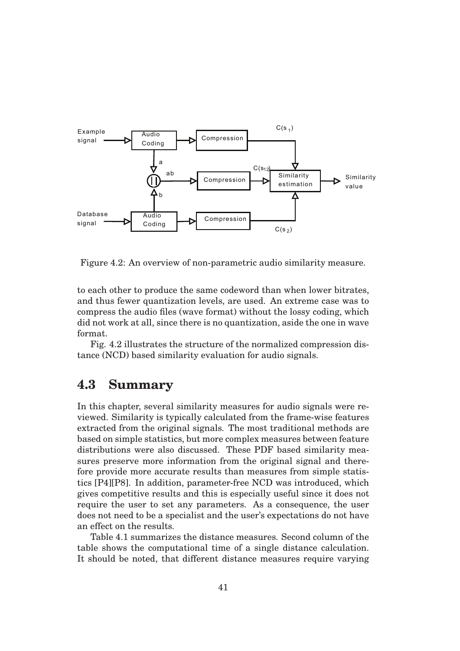

Figure 4.2: An overview of non-parametric audio similarity measure.

to each other to produce the same codeword than when lower bitrates, and thus fewer quantization levels, are used. An extreme case was to compress the audio files (wave format) without the lossy coding, which did not work at all, since there is no quantization, aside the one in wave format.

Fig. 4.2 illustrates the structure of the normalized compression distance (NCD) based similarity evaluation for audio signals.

### **4.3 Summary**

In this chapter, several similarity measures for audio signals were reviewed. Similarity is typically calculated from the frame-wise features extracted from the original signals. The most traditional methods are based on simple statistics, but more complex measures between feature distributions were also discussed. These PDF based similarity measures preserve more information from the original signal and therefore provide more accurate results than measures from simple statistics [P4][P8]. In addition, parameter-free NCD was introduced, which gives competitive results and this is especially useful since it does not require the user to set any parameters. As a consequence, the user does not need to be a specialist and the user's expectations do not have an effect on the results.

Table 4.1 summarizes the distance measures. Second column of the table shows the computational time of a single distance calculation. It should be noted, that different distance measures require varying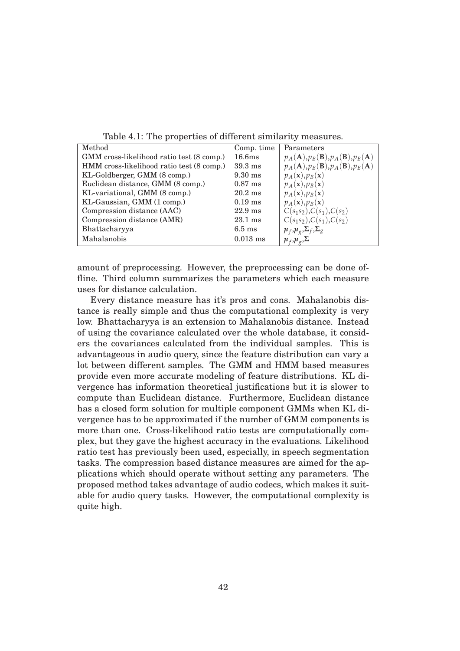| Method                                    | Comp. time         | Parameters                                                           |
|-------------------------------------------|--------------------|----------------------------------------------------------------------|
| GMM cross-likelihood ratio test (8 comp.) | 16.6 <sub>ms</sub> | $p_A(\mathbf{A}), p_B(\mathbf{B}), p_A(\mathbf{B}), p_B(\mathbf{A})$ |
| HMM cross-likelihood ratio test (8 comp.) | $39.3 \text{ ms}$  | $p_A(\mathbf{A}), p_B(\mathbf{B}), p_A(\mathbf{B}), p_B(\mathbf{A})$ |
| KL-Goldberger, GMM (8 comp.)              | $9.30$ ms          | $p_A(\mathbf{x}), p_B(\mathbf{x})$                                   |
| Euclidean distance, GMM (8 comp.)         | $0.87$ ms          | $p_A(\mathbf{x}), p_B(\mathbf{x})$                                   |
| KL-variational, GMM (8 comp.)             | $20.2$ ms          | $p_A(\mathbf{x}), p_B(\mathbf{x})$                                   |
| KL-Gaussian, GMM (1 comp.)                | $0.19$ ms          | $p_A(\mathbf{x}), p_B(\mathbf{x})$                                   |
| Compression distance (AAC)                | $22.9$ ms          | $C(s_1s_2), C(s_1), C(s_2)$                                          |
| Compression distance (AMR)                | $23.1 \text{ ms}$  | $C(s_1s_2), C(s_1), C(s_2)$                                          |
| Bhattacharyya                             | $6.5 \text{ ms}$   | $\mu_f, \mu_g, \Sigma_f, \Sigma_g$                                   |
| Mahalanobis                               | $0.013$ ms         | $\mu_f, \mu_g, \Sigma$                                               |
|                                           |                    |                                                                      |

Table 4.1: The properties of different similarity measures.

amount of preprocessing. However, the preprocessing can be done offline. Third column summarizes the parameters which each measure uses for distance calculation.

Every distance measure has it's pros and cons. Mahalanobis distance is really simple and thus the computational complexity is very low. Bhattacharyya is an extension to Mahalanobis distance. Instead of using the covariance calculated over the whole database, it considers the covariances calculated from the individual samples. This is advantageous in audio query, since the feature distribution can vary a lot between different samples. The GMM and HMM based measures provide even more accurate modeling of feature distributions. KL divergence has information theoretical justifications but it is slower to compute than Euclidean distance. Furthermore, Euclidean distance has a closed form solution for multiple component GMMs when KL divergence has to be approximated if the number of GMM components is more than one. Cross-likelihood ratio tests are computationally complex, but they gave the highest accuracy in the evaluations. Likelihood ratio test has previously been used, especially, in speech segmentation tasks. The compression based distance measures are aimed for the applications which should operate without setting any parameters. The proposed method takes advantage of audio codecs, which makes it suitable for audio query tasks. However, the computational complexity is quite high.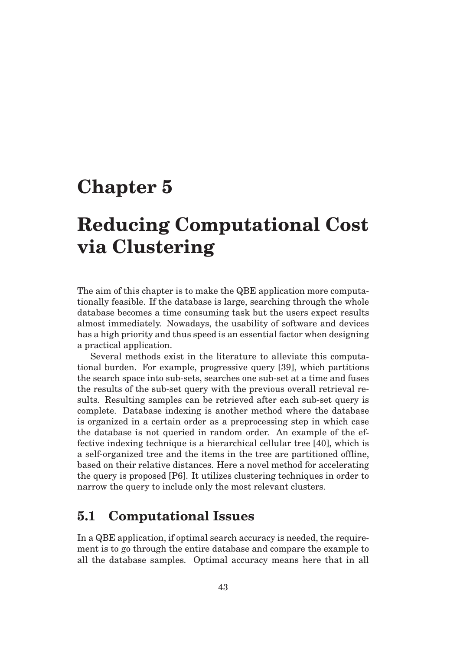## **Chapter 5**

# **Reducing Computational Cost via Clustering**

The aim of this chapter is to make the QBE application more computationally feasible. If the database is large, searching through the whole database becomes a time consuming task but the users expect results almost immediately. Nowadays, the usability of software and devices has a high priority and thus speed is an essential factor when designing a practical application.

Several methods exist in the literature to alleviate this computational burden. For example, progressive query [39], which partitions the search space into sub-sets, searches one sub-set at a time and fuses the results of the sub-set query with the previous overall retrieval results. Resulting samples can be retrieved after each sub-set query is complete. Database indexing is another method where the database is organized in a certain order as a preprocessing step in which case the database is not queried in random order. An example of the effective indexing technique is a hierarchical cellular tree [40], which is a self-organized tree and the items in the tree are partitioned offline, based on their relative distances. Here a novel method for accelerating the query is proposed [P6]. It utilizes clustering techniques in order to narrow the query to include only the most relevant clusters.

## **5.1 Computational Issues**

In a QBE application, if optimal search accuracy is needed, the requirement is to go through the entire database and compare the example to all the database samples. Optimal accuracy means here that in all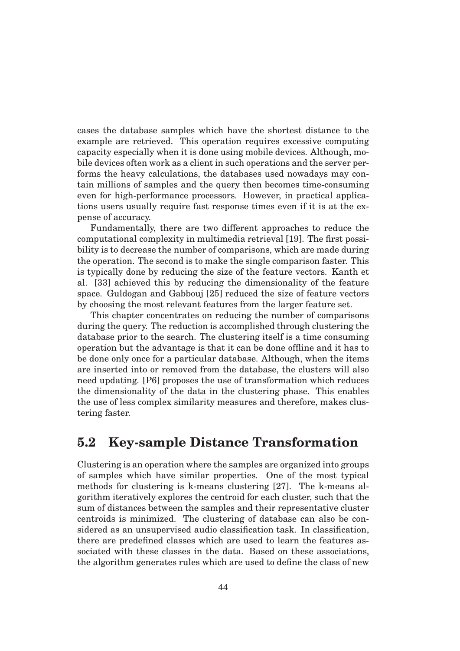cases the database samples which have the shortest distance to the example are retrieved. This operation requires excessive computing capacity especially when it is done using mobile devices. Although, mobile devices often work as a client in such operations and the server performs the heavy calculations, the databases used nowadays may contain millions of samples and the query then becomes time-consuming even for high-performance processors. However, in practical applications users usually require fast response times even if it is at the expense of accuracy.

Fundamentally, there are two different approaches to reduce the computational complexity in multimedia retrieval [19]. The first possibility is to decrease the number of comparisons, which are made during the operation. The second is to make the single comparison faster. This is typically done by reducing the size of the feature vectors. Kanth et al. [33] achieved this by reducing the dimensionality of the feature space. Guldogan and Gabbouj [25] reduced the size of feature vectors by choosing the most relevant features from the larger feature set.

This chapter concentrates on reducing the number of comparisons during the query. The reduction is accomplished through clustering the database prior to the search. The clustering itself is a time consuming operation but the advantage is that it can be done offline and it has to be done only once for a particular database. Although, when the items are inserted into or removed from the database, the clusters will also need updating. [P6] proposes the use of transformation which reduces the dimensionality of the data in the clustering phase. This enables the use of less complex similarity measures and therefore, makes clustering faster.

### **5.2 Key-sample Distance Transformation**

Clustering is an operation where the samples are organized into groups of samples which have similar properties. One of the most typical methods for clustering is k-means clustering [27]. The k-means algorithm iteratively explores the centroid for each cluster, such that the sum of distances between the samples and their representative cluster centroids is minimized. The clustering of database can also be considered as an unsupervised audio classification task. In classification, there are predefined classes which are used to learn the features associated with these classes in the data. Based on these associations, the algorithm generates rules which are used to define the class of new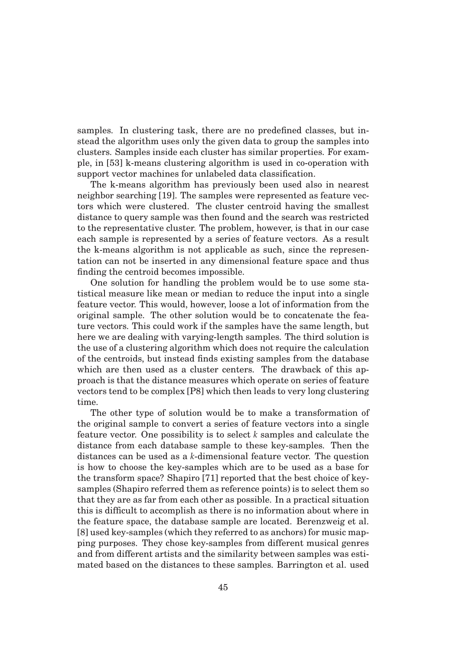samples. In clustering task, there are no predefined classes, but instead the algorithm uses only the given data to group the samples into clusters. Samples inside each cluster has similar properties. For example, in [53] k-means clustering algorithm is used in co-operation with support vector machines for unlabeled data classification.

The k-means algorithm has previously been used also in nearest neighbor searching [19]. The samples were represented as feature vectors which were clustered. The cluster centroid having the smallest distance to query sample was then found and the search was restricted to the representative cluster. The problem, however, is that in our case each sample is represented by a series of feature vectors. As a result the k-means algorithm is not applicable as such, since the representation can not be inserted in any dimensional feature space and thus finding the centroid becomes impossible.

One solution for handling the problem would be to use some statistical measure like mean or median to reduce the input into a single feature vector. This would, however, loose a lot of information from the original sample. The other solution would be to concatenate the feature vectors. This could work if the samples have the same length, but here we are dealing with varying-length samples. The third solution is the use of a clustering algorithm which does not require the calculation of the centroids, but instead finds existing samples from the database which are then used as a cluster centers. The drawback of this approach is that the distance measures which operate on series of feature vectors tend to be complex [P8] which then leads to very long clustering time.

The other type of solution would be to make a transformation of the original sample to convert a series of feature vectors into a single feature vector. One possibility is to select *k* samples and calculate the distance from each database sample to these key-samples. Then the distances can be used as a *k*-dimensional feature vector. The question is how to choose the key-samples which are to be used as a base for the transform space? Shapiro [71] reported that the best choice of keysamples (Shapiro referred them as reference points) is to select them so that they are as far from each other as possible. In a practical situation this is difficult to accomplish as there is no information about where in the feature space, the database sample are located. Berenzweig et al. [8] used key-samples (which they referred to as anchors) for music mapping purposes. They chose key-samples from different musical genres and from different artists and the similarity between samples was estimated based on the distances to these samples. Barrington et al. used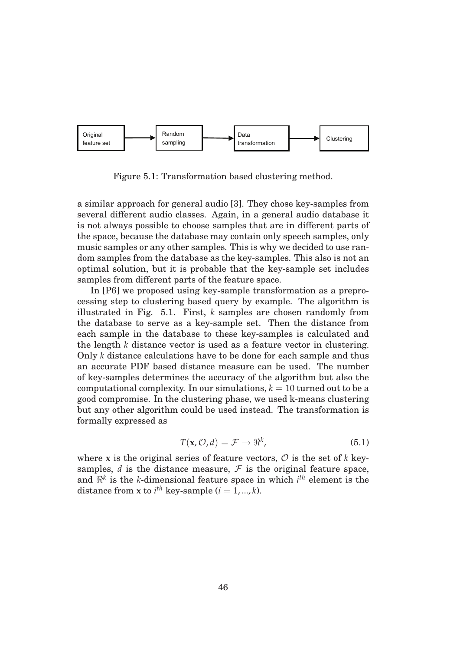

Figure 5.1: Transformation based clustering method.

a similar approach for general audio [3]. They chose key-samples from several different audio classes. Again, in a general audio database it is not always possible to choose samples that are in different parts of the space, because the database may contain only speech samples, only music samples or any other samples. This is why we decided to use random samples from the database as the key-samples. This also is not an optimal solution, but it is probable that the key-sample set includes samples from different parts of the feature space.

In [P6] we proposed using key-sample transformation as a preprocessing step to clustering based query by example. The algorithm is illustrated in Fig. 5.1. First, *k* samples are chosen randomly from the database to serve as a key-sample set. Then the distance from each sample in the database to these key-samples is calculated and the length *k* distance vector is used as a feature vector in clustering. Only *k* distance calculations have to be done for each sample and thus an accurate PDF based distance measure can be used. The number of key-samples determines the accuracy of the algorithm but also the computational complexity. In our simulations,  $k = 10$  turned out to be a good compromise. In the clustering phase, we used k-means clustering but any other algorithm could be used instead. The transformation is formally expressed as

$$
T(\mathbf{x}, \mathcal{O}, d) = \mathcal{F} \to \Re^k, \tag{5.1}
$$

where **x** is the original series of feature vectors,  $\mathcal{O}$  is the set of *k* keysamples,  $d$  is the distance measure,  $\mathcal F$  is the original feature space, and  $\mathbb{R}^k$  is the *k*-dimensional feature space in which  $i^{th}$  element is the distance from **x** to  $i^{th}$  key-sample ( $i = 1, ..., k$ ).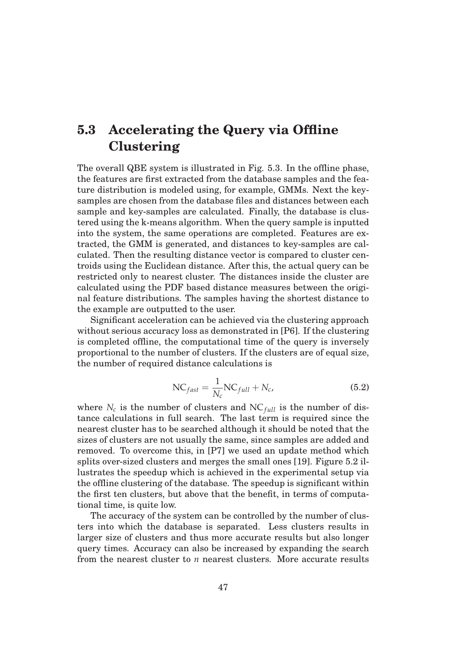## **5.3 Accelerating the Query via Offline Clustering**

The overall QBE system is illustrated in Fig. 5.3. In the offline phase, the features are first extracted from the database samples and the feature distribution is modeled using, for example, GMMs. Next the keysamples are chosen from the database files and distances between each sample and key-samples are calculated. Finally, the database is clustered using the k-means algorithm. When the query sample is inputted into the system, the same operations are completed. Features are extracted, the GMM is generated, and distances to key-samples are calculated. Then the resulting distance vector is compared to cluster centroids using the Euclidean distance. After this, the actual query can be restricted only to nearest cluster. The distances inside the cluster are calculated using the PDF based distance measures between the original feature distributions. The samples having the shortest distance to the example are outputted to the user.

Significant acceleration can be achieved via the clustering approach without serious accuracy loss as demonstrated in [P6]. If the clustering is completed offline, the computational time of the query is inversely proportional to the number of clusters. If the clusters are of equal size, the number of required distance calculations is

$$
NC_{fast} = \frac{1}{N_c} NC_{full} + N_c,
$$
\n(5.2)

where  $N_c$  is the number of clusters and  $NC_{full}$  is the number of distance calculations in full search. The last term is required since the nearest cluster has to be searched although it should be noted that the sizes of clusters are not usually the same, since samples are added and removed. To overcome this, in [P7] we used an update method which splits over-sized clusters and merges the small ones [19]. Figure 5.2 illustrates the speedup which is achieved in the experimental setup via the offline clustering of the database. The speedup is significant within the first ten clusters, but above that the benefit, in terms of computational time, is quite low.

The accuracy of the system can be controlled by the number of clusters into which the database is separated. Less clusters results in larger size of clusters and thus more accurate results but also longer query times. Accuracy can also be increased by expanding the search from the nearest cluster to *n* nearest clusters. More accurate results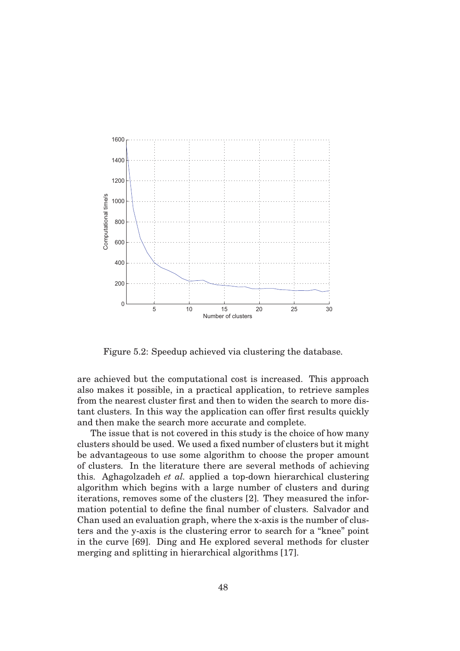

Figure 5.2: Speedup achieved via clustering the database.

are achieved but the computational cost is increased. This approach also makes it possible, in a practical application, to retrieve samples from the nearest cluster first and then to widen the search to more distant clusters. In this way the application can offer first results quickly and then make the search more accurate and complete.

The issue that is not covered in this study is the choice of how many clusters should be used. We used a fixed number of clusters but it might be advantageous to use some algorithm to choose the proper amount of clusters. In the literature there are several methods of achieving this. Aghagolzadeh *et al.* applied a top-down hierarchical clustering algorithm which begins with a large number of clusters and during iterations, removes some of the clusters [2]. They measured the information potential to define the final number of clusters. Salvador and Chan used an evaluation graph, where the x-axis is the number of clusters and the y-axis is the clustering error to search for a "knee" point in the curve [69]. Ding and He explored several methods for cluster merging and splitting in hierarchical algorithms [17].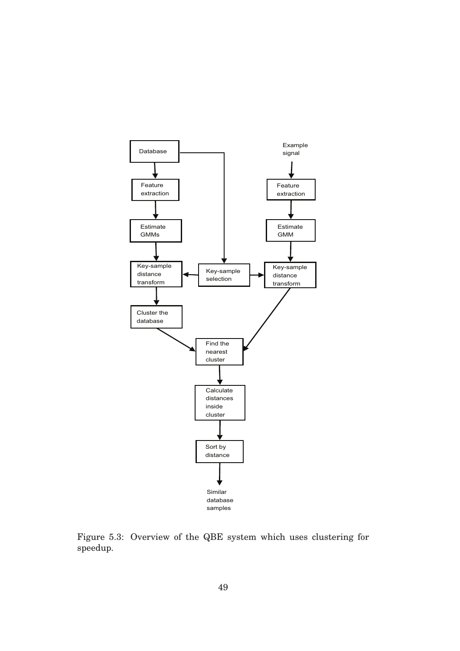

Figure 5.3: Overview of the QBE system which uses clustering for speedup.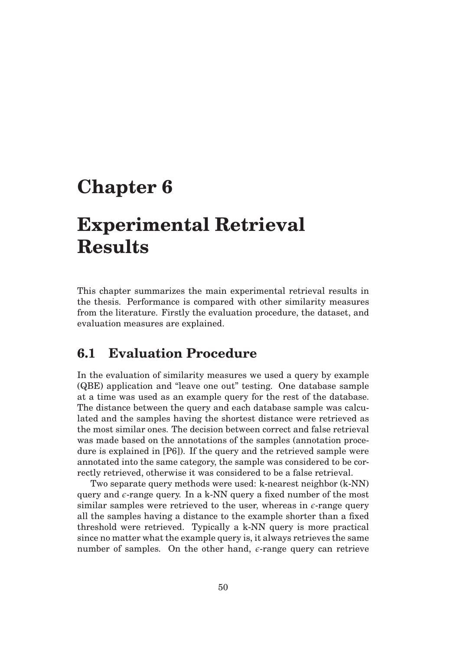## **Chapter 6**

# **Experimental Retrieval Results**

This chapter summarizes the main experimental retrieval results in the thesis. Performance is compared with other similarity measures from the literature. Firstly the evaluation procedure, the dataset, and evaluation measures are explained.

## **6.1 Evaluation Procedure**

In the evaluation of similarity measures we used a query by example (QBE) application and "leave one out" testing. One database sample at a time was used as an example query for the rest of the database. The distance between the query and each database sample was calculated and the samples having the shortest distance were retrieved as the most similar ones. The decision between correct and false retrieval was made based on the annotations of the samples (annotation procedure is explained in [P6]). If the query and the retrieved sample were annotated into the same category, the sample was considered to be correctly retrieved, otherwise it was considered to be a false retrieval.

Two separate query methods were used: k-nearest neighbor (k-NN) query and  $\epsilon$ -range query. In a k-NN query a fixed number of the most similar samples were retrieved to the user, whereas in  $\epsilon$ -range query all the samples having a distance to the example shorter than a fixed threshold were retrieved. Typically a k-NN query is more practical since no matter what the example query is, it always retrieves the same number of samples. On the other hand,  $\epsilon$ -range query can retrieve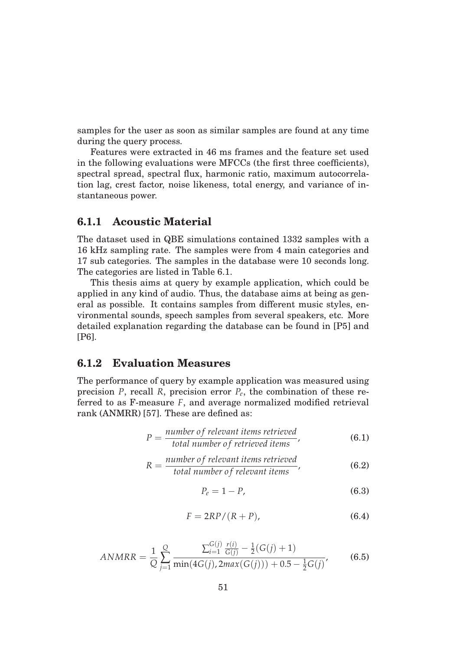samples for the user as soon as similar samples are found at any time during the query process.

Features were extracted in 46 ms frames and the feature set used in the following evaluations were MFCCs (the first three coefficients), spectral spread, spectral flux, harmonic ratio, maximum autocorrelation lag, crest factor, noise likeness, total energy, and variance of instantaneous power.

#### **6.1.1 Acoustic Material**

The dataset used in QBE simulations contained 1332 samples with a 16 kHz sampling rate. The samples were from 4 main categories and 17 sub categories. The samples in the database were 10 seconds long. The categories are listed in Table 6.1.

This thesis aims at query by example application, which could be applied in any kind of audio. Thus, the database aims at being as general as possible. It contains samples from different music styles, environmental sounds, speech samples from several speakers, etc. More detailed explanation regarding the database can be found in [P5] and [P6].

#### **6.1.2 Evaluation Measures**

The performance of query by example application was measured using precision *P*, recall *R*, precision error *Pe*, the combination of these referred to as F-measure *F*, and average normalized modified retrieval rank (ANMRR) [57]. These are defined as:

$$
P = \frac{number\ of\ relevant\ items\ retrieved}{total\ number\ of\ retrieved\ items},
$$
 (6.1)

$$
R = \frac{number\ of\ relevant\ items\ retrieved}{total\ number\ of\ relevant\ items},\tag{6.2}
$$

$$
P_e = 1 - P,\tag{6.3}
$$

$$
F = 2RP/(R+P),\tag{6.4}
$$

$$
ANMRR = \frac{1}{Q} \sum_{j=1}^{Q} \frac{\sum_{i=1}^{G(j)} \frac{r(i)}{G(j)} - \frac{1}{2}(G(j) + 1)}{\min(4G(j), 2max(G(j))) + 0.5 - \frac{1}{2}G(j)},
$$
(6.5)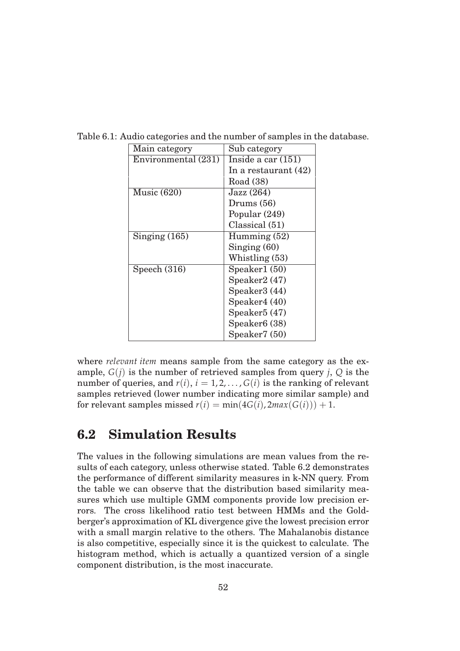| Main category       | Sub category              |  |  |  |  |  |  |
|---------------------|---------------------------|--|--|--|--|--|--|
| Environmental (231) | Inside a car $(151)$      |  |  |  |  |  |  |
|                     | In a restaurant $(42)$    |  |  |  |  |  |  |
|                     | Road (38)                 |  |  |  |  |  |  |
| Music $(620)$       | Jazz (264)                |  |  |  |  |  |  |
|                     | Drums $(56)$              |  |  |  |  |  |  |
|                     | Popular (249)             |  |  |  |  |  |  |
|                     | Classical (51)            |  |  |  |  |  |  |
| Singing $(165)$     | Humming $(52)$            |  |  |  |  |  |  |
|                     | Singing $(60)$            |  |  |  |  |  |  |
|                     | Whistling (53)            |  |  |  |  |  |  |
| Speech $(316)$      | Speaker1 (50)             |  |  |  |  |  |  |
|                     | Speaker2 (47)             |  |  |  |  |  |  |
|                     | Speaker3 (44)             |  |  |  |  |  |  |
|                     | Speaker4 (40)             |  |  |  |  |  |  |
|                     | Speaker <sub>5</sub> (47) |  |  |  |  |  |  |
|                     | Speaker <sub>6</sub> (38) |  |  |  |  |  |  |
|                     | Speaker7 (50)             |  |  |  |  |  |  |

Table 6.1: Audio categories and the number of samples in the database.

where *relevant item* means sample from the same category as the example,  $G(i)$  is the number of retrieved samples from query *j*,  $Q$  is the number of queries, and  $r(i)$ ,  $i = 1, 2, \ldots, G(i)$  is the ranking of relevant samples retrieved (lower number indicating more similar sample) and for relevant samples missed  $r(i) = min(4G(i), 2max(G(i))) + 1$ .

## **6.2 Simulation Results**

The values in the following simulations are mean values from the results of each category, unless otherwise stated. Table 6.2 demonstrates the performance of different similarity measures in k-NN query. From the table we can observe that the distribution based similarity measures which use multiple GMM components provide low precision errors. The cross likelihood ratio test between HMMs and the Goldberger's approximation of KL divergence give the lowest precision error with a small margin relative to the others. The Mahalanobis distance is also competitive, especially since it is the quickest to calculate. The histogram method, which is actually a quantized version of a single component distribution, is the most inaccurate.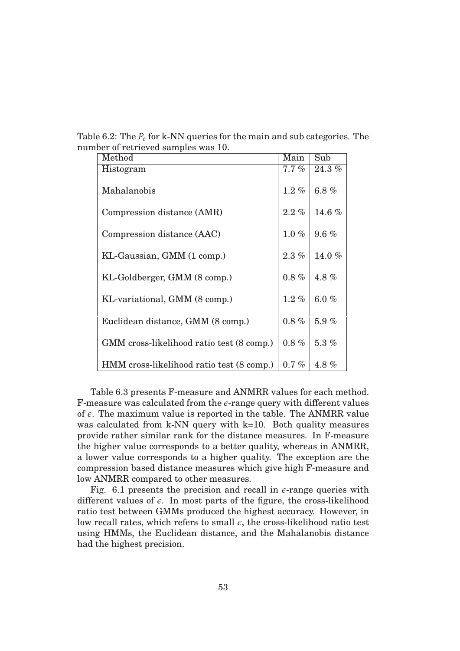Table 6.2: The *Pe* for k-NN queries for the main and sub categories. The number of retrieved samples was 10.

| Method                                    | Main     | Sub      |
|-------------------------------------------|----------|----------|
| Histogram                                 | $7.7\%$  | $24.3\%$ |
| Mahalanobis                               | $1.2\%$  | 6.8 $%$  |
| Compression distance (AMR)                | $2.2\%$  | 14.6 $%$ |
|                                           |          |          |
| Compression distance (AAC)                | $1.0\%$  | $9.6 \%$ |
|                                           |          |          |
| KL-Gaussian, GMM (1 comp.)                | $2.3\%$  | 14.0 $%$ |
|                                           |          |          |
| KL-Goldberger, GMM (8 comp.)              | $0.8 \%$ | 4.8 $%$  |
|                                           |          |          |
| KL-variational, GMM (8 comp.)             | $1.2\%$  | 6.0 $%$  |
| Euclidean distance, GMM (8 comp.)         | $0.8 \%$ | 5.9%     |
|                                           |          |          |
| GMM cross-likelihood ratio test (8 comp.) | $0.8 \%$ | $5.3\%$  |
|                                           |          |          |
| HMM cross-likelihood ratio test (8 comp.) | $0.7\%$  | 4.8%     |

Table 6.3 presents F-measure and ANMRR values for each method. F-measure was calculated from the  $\epsilon$ -range query with different values of  $\epsilon$ . The maximum value is reported in the table. The ANMRR value was calculated from k-NN query with k=10. Both quality measures provide rather similar rank for the distance measures. In F-measure the higher value corresponds to a better quality, whereas in ANMRR, a lower value corresponds to a higher quality. The exception are the compression based distance measures which give high F-measure and low ANMRR compared to other measures.

Fig. 6.1 presents the precision and recall in  $\epsilon$ -range queries with different values of  $\epsilon$ . In most parts of the figure, the cross-likelihood ratio test between GMMs produced the highest accuracy. However, in low recall rates, which refers to small  $\epsilon$ , the cross-likelihood ratio test using HMMs, the Euclidean distance, and the Mahalanobis distance had the highest precision.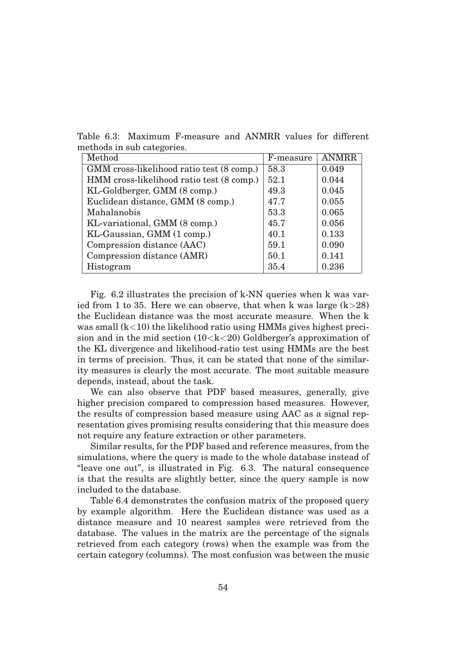Table 6.3: Maximum F-measure and ANMRR values for different methods in sub categories.

| Method                                    | F-measure | <b>ANMRR</b> |
|-------------------------------------------|-----------|--------------|
| GMM cross-likelihood ratio test (8 comp.) | 58.3      | 0.049        |
| HMM cross-likelihood ratio test (8 comp.) | 52.1      | 0.044        |
| KL-Goldberger, GMM (8 comp.)              | 49.3      | 0.045        |
| Euclidean distance, GMM (8 comp.)         | 47.7      | 0.055        |
| Mahalanobis                               | 53.3      | 0.065        |
| KL-variational, GMM (8 comp.)             | 45.7      | 0.056        |
| KL-Gaussian, GMM (1 comp.)                | 40.1      | 0.133        |
| Compression distance (AAC)                | 59.1      | 0.090        |
| Compression distance (AMR)                | 50.1      | 0.141        |
| Histogram                                 | 35.4      | 0.236        |

Fig. 6.2 illustrates the precision of k-NN queries when k was varied from 1 to 35. Here we can observe, that when k was large  $(k>28)$ the Euclidean distance was the most accurate measure. When the k was small  $(k<10)$  the likelihood ratio using HMMs gives highest precision and in the mid section  $(10< k < 20)$  Goldberger's approximation of the KL divergence and likelihood-ratio test using HMMs are the best in terms of precision. Thus, it can be stated that none of the similarity measures is clearly the most accurate. The most suitable measure depends, instead, about the task.

We can also observe that PDF based measures, generally, give higher precision compared to compression based measures. However, the results of compression based measure using AAC as a signal representation gives promising results considering that this measure does not require any feature extraction or other parameters.

Similar results, for the PDF based and reference measures, from the simulations, where the query is made to the whole database instead of "leave one out", is illustrated in Fig. 6.3. The natural consequence is that the results are slightly better, since the query sample is now included to the database.

Table 6.4 demonstrates the confusion matrix of the proposed query by example algorithm. Here the Euclidean distance was used as a distance measure and 10 nearest samples were retrieved from the database. The values in the matrix are the percentage of the signals retrieved from each category (rows) when the example was from the certain category (columns). The most confusion was between the music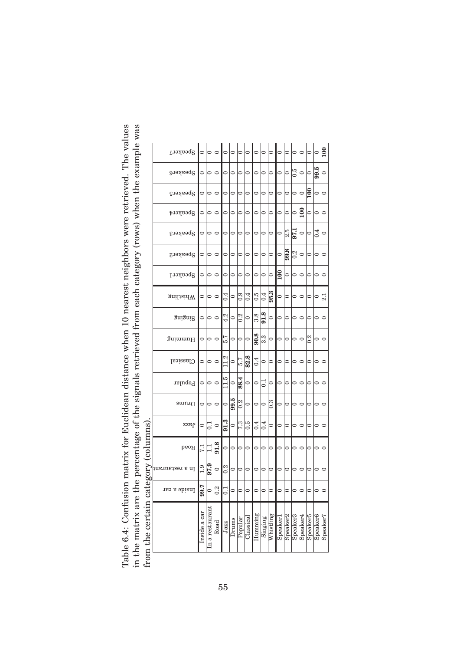| atrix for Euclidean distance when 10 nearest neighbors were retrieved. The values<br>Table 6.4: Confusion m. | in the matrix are the percentage of the signals retrieved from each category (rows) when the example was | from the certain category (columns) |
|--------------------------------------------------------------------------------------------------------------|----------------------------------------------------------------------------------------------------------|-------------------------------------|

|                                                  | Speaker7          | $\circ$      | $\circ$         | $\circ$          | $\circ$          | $\circ$ | $\circ$ | $\circ$   | $\circ$ | $\circ$          | $\circ$          | $\circ$        | $\circ$              | $\circ$       | $\circ$          | $\circ$          | $\circ$              | $\overline{100}$ |
|--------------------------------------------------|-------------------|--------------|-----------------|------------------|------------------|---------|---------|-----------|---------|------------------|------------------|----------------|----------------------|---------------|------------------|------------------|----------------------|------------------|
|                                                  | Speaker6          | $\circ$      | $\circ$         | $\circ$          | $\circ$          | $\circ$ | $\circ$ | $\circ$   | $\circ$ | $\circ$          | $\circ$          | $\circ$        | $\circ$              | $0.5^{\circ}$ | $\circ$          | $\circ$          | 9.5                  | $\circ$          |
|                                                  | $_{\rm{GupyedS}}$ | $\circ$      | $\circ$         | $\circ$          | $\circ$          | $\circ$ | $\circ$ | $\circ$   | $\circ$ | $\circ$          | $\circ$          | $\circ$        | $\circ$              | $\circ$       | $\circ$          | $\overline{100}$ | $\circ$              | $\circ$          |
|                                                  | Speaker4          | $\circ$      | $\circ$         | $\circ$          | $\circ$          | $\circ$ | $\circ$ | $\circ$   | $\circ$ | $\circ$          | $\circ$          | $\circ$        | $\circ$              | $\circ$       | $\overline{100}$ | $\circ$          | $\circ$              | $\circ$          |
|                                                  | Speaker3          | $\circ$      | $\circ$         | $\circ$          | $\circ$          | $\circ$ | $\circ$ | $\circ$   | $\circ$ | $\circ$          | $\circ$          | $\circ$        | 2.5                  | 97.1          | $\circ$          | $\circ$          | 0.4                  | $\circ$          |
|                                                  | Speaker2          | $\circ$      | $\circ$         | $\circ$          | $\circ$          | $\circ$ | $\circ$ | $\circ$   | $\circ$ | $\circ$          | $\circ$          | $\circ$        | 9.8                  | 0.2           | $\circ$          | $\circ$          | $\circ$              | $\circ$          |
|                                                  | Speaker1          | $\circ$      | $\circ$         | $\circ$          | $\circ$          | $\circ$ | $\circ$ | $\circ$   | $\circ$ | $\circ$          | $\circ$          | $\frac{8}{10}$ | $\circ$              | $\circ$       | $\circ$          | $\circ$          | $\circ$              | $\circ$          |
|                                                  | gniliaidW         | $\circ$      | $\circ$         | $\circ$          | 0.4              | $\circ$ | 0.9     | 0.4       | 0.5     | 0.4              | 95.3             | $\circ$        | $\circ$              | $\circ$       | $\circ$          | $\circ$          | $\circ$              | 2.1              |
|                                                  | Suiguig           | $\circ$      | $\circ$         | $\circ$          | 4.2              | $\circ$ | 0.2     | $\circ$   | 3.8     | 91.8             | $\circ$          | $\circ$        | $\circ$              | $\circ$       | $\circ$          | $\circ$          | $\circ$              | $\circ$          |
|                                                  | Humming           | $\circ$      | $\circ$         | $\circ$          | 5.7              | $\circ$ | $\circ$ | $\circ$   | 90.8    | 3.3              | $\circ$          | $\circ$        | $\circ$              | $\circ$       | $\circ$          | 0.2              | $\circ$              | $\circ$          |
|                                                  | <b>Classical</b>  | $\circ$      | $\circ$         | $\circ$          | 11.2             | $\circ$ | 5.7     | 82.8      | 0.4     | $\circ$          | $\circ$          | $\circ$        | $\circ$              | $\circ$       | $\circ$          | $\circ$          | $\circ$              | $\circ$          |
|                                                  | Popular           | $\circ$      | $\circ$         | $\circ$          | 11.5             | $\circ$ | 88.4    | $\circ$   | $\circ$ | $\overline{C}$   | $\circ$          | $\circ$        | $\circ$              | $\circ$       | $\circ$          | $\circ$          | $\circ$              | $\circ$          |
|                                                  | sumu              | $\circ$      | $\circ$         | $\circ$          | $\circ$          | 99.5    | 0.2     | $\circ$   | $\circ$ | $\circ$          | $0.\overline{3}$ | $\circ$        | $\circ$              | $\circ$       | $\circ$          | $\circ$          | $\circ$              | $\circ$          |
|                                                  | Jazz              | $\circ$      | $\Xi$           | $\circ$          | 91.3             | $\circ$ | 7.3     | 0.5       | 0.4     | $\overline{0.4}$ | $\circ$          | $\circ$        | $\circ$              | $\circ$       | $\circ$          | $\circ$          | $\circ$              | $\circ$          |
|                                                  | $_{\rm{beoH}}$    | 7.1          | $\Xi$           | 91.8             | $\circ$          | $\circ$ | $\circ$ | $\circ$   | $\circ$ | $\circ$          | $\circ$          | $\circ$        | $\circ$              | $\circ$       | $\circ$          | 0                | $\circ$              | $\circ$          |
|                                                  | ln a restaurant   | 0.1          | 97.9            | $\circ$          | 0.2              | $\circ$ | $\circ$ | $\circ$   | $\circ$ | 0                | $\circ$          | $\circ$        | 0                    | $\circ$       | ○                | 0                | $\circ$              | $\circ$          |
| Q                                                | Inside a car      | 7.66         | $\circ$         | $\overline{0.2}$ | $\overline{0}$ . | $\circ$ | $\circ$ | $\circ$   | $\circ$ | $\circ$          | $\circ$          | $\circ$        | $\circ$              | $\circ$       | $\circ$          | $\circ$          | $\circ$              | $\circ$          |
| $\sim$ $\sim$ $\sim$ $\sim$ $\sim$ $\sim$ $\sim$ |                   | Inside a car | In a restaurant | Road             | Jazz             | Drums   | Popular | Classical | Humming | Singing          | Whistling        | Speaker1       | Speaker <sub>2</sub> | Speaker3      | Speaker4         | Speaker5         | Speaker <sub>6</sub> | Speaker7         |

55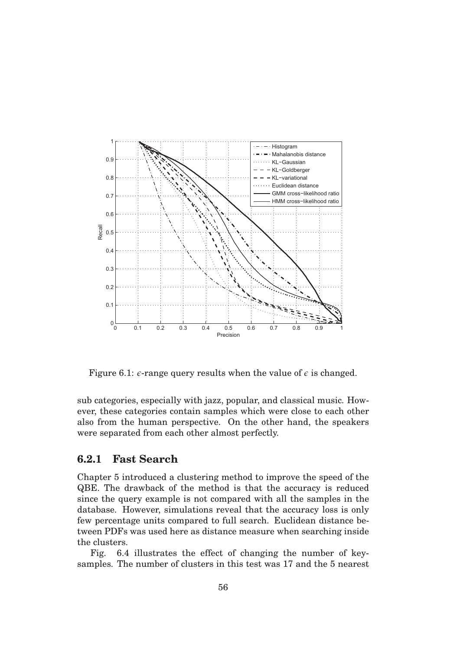

Figure 6.1:  $\epsilon$ -range query results when the value of  $\epsilon$  is changed.

sub categories, especially with jazz, popular, and classical music. However, these categories contain samples which were close to each other also from the human perspective. On the other hand, the speakers were separated from each other almost perfectly.

#### **6.2.1 Fast Search**

Chapter 5 introduced a clustering method to improve the speed of the QBE. The drawback of the method is that the accuracy is reduced since the query example is not compared with all the samples in the database. However, simulations reveal that the accuracy loss is only few percentage units compared to full search. Euclidean distance between PDFs was used here as distance measure when searching inside the clusters.

Fig. 6.4 illustrates the effect of changing the number of keysamples. The number of clusters in this test was 17 and the 5 nearest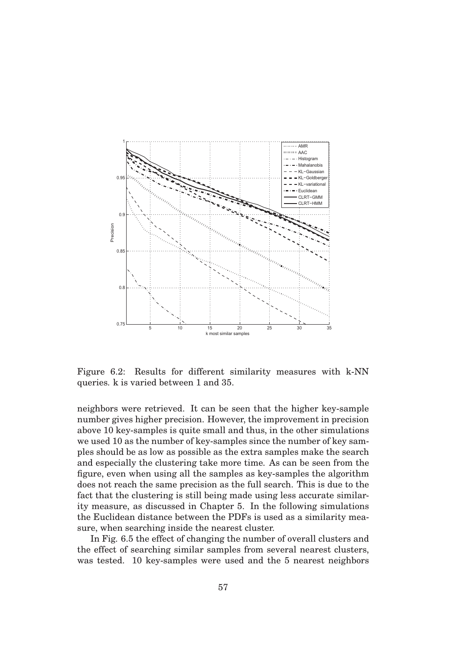

Figure 6.2: Results for different similarity measures with k-NN queries. k is varied between 1 and 35.

neighbors were retrieved. It can be seen that the higher key-sample number gives higher precision. However, the improvement in precision above 10 key-samples is quite small and thus, in the other simulations we used 10 as the number of key-samples since the number of key samples should be as low as possible as the extra samples make the search and especially the clustering take more time. As can be seen from the figure, even when using all the samples as key-samples the algorithm does not reach the same precision as the full search. This is due to the fact that the clustering is still being made using less accurate similarity measure, as discussed in Chapter 5. In the following simulations the Euclidean distance between the PDFs is used as a similarity measure, when searching inside the nearest cluster.

In Fig. 6.5 the effect of changing the number of overall clusters and the effect of searching similar samples from several nearest clusters, was tested. 10 key-samples were used and the 5 nearest neighbors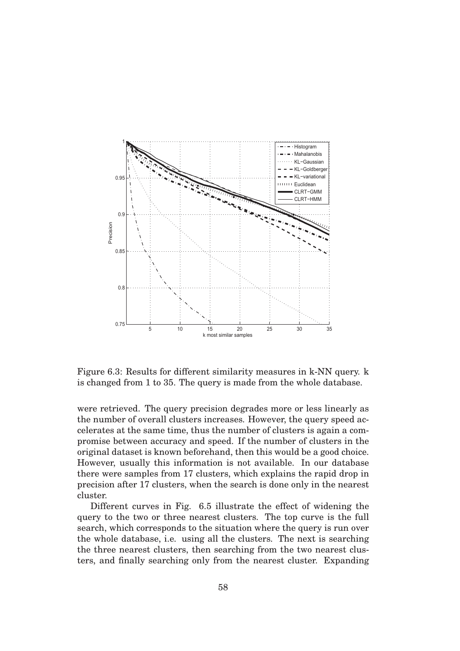

Figure 6.3: Results for different similarity measures in k-NN query. k is changed from 1 to 35. The query is made from the whole database.

were retrieved. The query precision degrades more or less linearly as the number of overall clusters increases. However, the query speed accelerates at the same time, thus the number of clusters is again a compromise between accuracy and speed. If the number of clusters in the original dataset is known beforehand, then this would be a good choice. However, usually this information is not available. In our database there were samples from 17 clusters, which explains the rapid drop in precision after 17 clusters, when the search is done only in the nearest cluster.

Different curves in Fig. 6.5 illustrate the effect of widening the query to the two or three nearest clusters. The top curve is the full search, which corresponds to the situation where the query is run over the whole database, i.e. using all the clusters. The next is searching the three nearest clusters, then searching from the two nearest clusters, and finally searching only from the nearest cluster. Expanding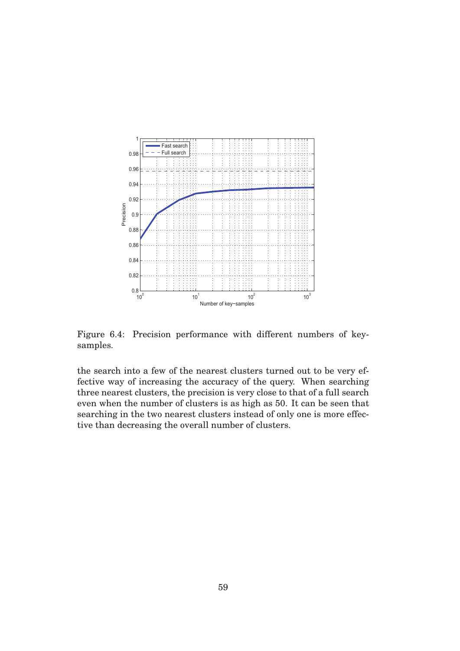

Figure 6.4: Precision performance with different numbers of keysamples.

the search into a few of the nearest clusters turned out to be very effective way of increasing the accuracy of the query. When searching three nearest clusters, the precision is very close to that of a full search even when the number of clusters is as high as 50. It can be seen that searching in the two nearest clusters instead of only one is more effective than decreasing the overall number of clusters.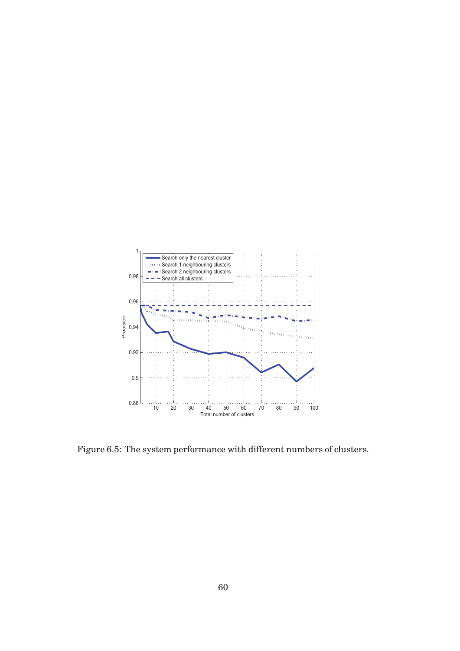

Figure 6.5: The system performance with different numbers of clusters.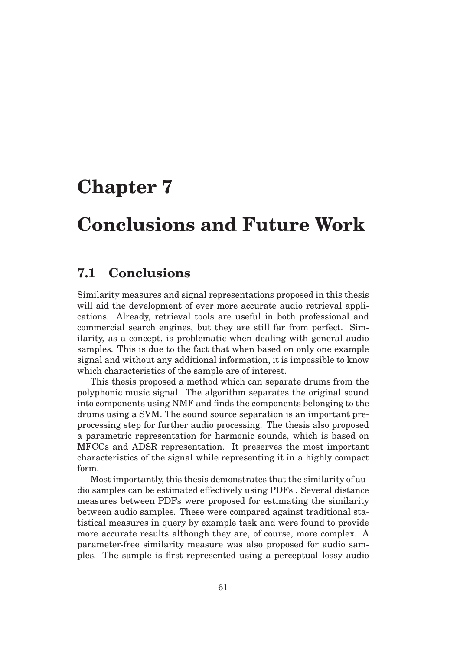## **Chapter 7**

### **Conclusions and Future Work**

#### **7.1 Conclusions**

Similarity measures and signal representations proposed in this thesis will aid the development of ever more accurate audio retrieval applications. Already, retrieval tools are useful in both professional and commercial search engines, but they are still far from perfect. Similarity, as a concept, is problematic when dealing with general audio samples. This is due to the fact that when based on only one example signal and without any additional information, it is impossible to know which characteristics of the sample are of interest.

This thesis proposed a method which can separate drums from the polyphonic music signal. The algorithm separates the original sound into components using NMF and finds the components belonging to the drums using a SVM. The sound source separation is an important preprocessing step for further audio processing. The thesis also proposed a parametric representation for harmonic sounds, which is based on MFCCs and ADSR representation. It preserves the most important characteristics of the signal while representing it in a highly compact form.

Most importantly, this thesis demonstrates that the similarity of audio samples can be estimated effectively using PDFs . Several distance measures between PDFs were proposed for estimating the similarity between audio samples. These were compared against traditional statistical measures in query by example task and were found to provide more accurate results although they are, of course, more complex. A parameter-free similarity measure was also proposed for audio samples. The sample is first represented using a perceptual lossy audio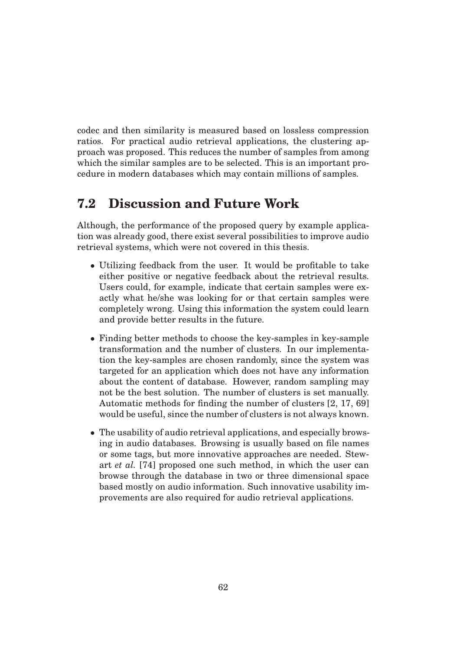codec and then similarity is measured based on lossless compression ratios. For practical audio retrieval applications, the clustering approach was proposed. This reduces the number of samples from among which the similar samples are to be selected. This is an important procedure in modern databases which may contain millions of samples.

### **7.2 Discussion and Future Work**

Although, the performance of the proposed query by example application was already good, there exist several possibilities to improve audio retrieval systems, which were not covered in this thesis.

- Utilizing feedback from the user. It would be profitable to take either positive or negative feedback about the retrieval results. Users could, for example, indicate that certain samples were exactly what he/she was looking for or that certain samples were completely wrong. Using this information the system could learn and provide better results in the future.
- Finding better methods to choose the key-samples in key-sample transformation and the number of clusters. In our implementation the key-samples are chosen randomly, since the system was targeted for an application which does not have any information about the content of database. However, random sampling may not be the best solution. The number of clusters is set manually. Automatic methods for finding the number of clusters [2, 17, 69] would be useful, since the number of clusters is not always known.
- The usability of audio retrieval applications, and especially browsing in audio databases. Browsing is usually based on file names or some tags, but more innovative approaches are needed. Stewart *et al.* [74] proposed one such method, in which the user can browse through the database in two or three dimensional space based mostly on audio information. Such innovative usability improvements are also required for audio retrieval applications.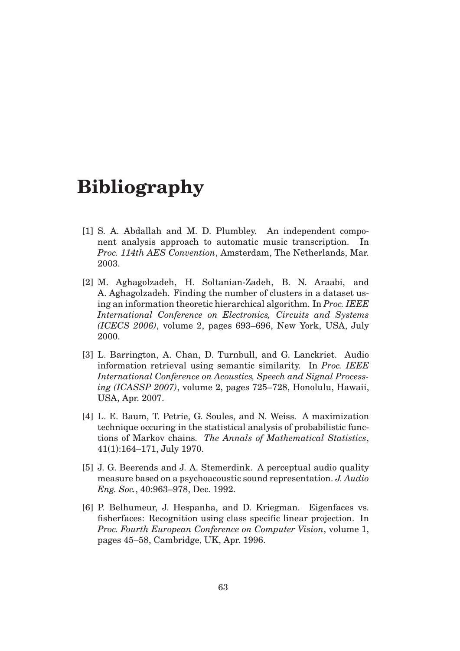### **Bibliography**

- [1] S. A. Abdallah and M. D. Plumbley. An independent component analysis approach to automatic music transcription. In *Proc. 114th AES Convention*, Amsterdam, The Netherlands, Mar. 2003.
- [2] M. Aghagolzadeh, H. Soltanian-Zadeh, B. N. Araabi, and A. Aghagolzadeh. Finding the number of clusters in a dataset using an information theoretic hierarchical algorithm. In *Proc. IEEE International Conference on Electronics, Circuits and Systems (ICECS 2006)*, volume 2, pages 693–696, New York, USA, July 2000.
- [3] L. Barrington, A. Chan, D. Turnbull, and G. Lanckriet. Audio information retrieval using semantic similarity. In *Proc. IEEE International Conference on Acoustics, Speech and Signal Processing (ICASSP 2007)*, volume 2, pages 725–728, Honolulu, Hawaii, USA, Apr. 2007.
- [4] L. E. Baum, T. Petrie, G. Soules, and N. Weiss. A maximization technique occuring in the statistical analysis of probabilistic functions of Markov chains. *The Annals of Mathematical Statistics*, 41(1):164–171, July 1970.
- [5] J. G. Beerends and J. A. Stemerdink. A perceptual audio quality measure based on a psychoacoustic sound representation. *J. Audio Eng. Soc.*, 40:963–978, Dec. 1992.
- [6] P. Belhumeur, J. Hespanha, and D. Kriegman. Eigenfaces vs. fisherfaces: Recognition using class specific linear projection. In *Proc. Fourth European Conference on Computer Vision*, volume 1, pages 45–58, Cambridge, UK, Apr. 1996.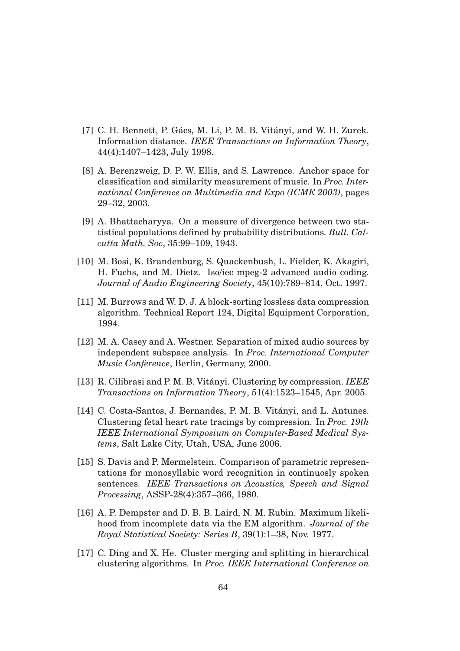- [7] C. H. Bennett, P. Gács, M. Li, P. M. B. Vitányi, and W. H. Zurek. Information distance. *IEEE Transactions on Information Theory*, 44(4):1407–1423, July 1998.
- [8] A. Berenzweig, D. P. W. Ellis, and S. Lawrence. Anchor space for classification and similarity measurement of music. In *Proc. International Conference on Multimedia and Expo (ICME 2003)*, pages 29–32, 2003.
- [9] A. Bhattacharyya. On a measure of divergence between two statistical populations defined by probability distributions. *Bull. Calcutta Math. Soc*, 35:99–109, 1943.
- [10] M. Bosi, K. Brandenburg, S. Quackenbush, L. Fielder, K. Akagiri, H. Fuchs, and M. Dietz. Iso/iec mpeg-2 advanced audio coding. *Journal of Audio Engineering Society*, 45(10):789–814, Oct. 1997.
- [11] M. Burrows and W. D. J. A block-sorting lossless data compression algorithm. Technical Report 124, Digital Equipment Corporation, 1994.
- [12] M. A. Casey and A. Westner. Separation of mixed audio sources by independent subspace analysis. In *Proc. International Computer Music Conference*, Berlin, Germany, 2000.
- [13] R. Cilibrasi and P. M. B. Vitányi. Clustering by compression. *IEEE Transactions on Information Theory*, 51(4):1523–1545, Apr. 2005.
- [14] C. Costa-Santos, J. Bernandes, P. M. B. Vitányi, and L. Antunes. Clustering fetal heart rate tracings by compression. In *Proc. 19th IEEE International Symposium on Computer-Based Medical Systems*, Salt Lake City, Utah, USA, June 2006.
- [15] S. Davis and P. Mermelstein. Comparison of parametric representations for monosyllabic word recognition in continuosly spoken sentences. *IEEE Transactions on Acoustics, Speech and Signal Processing*, ASSP-28(4):357–366, 1980.
- [16] A. P. Dempster and D. B. B. Laird, N. M. Rubin. Maximum likelihood from incomplete data via the EM algorithm. *Journal of the Royal Statistical Society: Series B*, 39(1):1–38, Nov. 1977.
- [17] C. Ding and X. He. Cluster merging and splitting in hierarchical clustering algorithms. In *Proc. IEEE International Conference on*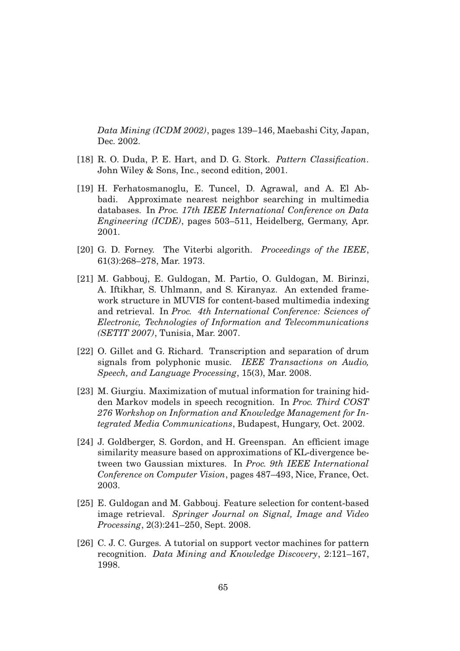*Data Mining (ICDM 2002)*, pages 139–146, Maebashi City, Japan, Dec. 2002.

- [18] R. O. Duda, P. E. Hart, and D. G. Stork. *Pattern Classification*. John Wiley & Sons, Inc., second edition, 2001.
- [19] H. Ferhatosmanoglu, E. Tuncel, D. Agrawal, and A. El Abbadi. Approximate nearest neighbor searching in multimedia databases. In *Proc. 17th IEEE International Conference on Data Engineering (ICDE)*, pages 503–511, Heidelberg, Germany, Apr. 2001.
- [20] G. D. Forney. The Viterbi algorith. *Proceedings of the IEEE*, 61(3):268–278, Mar. 1973.
- [21] M. Gabbouj, E. Guldogan, M. Partio, O. Guldogan, M. Birinzi, A. Iftikhar, S. Uhlmann, and S. Kiranyaz. An extended framework structure in MUVIS for content-based multimedia indexing and retrieval. In *Proc. 4th International Conference: Sciences of Electronic, Technologies of Information and Telecommunications (SETIT 2007)*, Tunisia, Mar. 2007.
- [22] O. Gillet and G. Richard. Transcription and separation of drum signals from polyphonic music. *IEEE Transactions on Audio, Speech, and Language Processing*, 15(3), Mar. 2008.
- [23] M. Giurgiu. Maximization of mutual information for training hidden Markov models in speech recognition. In *Proc. Third COST 276 Workshop on Information and Knowledge Management for Integrated Media Communications*, Budapest, Hungary, Oct. 2002.
- [24] J. Goldberger, S. Gordon, and H. Greenspan. An efficient image similarity measure based on approximations of KL-divergence between two Gaussian mixtures. In *Proc. 9th IEEE International Conference on Computer Vision*, pages 487–493, Nice, France, Oct. 2003.
- [25] E. Guldogan and M. Gabbouj. Feature selection for content-based image retrieval. *Springer Journal on Signal, Image and Video Processing*, 2(3):241–250, Sept. 2008.
- [26] C. J. C. Gurges. A tutorial on support vector machines for pattern recognition. *Data Mining and Knowledge Discovery*, 2:121–167, 1998.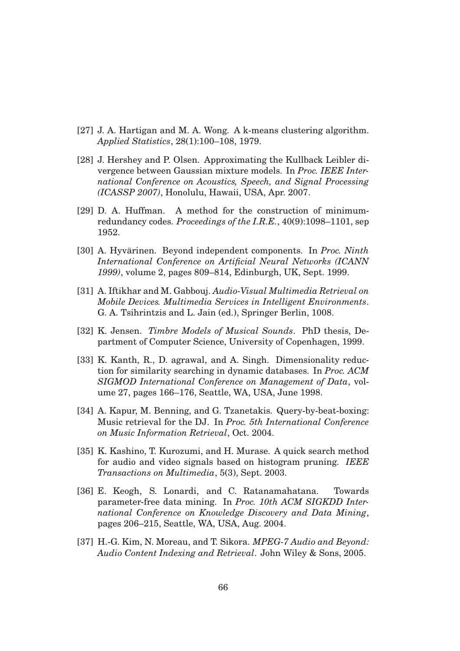- [27] J. A. Hartigan and M. A. Wong. A k-means clustering algorithm. *Applied Statistics*, 28(1):100–108, 1979.
- [28] J. Hershey and P. Olsen. Approximating the Kullback Leibler divergence between Gaussian mixture models. In *Proc. IEEE International Conference on Acoustics, Speech, and Signal Processing (ICASSP 2007)*, Honolulu, Hawaii, USA, Apr. 2007.
- [29] D. A. Huffman. A method for the construction of minimumredundancy codes. *Proceedings of the I.R.E.*, 40(9):1098–1101, sep 1952.
- [30] A. Hyvärinen. Beyond independent components. In *Proc. Ninth International Conference on Artificial Neural Networks (ICANN 1999)*, volume 2, pages 809–814, Edinburgh, UK, Sept. 1999.
- [31] A. Iftikhar and M. Gabbouj. *Audio-Visual Multimedia Retrieval on Mobile Devices. Multimedia Services in Intelligent Environments*. G. A. Tsihrintzis and L. Jain (ed.), Springer Berlin, 1008.
- [32] K. Jensen. *Timbre Models of Musical Sounds*. PhD thesis, Department of Computer Science, University of Copenhagen, 1999.
- [33] K. Kanth, R., D. agrawal, and A. Singh. Dimensionality reduction for similarity searching in dynamic databases. In *Proc. ACM SIGMOD International Conference on Management of Data*, volume 27, pages 166–176, Seattle, WA, USA, June 1998.
- [34] A. Kapur, M. Benning, and G. Tzanetakis. Query-by-beat-boxing: Music retrieval for the DJ. In *Proc. 5th International Conference on Music Information Retrieval*, Oct. 2004.
- [35] K. Kashino, T. Kurozumi, and H. Murase. A quick search method for audio and video signals based on histogram pruning. *IEEE Transactions on Multimedia*, 5(3), Sept. 2003.
- [36] E. Keogh, S. Lonardi, and C. Ratanamahatana. Towards parameter-free data mining. In *Proc. 10th ACM SIGKDD International Conference on Knowledge Discovery and Data Mining*, pages 206–215, Seattle, WA, USA, Aug. 2004.
- [37] H.-G. Kim, N. Moreau, and T. Sikora. *MPEG-7 Audio and Beyond: Audio Content Indexing and Retrieval*. John Wiley & Sons, 2005.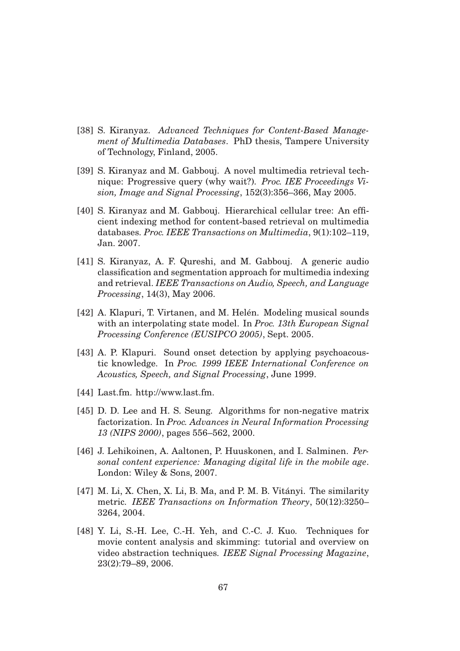- [38] S. Kiranyaz. *Advanced Techniques for Content-Based Management of Multimedia Databases*. PhD thesis, Tampere University of Technology, Finland, 2005.
- [39] S. Kiranyaz and M. Gabbouj. A novel multimedia retrieval technique: Progressive query (why wait?). *Proc. IEE Proceedings Vision, Image and Signal Processing*, 152(3):356–366, May 2005.
- [40] S. Kiranyaz and M. Gabbouj. Hierarchical cellular tree: An efficient indexing method for content-based retrieval on multimedia databases. *Proc. IEEE Transactions on Multimedia*, 9(1):102–119, Jan. 2007.
- [41] S. Kiranyaz, A. F. Qureshi, and M. Gabbouj. A generic audio classification and segmentation approach for multimedia indexing and retrieval. *IEEE Transactions on Audio, Speech, and Language Processing*, 14(3), May 2006.
- [42] A. Klapuri, T. Virtanen, and M. Helén. Modeling musical sounds with an interpolating state model. In *Proc. 13th European Signal Processing Conference (EUSIPCO 2005)*, Sept. 2005.
- [43] A. P. Klapuri. Sound onset detection by applying psychoacoustic knowledge. In *Proc. 1999 IEEE International Conference on Acoustics, Speech, and Signal Processing*, June 1999.
- [44] Last.fm. http://www.last.fm.
- [45] D. D. Lee and H. S. Seung. Algorithms for non-negative matrix factorization. In *Proc. Advances in Neural Information Processing 13 (NIPS 2000)*, pages 556–562, 2000.
- [46] J. Lehikoinen, A. Aaltonen, P. Huuskonen, and I. Salminen. *Personal content experience: Managing digital life in the mobile age*. London: Wiley & Sons, 2007.
- $[47]$  M. Li, X. Chen, X. Li, B. Ma, and P. M. B. Vitányi. The similarity metric. *IEEE Transactions on Information Theory*, 50(12):3250– 3264, 2004.
- [48] Y. Li, S.-H. Lee, C.-H. Yeh, and C.-C. J. Kuo. Techniques for movie content analysis and skimming: tutorial and overview on video abstraction techniques. *IEEE Signal Processing Magazine*, 23(2):79–89, 2006.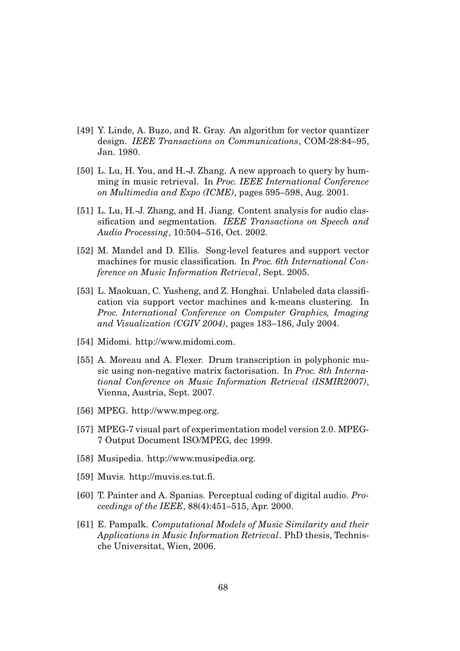- [49] Y. Linde, A. Buzo, and R. Gray. An algorithm for vector quantizer design. *IEEE Transactions on Communications*, COM-28:84–95, Jan. 1980.
- [50] L. Lu, H. You, and H.-J. Zhang. A new approach to query by humming in music retrieval. In *Proc. IEEE International Conference on Multimedia and Expo (ICME)*, pages 595–598, Aug. 2001.
- [51] L. Lu, H.-J. Zhang, and H. Jiang. Content analysis for audio classification and segmentation. *IEEE Transactions on Speech and Audio Processing*, 10:504–516, Oct. 2002.
- [52] M. Mandel and D. Ellis. Song-level features and support vector machines for music classification. In *Proc. 6th International Conference on Music Information Retrieval*, Sept. 2005.
- [53] L. Maokuan, C. Yusheng, and Z. Honghai. Unlabeled data classification via support vector machines and k-means clustering. In *Proc. International Conference on Computer Graphics, Imaging and Visualization (CGIV 2004)*, pages 183–186, July 2004.
- [54] Midomi. http://www.midomi.com.
- [55] A. Moreau and A. Flexer. Drum transcription in polyphonic music using non-negative matrix factorisation. In *Proc. 8th International Conference on Music Information Retrieval (ISMIR2007)*, Vienna, Austria, Sept. 2007.
- [56] MPEG. http://www.mpeg.org.
- [57] MPEG-7 visual part of experimentation model version 2.0. MPEG-7 Output Document ISO/MPEG, dec 1999.
- [58] Musipedia. http://www.musipedia.org.
- [59] Muvis. http://muvis.cs.tut.fi.
- [60] T. Painter and A. Spanias. Perceptual coding of digital audio. *Proceedings of the IEEE*, 88(4):451–515, Apr. 2000.
- [61] E. Pampalk. *Computational Models of Music Similarity and their Applications in Music Information Retrieval*. PhD thesis, Technische Universitat, Wien, 2006.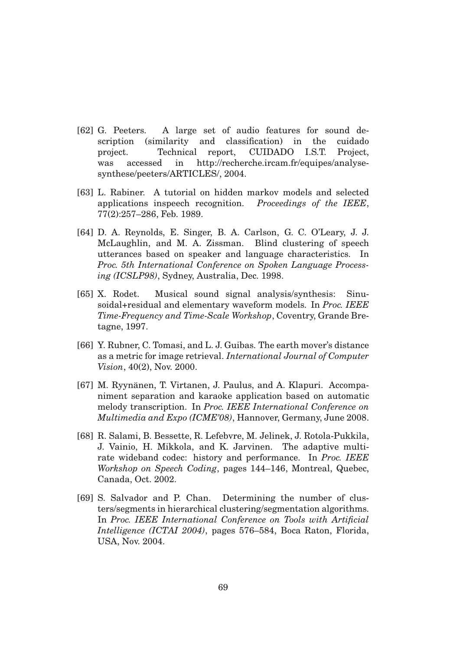- [62] G. Peeters. A large set of audio features for sound description (similarity and classification) in the cuidado project. Technical report, CUIDADO I.S.T. Project, was accessed in http://recherche.ircam.fr/equipes/analysesynthese/peeters/ARTICLES/, 2004.
- [63] L. Rabiner. A tutorial on hidden markov models and selected applications inspeech recognition. *Proceedings of the IEEE*, 77(2):257–286, Feb. 1989.
- [64] D. A. Reynolds, E. Singer, B. A. Carlson, G. C. O'Leary, J. J. McLaughlin, and M. A. Zissman. Blind clustering of speech utterances based on speaker and language characteristics. In *Proc. 5th International Conference on Spoken Language Processing (ICSLP98)*, Sydney, Australia, Dec. 1998.
- [65] X. Rodet. Musical sound signal analysis/synthesis: Sinusoidal+residual and elementary waveform models. In *Proc. IEEE Time-Frequency and Time-Scale Workshop*, Coventry, Grande Bretagne, 1997.
- [66] Y. Rubner, C. Tomasi, and L. J. Guibas. The earth mover's distance as a metric for image retrieval. *International Journal of Computer Vision*, 40(2), Nov. 2000.
- [67] M. Ryynänen, T. Virtanen, J. Paulus, and A. Klapuri. Accompaniment separation and karaoke application based on automatic melody transcription. In *Proc. IEEE International Conference on Multimedia and Expo (ICME'08)*, Hannover, Germany, June 2008.
- [68] R. Salami, B. Bessette, R. Lefebvre, M. Jelinek, J. Rotola-Pukkila, J. Vainio, H. Mikkola, and K. Jarvinen. The adaptive multirate wideband codec: history and performance. In *Proc. IEEE Workshop on Speech Coding*, pages 144–146, Montreal, Quebec, Canada, Oct. 2002.
- [69] S. Salvador and P. Chan. Determining the number of clusters/segments in hierarchical clustering/segmentation algorithms. In *Proc. IEEE International Conference on Tools with Artificial Intelligence (ICTAI 2004)*, pages 576–584, Boca Raton, Florida, USA, Nov. 2004.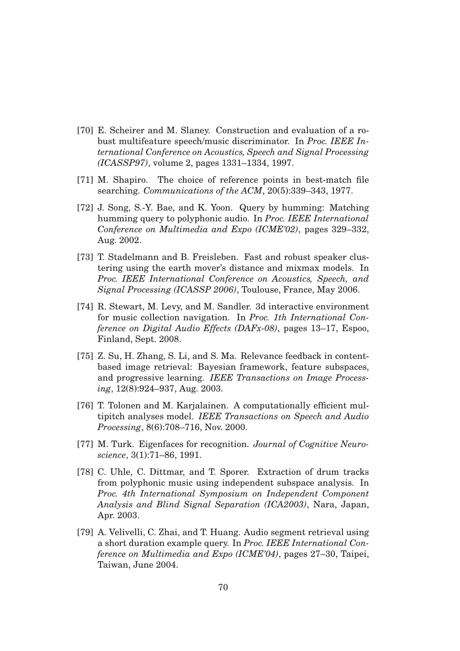- [70] E. Scheirer and M. Slaney. Construction and evaluation of a robust multifeature speech/music discriminator. In *Proc. IEEE International Conference on Acoustics, Speech and Signal Processing (ICASSP97)*, volume 2, pages 1331–1334, 1997.
- [71] M. Shapiro. The choice of reference points in best-match file searching. *Communications of the ACM*, 20(5):339–343, 1977.
- [72] J. Song, S.-Y. Bae, and K. Yoon. Query by humming: Matching humming query to polyphonic audio. In *Proc. IEEE International Conference on Multimedia and Expo (ICME'02)*, pages 329–332, Aug. 2002.
- [73] T. Stadelmann and B. Freisleben. Fast and robust speaker clustering using the earth mover's distance and mixmax models. In *Proc. IEEE International Conference on Acoustics, Speech, and Signal Processing (ICASSP 2006)*, Toulouse, France, May 2006.
- [74] R. Stewart, M. Levy, and M. Sandler. 3d interactive environment for music collection navigation. In *Proc. 1th International Conference on Digital Audio Effects (DAFx-08)*, pages 13–17, Espoo, Finland, Sept. 2008.
- [75] Z. Su, H. Zhang, S. Li, and S. Ma. Relevance feedback in contentbased image retrieval: Bayesian framework, feature subspaces, and progressive learning. *IEEE Transactions on Image Processing*, 12(8):924–937, Aug. 2003.
- [76] T. Tolonen and M. Karjalainen. A computationally efficient multipitch analyses model. *IEEE Transactions on Speech and Audio Processing*, 8(6):708–716, Nov. 2000.
- [77] M. Turk. Eigenfaces for recognition. *Journal of Cognitive Neuroscience*, 3(1):71–86, 1991.
- [78] C. Uhle, C. Dittmar, and T. Sporer. Extraction of drum tracks from polyphonic music using independent subspace analysis. In *Proc. 4th International Symposium on Independent Component Analysis and Blind Signal Separation (ICA2003)*, Nara, Japan, Apr. 2003.
- [79] A. Velivelli, C. Zhai, and T. Huang. Audio segment retrieval using a short duration example query. In *Proc. IEEE International Conference on Multimedia and Expo (ICME'04)*, pages 27–30, Taipei, Taiwan, June 2004.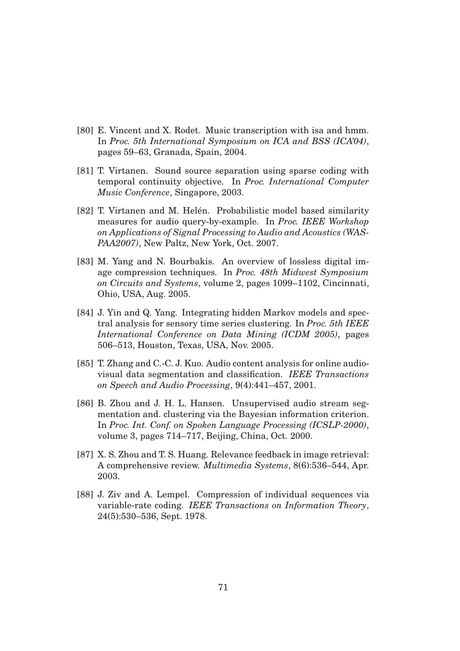- [80] E. Vincent and X. Rodet. Music transcription with isa and hmm. In *Proc. 5th International Symposium on ICA and BSS (ICA'04)*, pages 59–63, Granada, Spain, 2004.
- [81] T. Virtanen. Sound source separation using sparse coding with temporal continuity objective. In *Proc. International Computer Music Conference*, Singapore, 2003.
- [82] T. Virtanen and M. Helén. Probabilistic model based similarity measures for audio query-by-example. In *Proc. IEEE Workshop on Applications of Signal Processing to Audio and Acoustics (WAS-PAA2007)*, New Paltz, New York, Oct. 2007.
- [83] M. Yang and N. Bourbakis. An overview of lossless digital image compression techniques. In *Proc. 48th Midwest Symposium on Circuits and Systems*, volume 2, pages 1099–1102, Cincinnati, Ohio, USA, Aug. 2005.
- [84] J. Yin and Q. Yang. Integrating hidden Markov models and spectral analysis for sensory time series clustering. In *Proc. 5th IEEE International Conference on Data Mining (ICDM 2005)*, pages 506–513, Houston, Texas, USA, Nov. 2005.
- [85] T. Zhang and C.-C. J. Kuo. Audio content analysis for online audiovisual data segmentation and classification. *IEEE Transactions on Speech and Audio Processing*, 9(4):441–457, 2001.
- [86] B. Zhou and J. H. L. Hansen. Unsupervised audio stream segmentation and. clustering via the Bayesian information criterion. In *Proc. Int. Conf. on Spoken Language Processing (ICSLP-2000)*, volume 3, pages 714–717, Beijing, China, Oct. 2000.
- [87] X. S. Zhou and T. S. Huang. Relevance feedback in image retrieval: A comprehensive review. *Multimedia Systems*, 8(6):536–544, Apr. 2003.
- [88] J. Ziv and A. Lempel. Compression of individual sequences via variable-rate coding. *IEEE Transactions on Information Theory*, 24(5):530–536, Sept. 1978.